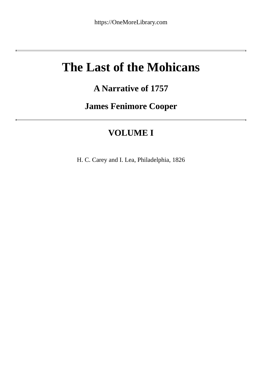# **The Last of the Mohicans**

## **A Narrative of 1757**

### **James Fenimore Cooper**

## **VOLUME I**

H. C. Carey and I. Lea, Philadelphia, 1826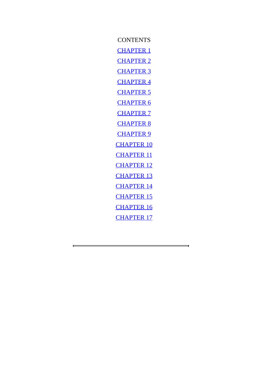<span id="page-1-0"></span>**CONTENTS** CHAPTER 1 CHAPTER 2 [CHAPTER](#page-1-0) 3 [CHAPTER](#page-9-0) 4 [CHAPTER](#page-16-0) 5 [CHAPTER](#page-24-0) 6 [CHAPTER](#page-32-0) 7 [CHAPTER](#page-40-0) 8 [CHAPTER](#page-50-0) 9 [CHAPTER](#page-59-0) 10 [CHAPTER](#page-67-0) 11 [CHAPTER](#page-74-0) 12 [CHAPTER](#page-83-0) 13 [CHAPTER](#page-95-0) 14 [CHAPTER](#page-106-0) 15 [CHAPTER](#page-115-0) 16 [CHAPTER](#page-126-0) 17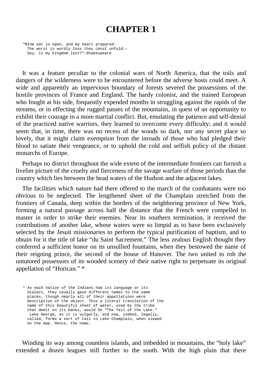#### **CHAPTER 1**

"Mine ear is open, and my heart prepared: The worst is wordly loss thou canst unfold:-Say, is my kingdom lost?"—Shakespeare

It was a feature peculiar to the colonial wars of North America, that the toils and dangers of the wilderness were to be encountered before the adverse hosts could meet. A wide and apparently an impervious boundary of forests severed the possessions of the hostile provinces of France and England. The hardy colonist, and the trained European who fought at his side, frequently expended months in struggling against the rapids of the streams, or in effecting the rugged passes of the mountains, in quest of an opportunity to exhibit their courage in a more martial conflict. But, emulating the patience and self-denial of the practiced native warriors, they learned to overcome every difficulty; and it would seem that, in time, there was no recess of the woods so dark, nor any secret place so lovely, that it might claim exemption from the inroads of those who had pledged their blood to satiate their vengeance, or to uphold the cold and selfish policy of the distant monarchs of Europe.

Perhaps no district throughout the wide extent of the intermediate frontiers can furnish a livelier picture of the cruelty and fierceness of the savage warfare of those periods than the country which lies between the head waters of the Hudson and the adjacent lakes.

The facilities which nature had there offered to the march of the combatants were too obvious to be neglected. The lengthened sheet of the Champlain stretched from the frontiers of Canada, deep within the borders of the neighboring province of New York, forming a natural passage across half the distance that the French were compelled to master in order to strike their enemies. Near its southern termination, it received the contributions of another lake, whose waters were so limpid as to have been exclusively selected by the Jesuit missionaries to perform the typical purification of baptism, and to obtain for it the title of lake "du Saint Sacrement." The less zealous English thought they conferred a sufficient honor on its unsullied fountains, when they bestowed the name of their reigning prince, the second of the house of Hanover. The two united to rob the untutored possessors of its wooded scenery of their native right to perpetuate its original appellation of "Horican." \*

\* As each nation of the Indians had its language or its dialect, they usually gave different names to the same places, though nearly all of their appellations were descriptive of the object. Thus a literal translation of the name of this beautiful sheet of water, used by the tribe that dwelt on its banks, would be "The Tail of the Lake." Lake George, as it is vulgarly, and now, indeed, legally, called, forms a sort of tail to Lake Champlain, when viewed on the map. Hence, the name.

Winding its way among countless islands, and imbedded in mountains, the "holy lake" extended a dozen leagues still further to the south. With the high plain that there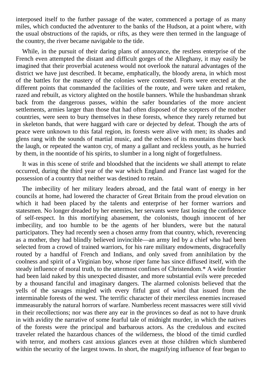interposed itself to the further passage of the water, commenced a portage of as many miles, which conducted the adventurer to the banks of the Hudson, at a point where, with the usual obstructions of the rapids, or rifts, as they were then termed in the language of the country, the river became navigable to the tide.

While, in the pursuit of their daring plans of annoyance, the restless enterprise of the French even attempted the distant and difficult gorges of the Alleghany, it may easily be imagined that their proverbial acuteness would not overlook the natural advantages of the district we have just described. It became, emphatically, the bloody arena, in which most of the battles for the mastery of the colonies were contested. Forts were erected at the different points that commanded the facilities of the route, and were taken and retaken, razed and rebuilt, as victory alighted on the hostile banners. While the husbandman shrank back from the dangerous passes, within the safer boundaries of the more ancient settlements, armies larger than those that had often disposed of the scepters of the mother countries, were seen to bury themselves in these forests, whence they rarely returned but in skeleton bands, that were haggard with care or dejected by defeat. Though the arts of peace were unknown to this fatal region, its forests were alive with men; its shades and glens rang with the sounds of martial music, and the echoes of its mountains threw back the laugh, or repeated the wanton cry, of many a gallant and reckless youth, as he hurried by them, in the noontide of his spirits, to slumber in a long night of forgetfulness.

It was in this scene of strife and bloodshed that the incidents we shall attempt to relate occurred, during the third year of the war which England and France last waged for the possession of a country that neither was destined to retain.

The imbecility of her military leaders abroad, and the fatal want of energy in her councils at home, had lowered the character of Great Britain from the proud elevation on which it had been placed by the talents and enterprise of her former warriors and statesmen. No longer dreaded by her enemies, her servants were fast losing the confidence of self-respect. In this mortifying abasement, the colonists, though innocent of her imbecility, and too humble to be the agents of her blunders, were but the natural participators. They had recently seen a chosen army from that country, which, reverencing as a mother, they had blindly believed invincible—an army led by a chief who had been selected from a crowd of trained warriors, for his rare military endowments, disgracefully routed by a handful of French and Indians, and only saved from annihilation by the coolness and spirit of a Virginian boy, whose riper fame has since diffused itself, with the steady influence of moral truth, to the uttermost confines of Christendom.\* A wide frontier had been laid naked by this unexpected disaster, and more substantial evils were preceded by a thousand fanciful and imaginary dangers. The alarmed colonists believed that the yells of the savages mingled with every fitful gust of wind that issued from the interminable forests of the west. The terrific character of their merciless enemies increased immeasurably the natural horrors of warfare. Numberless recent massacres were still vivid in their recollections; nor was there any ear in the provinces so deaf as not to have drunk in with avidity the narrative of some fearful tale of midnight murder, in which the natives of the forests were the principal and barbarous actors. As the credulous and excited traveler related the hazardous chances of the wilderness, the blood of the timid curdled with terror, and mothers cast anxious glances even at those children which slumbered within the security of the largest towns. In short, the magnifying influence of fear began to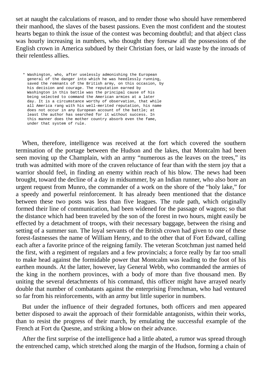set at naught the calculations of reason, and to render those who should have remembered their manhood, the slaves of the basest passions. Even the most confident and the stoutest hearts began to think the issue of the contest was becoming doubtful; and that abject class was hourly increasing in numbers, who thought they foresaw all the possessions of the English crown in America subdued by their Christian foes, or laid waste by the inroads of their relentless allies.

\* Washington, who, after uselessly admonishing the European general of the danger into which he was heedlessly running, saved the remnants of the British army, on this occasion, by his decision and courage. The reputation earned by Washington in this battle was the principal cause of his being selected to command the American armies at a later day. It is a circumstance worthy of observation, that while all America rang with his well-merited reputation, his name does not occur in any European account of the battle; at least the author has searched for it without success. In this manner does the mother country absorb even the fame, under that system of rule.

When, therefore, intelligence was received at the fort which covered the southern termination of the portage between the Hudson and the lakes, that Montcalm had been seen moving up the Champlain, with an army "numerous as the leaves on the trees," its truth was admitted with more of the craven reluctance of fear than with the stern joy that a warrior should feel, in finding an enemy within reach of his blow. The news had been brought, toward the decline of a day in midsummer, by an Indian runner, who also bore an urgent request from Munro, the commander of a work on the shore of the "holy lake," for a speedy and powerful reinforcement. It has already been mentioned that the distance between these two posts was less than five leagues. The rude path, which originally formed their line of communication, had been widened for the passage of wagons; so that the distance which had been traveled by the son of the forest in two hours, might easily be effected by a detachment of troops, with their necessary baggage, between the rising and setting of a summer sun. The loyal servants of the British crown had given to one of these forest-fastnesses the name of William Henry, and to the other that of Fort Edward, calling each after a favorite prince of the reigning family. The veteran Scotchman just named held the first, with a regiment of regulars and a few provincials; a force really by far too small to make head against the formidable power that Montcalm was leading to the foot of his earthen mounds. At the latter, however, lay General Webb, who commanded the armies of the king in the northern provinces, with a body of more than five thousand men. By uniting the several detachments of his command, this officer might have arrayed nearly double that number of combatants against the enterprising Frenchman, who had ventured so far from his reinforcements, with an army but little superior in numbers.

But under the influence of their degraded fortunes, both officers and men appeared better disposed to await the approach of their formidable antagonists, within their works, than to resist the progress of their march, by emulating the successful example of the French at Fort du Quesne, and striking a blow on their advance.

After the first surprise of the intelligence had a little abated, a rumor was spread through the entrenched camp, which stretched along the margin of the Hudson, forming a chain of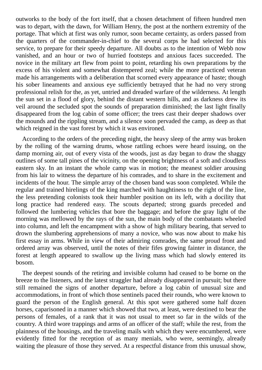outworks to the body of the fort itself, that a chosen detachment of fifteen hundred men was to depart, with the dawn, for William Henry, the post at the northern extremity of the portage. That which at first was only rumor, soon became certainty, as orders passed from the quarters of the commander-in-chief to the several corps he had selected for this service, to prepare for their speedy departure. All doubts as to the intention of Webb now vanished, and an hour or two of hurried footsteps and anxious faces succeeded. The novice in the military art flew from point to point, retarding his own preparations by the excess of his violent and somewhat distempered zeal; while the more practiced veteran made his arrangements with a deliberation that scorned every appearance of haste; though his sober lineaments and anxious eye sufficiently betrayed that he had no very strong professional relish for the, as yet, untried and dreaded warfare of the wilderness. At length the sun set in a flood of glory, behind the distant western hills, and as darkness drew its veil around the secluded spot the sounds of preparation diminished; the last light finally disappeared from the log cabin of some officer; the trees cast their deeper shadows over the mounds and the rippling stream, and a silence soon pervaded the camp, as deep as that which reigned in the vast forest by which it was environed.

According to the orders of the preceding night, the heavy sleep of the army was broken by the rolling of the warning drums, whose rattling echoes were heard issuing, on the damp morning air, out of every vista of the woods, just as day began to draw the shaggy outlines of some tall pines of the vicinity, on the opening brightness of a soft and cloudless eastern sky. In an instant the whole camp was in motion; the meanest soldier arousing from his lair to witness the departure of his comrades, and to share in the excitement and incidents of the hour. The simple array of the chosen band was soon completed. While the regular and trained hirelings of the king marched with haughtiness to the right of the line, the less pretending colonists took their humbler position on its left, with a docility that long practice had rendered easy. The scouts departed; strong guards preceded and followed the lumbering vehicles that bore the baggage; and before the gray light of the morning was mellowed by the rays of the sun, the main body of the combatants wheeled into column, and left the encampment with a show of high military bearing, that served to drown the slumbering apprehensions of many a novice, who was now about to make his first essay in arms. While in view of their admiring comrades, the same proud front and ordered array was observed, until the notes of their fifes growing fainter in distance, the forest at length appeared to swallow up the living mass which had slowly entered its bosom.

The deepest sounds of the retiring and invisible column had ceased to be borne on the breeze to the listeners, and the latest straggler had already disappeared in pursuit; but there still remained the signs of another departure, before a log cabin of unusual size and accommodations, in front of which those sentinels paced their rounds, who were known to guard the person of the English general. At this spot were gathered some half dozen horses, caparisoned in a manner which showed that two, at least, were destined to bear the persons of females, of a rank that it was not usual to meet so far in the wilds of the country. A third wore trappings and arms of an officer of the staff; while the rest, from the plainness of the housings, and the traveling mails with which they were encumbered, were evidently fitted for the reception of as many menials, who were, seemingly, already waiting the pleasure of those they served. At a respectful distance from this unusual show,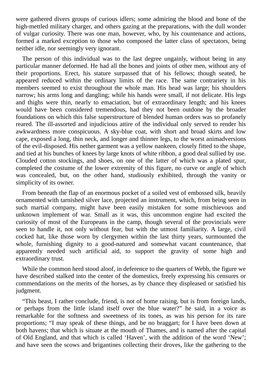were gathered divers groups of curious idlers; some admiring the blood and bone of the high-mettled military charger, and others gazing at the preparations, with the dull wonder of vulgar curiosity. There was one man, however, who, by his countenance and actions, formed a marked exception to those who composed the latter class of spectators, being neither idle, nor seemingly very ignorant.

The person of this individual was to the last degree ungainly, without being in any particular manner deformed. He had all the bones and joints of other men, without any of their proportions. Erect, his stature surpassed that of his fellows; though seated, he appeared reduced within the ordinary limits of the race. The same contrariety in his members seemed to exist throughout the whole man. His head was large; his shoulders narrow; his arms long and dangling; while his hands were small, if not delicate. His legs and thighs were thin, nearly to emaciation, but of extraordinary length; and his knees would have been considered tremendous, had they not been outdone by the broader foundations on which this false superstructure of blended human orders was so profanely reared. The ill-assorted and injudicious attire of the individual only served to render his awkwardness more conspicuous. A sky-blue coat, with short and broad skirts and low cape, exposed a long, thin neck, and longer and thinner legs, to the worst animadversions of the evil-disposed. His nether garment was a yellow nankeen, closely fitted to the shape, and tied at his bunches of knees by large knots of white ribbon, a good deal sullied by use. Clouded cotton stockings, and shoes, on one of the latter of which was a plated spur, completed the costume of the lower extremity of this figure, no curve or angle of which was concealed, but, on the other hand, studiously exhibited, through the vanity or simplicity of its owner.

From beneath the flap of an enormous pocket of a soiled vest of embossed silk, heavily ornamented with tarnished silver lace, projected an instrument, which, from being seen in such martial company, might have been easily mistaken for some mischievous and unknown implement of war. Small as it was, this uncommon engine had excited the curiosity of most of the Europeans in the camp, though several of the provincials were seen to handle it, not only without fear, but with the utmost familiarity. A large, civil cocked hat, like those worn by clergymen within the last thirty years, surmounted the whole, furnishing dignity to a good-natured and somewhat vacant countenance, that apparently needed such artificial aid, to support the gravity of some high and extraordinary trust.

While the common herd stood aloof, in deference to the quarters of Webb, the figure we have described stalked into the center of the domestics, freely expressing his censures or commendations on the merits of the horses, as by chance they displeased or satisfied his judgment.

"This beast, I rather conclude, friend, is not of home raising, but is from foreign lands, or perhaps from the little island itself over the blue water?" he said, in a voice as remarkable for the softness and sweetness of its tones, as was his person for its rare proportions; "I may speak of these things, and be no braggart; for I have been down at both havens; that which is situate at the mouth of Thames, and is named after the capital of Old England, and that which is called 'Haven', with the addition of the word 'New'; and have seen the scows and brigantines collecting their droves, like the gathering to the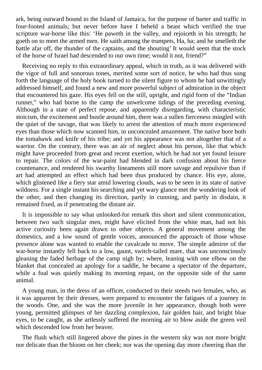ark, being outward bound to the Island of Jamaica, for the purpose of barter and traffic in four-footed animals; but never before have I beheld a beast which verified the true scripture war-horse like this: 'He paweth in the valley, and rejoiceth in his strength; he goeth on to meet the armed men. He saith among the trumpets, Ha, ha; and he smelleth the battle afar off, the thunder of the captains, and the shouting' It would seem that the stock of the horse of Israel had descended to our own time; would it not, friend?"

Receiving no reply to this extraordinary appeal, which in truth, as it was delivered with the vigor of full and sonorous tones, merited some sort of notice, he who had thus sung forth the language of the holy book turned to the silent figure to whom he had unwittingly addressed himself, and found a new and more powerful subject of admiration in the object that encountered his gaze. His eyes fell on the still, upright, and rigid form of the "Indian runner," who had borne to the camp the unwelcome tidings of the preceding evening. Although in a state of perfect repose, and apparently disregarding, with characteristic stoicism, the excitement and bustle around him, there was a sullen fierceness mingled with the quiet of the savage, that was likely to arrest the attention of much more experienced eyes than those which now scanned him, in unconcealed amazement. The native bore both the tomahawk and knife of his tribe; and yet his appearance was not altogether that of a warrior. On the contrary, there was an air of neglect about his person, like that which might have proceeded from great and recent exertion, which he had not yet found leisure to repair. The colors of the war-paint had blended in dark confusion about his fierce countenance, and rendered his swarthy lineaments still more savage and repulsive than if art had attempted an effect which had been thus produced by chance. His eye, alone, which glistened like a fiery star amid lowering clouds, was to be seen in its state of native wildness. For a single instant his searching and yet wary glance met the wondering look of the other, and then changing its direction, partly in cunning, and partly in disdain, it remained fixed, as if penetrating the distant air.

It is impossible to say what unlooked-for remark this short and silent communication, between two such singular men, might have elicited from the white man, had not his active curiosity been again drawn to other objects. A general movement among the domestics, and a low sound of gentle voices, announced the approach of those whose presence alone was wanted to enable the cavalcade to move. The simple admirer of the war-horse instantly fell back to a low, gaunt, switch-tailed mare, that was unconsciously gleaning the faded herbage of the camp nigh by; where, leaning with one elbow on the blanket that concealed an apology for a saddle, he became a spectator of the departure, while a foal was quietly making its morning repast, on the opposite side of the same animal.

A young man, in the dress of an officer, conducted to their steeds two females, who, as it was apparent by their dresses, were prepared to encounter the fatigues of a journey in the woods. One, and she was the more juvenile in her appearance, though both were young, permitted glimpses of her dazzling complexion, fair golden hair, and bright blue eyes, to be caught, as she artlessly suffered the morning air to blow aside the green veil which descended low from her beaver.

The flush which still lingered above the pines in the western sky was not more bright nor delicate than the bloom on her cheek; nor was the opening day more cheering than the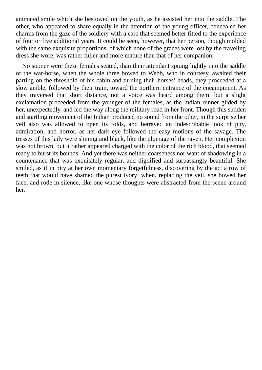animated smile which she bestowed on the youth, as he assisted her into the saddle. The other, who appeared to share equally in the attention of the young officer, concealed her charms from the gaze of the soldiery with a care that seemed better fitted to the experience of four or five additional years. It could be seen, however, that her person, though molded with the same exquisite proportions, of which none of the graces were lost by the traveling dress she wore, was rather fuller and more mature than that of her companion.

<span id="page-9-0"></span>No sooner were these females seated, than their attendant sprang lightly into the saddle of the war-horse, when the whole three bowed to Webb, who in courtesy, awaited their parting on the threshold of his cabin and turning their horses' heads, they proceeded at a slow amble, followed by their train, toward the northern entrance of the encampment. As they traversed that short distance, not a voice was heard among them; but a slight exclamation proceeded from the younger of the females, as the Indian runner glided by her, unexpectedly, and led the way along the military road in her front. Though this sudden and startling movement of the Indian produced no sound from the other, in the surprise her veil also was allowed to open its folds, and betrayed an indescribable look of pity, admiration, and horror, as her dark eye followed the easy motions of the savage. The tresses of this lady were shining and black, like the plumage of the raven. Her complexion was not brown, but it rather appeared charged with the color of the rich blood, that seemed ready to burst its bounds. And yet there was neither coarseness nor want of shadowing in a countenance that was exquisitely regular, and dignified and surpassingly beautiful. She smiled, as if in pity at her own momentary forgetfulness, discovering by the act a row of teeth that would have shamed the purest ivory; when, replacing the veil, she bowed her face, and rode in silence, like one whose thoughts were abstracted from the scene around her.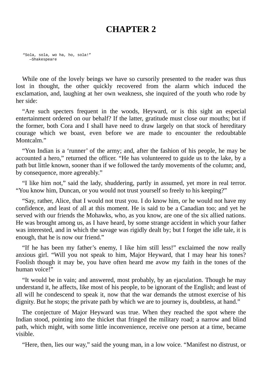#### **CHAPTER 2**

"Sola, sola, wo ha, ho, sola!" —Shakespeare

While one of the lovely beings we have so cursorily presented to the reader was thus lost in thought, the other quickly recovered from the alarm which induced the exclamation, and, laughing at her own weakness, she inquired of the youth who rode by her side:

"Are such specters frequent in the woods, Heyward, or is this sight an especial entertainment ordered on our behalf? If the latter, gratitude must close our mouths; but if the former, both Cora and I shall have need to draw largely on that stock of hereditary courage which we boast, even before we are made to encounter the redoubtable Montcalm."

"Yon Indian is a 'runner' of the army; and, after the fashion of his people, he may be accounted a hero," returned the officer. "He has volunteered to guide us to the lake, by a path but little known, sooner than if we followed the tardy movements of the column; and, by consequence, more agreeably."

"I like him not," said the lady, shuddering, partly in assumed, yet more in real terror. "You know him, Duncan, or you would not trust yourself so freely to his keeping?"

"Say, rather, Alice, that I would not trust you. I do know him, or he would not have my confidence, and least of all at this moment. He is said to be a Canadian too; and yet he served with our friends the Mohawks, who, as you know, are one of the six allied nations. He was brought among us, as I have heard, by some strange accident in which your father was interested, and in which the savage was rigidly dealt by; but I forget the idle tale, it is enough, that he is now our friend."

"If he has been my father's enemy, I like him still less!" exclaimed the now really anxious girl. "Will you not speak to him, Major Heyward, that I may hear his tones? Foolish though it may be, you have often heard me avow my faith in the tones of the human voice!"

"It would be in vain; and answered, most probably, by an ejaculation. Though he may understand it, he affects, like most of his people, to be ignorant of the English; and least of all will he condescend to speak it, now that the war demands the utmost exercise of his dignity. But he stops; the private path by which we are to journey is, doubtless, at hand."

The conjecture of Major Heyward was true. When they reached the spot where the Indian stood, pointing into the thicket that fringed the military road; a narrow and blind path, which might, with some little inconvenience, receive one person at a time, became visible.

"Here, then, lies our way," said the young man, in a low voice. "Manifest no distrust, or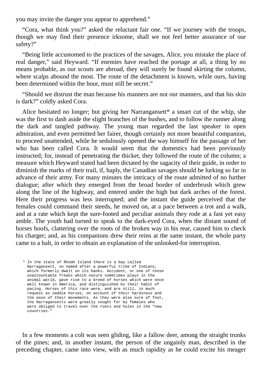you may invite the danger you appear to apprehend."

"Cora, what think you?" asked the reluctant fair one. "If we journey with the troops, though we may find their presence irksome, shall we not feel better assurance of our safety?"

"Being little accustomed to the practices of the savages, Alice, you mistake the place of real danger," said Heyward. "If enemies have reached the portage at all, a thing by no means probable, as our scouts are abroad, they will surely be found skirting the column, where scalps abound the most. The route of the detachment is known, while ours, having been determined within the hour, must still be secret."

"Should we distrust the man because his manners are not our manners, and that his skin is dark?" coldly asked Cora.

Alice hesitated no longer; but giving her Narrangansett\* a smart cut of the whip, she was the first to dash aside the slight branches of the bushes, and to follow the runner along the dark and tangled pathway. The young man regarded the last speaker in open admiration, and even permitted her fairer, though certainly not more beautiful companion, to proceed unattended, while he sedulously opened the way himself for the passage of her who has been called Cora. It would seem that the domestics had been previously instructed; for, instead of penetrating the thicket, they followed the route of the column; a measure which Heyward stated had been dictated by the sagacity of their guide, in order to diminish the marks of their trail, if, haply, the Canadian savages should be lurking so far in advance of their army. For many minutes the intricacy of the route admitted of no further dialogue; after which they emerged from the broad border of underbrush which grew along the line of the highway, and entered under the high but dark arches of the forest. Here their progress was less interrupted; and the instant the guide perceived that the females could command their steeds, he moved on, at a pace between a trot and a walk, and at a rate which kept the sure-footed and peculiar animals they rode at a fast yet easy amble. The youth had turned to speak to the dark-eyed Cora, when the distant sound of horses hoofs, clattering over the roots of the broken way in his rear, caused him to check his charger; and, as his companions drew their reins at the same instant, the whole party came to a halt, in order to obtain an explanation of the unlooked-for interruption.

\* In the state of Rhode Island there is a bay called Narragansett, so named after a powerful tribe of Indians, which formerly dwelt on its banks. Accident, or one of those unaccountable freaks which nature sometimes plays in the animal world, gave rise to a breed of horses which were once well known in America, and distinguished by their habit of pacing. Horses of this race were, and are still, in much request as saddle horses, on account of their hardiness and the ease of their movements. As they were also sure of foot, the Narragansetts were greatly sought for by females who were obliged to travel over the roots and holes in the "new countries."

In a few moments a colt was seen gliding, like a fallow deer, among the straight trunks of the pines; and, in another instant, the person of the ungainly man, described in the preceding chapter, came into view, with as much rapidity as he could excite his meager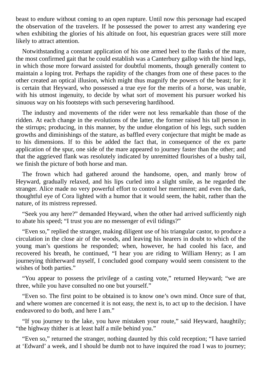beast to endure without coming to an open rupture. Until now this personage had escaped the observation of the travelers. If he possessed the power to arrest any wandering eye when exhibiting the glories of his altitude on foot, his equestrian graces were still more likely to attract attention.

Notwithstanding a constant application of his one armed heel to the flanks of the mare, the most confirmed gait that he could establish was a Canterbury gallop with the hind legs, in which those more forward assisted for doubtful moments, though generally content to maintain a loping trot. Perhaps the rapidity of the changes from one of these paces to the other created an optical illusion, which might thus magnify the powers of the beast; for it is certain that Heyward, who possessed a true eye for the merits of a horse, was unable, with his utmost ingenuity, to decide by what sort of movement his pursuer worked his sinuous way on his footsteps with such persevering hardihood.

The industry and movements of the rider were not less remarkable than those of the ridden. At each change in the evolutions of the latter, the former raised his tall person in the stirrups; producing, in this manner, by the undue elongation of his legs, such sudden growths and diminishings of the stature, as baffled every conjecture that might be made as to his dimensions. If to this be added the fact that, in consequence of the ex parte application of the spur, one side of the mare appeared to journey faster than the other; and that the aggrieved flank was resolutely indicated by unremitted flourishes of a bushy tail, we finish the picture of both horse and man.

The frown which had gathered around the handsome, open, and manly brow of Heyward, gradually relaxed, and his lips curled into a slight smile, as he regarded the stranger. Alice made no very powerful effort to control her merriment; and even the dark, thoughtful eye of Cora lighted with a humor that it would seem, the habit, rather than the nature, of its mistress repressed.

"Seek you any here?" demanded Heyward, when the other had arrived sufficiently nigh to abate his speed; "I trust you are no messenger of evil tidings?"

"Even so," replied the stranger, making diligent use of his triangular castor, to produce a circulation in the close air of the woods, and leaving his hearers in doubt to which of the young man's questions he responded; when, however, he had cooled his face, and recovered his breath, he continued, "I hear you are riding to William Henry; as I am journeying thitherward myself, I concluded good company would seem consistent to the wishes of both parties."

"You appear to possess the privilege of a casting vote," returned Heyward; "we are three, while you have consulted no one but yourself."

"Even so. The first point to be obtained is to know one's own mind. Once sure of that, and where women are concerned it is not easy, the next is, to act up to the decision. I have endeavored to do both, and here I am."

"If you journey to the lake, you have mistaken your route," said Heyward, haughtily; "the highway thither is at least half a mile behind you."

"Even so," returned the stranger, nothing daunted by this cold reception; "I have tarried at 'Edward' a week, and I should be dumb not to have inquired the road I was to journey;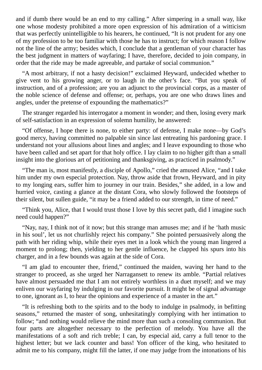and if dumb there would be an end to my calling." After simpering in a small way, like one whose modesty prohibited a more open expression of his admiration of a witticism that was perfectly unintelligible to his hearers, he continued, "It is not prudent for any one of my profession to be too familiar with those he has to instruct; for which reason I follow not the line of the army; besides which, I conclude that a gentleman of your character has the best judgment in matters of wayfaring; I have, therefore, decided to join company, in order that the ride may be made agreeable, and partake of social communion."

"A most arbitrary, if not a hasty decision!" exclaimed Heyward, undecided whether to give vent to his growing anger, or to laugh in the other's face. "But you speak of instruction, and of a profession; are you an adjunct to the provincial corps, as a master of the noble science of defense and offense; or, perhaps, you are one who draws lines and angles, under the pretense of expounding the mathematics?"

The stranger regarded his interrogator a moment in wonder; and then, losing every mark of self-satisfaction in an expression of solemn humility, he answered:

"Of offense, I hope there is none, to either party: of defense, I make none—by God's good mercy, having committed no palpable sin since last entreating his pardoning grace. I understand not your allusions about lines and angles; and I leave expounding to those who have been called and set apart for that holy office. I lay claim to no higher gift than a small insight into the glorious art of petitioning and thanksgiving, as practiced in psalmody."

"The man is, most manifestly, a disciple of Apollo," cried the amused Alice, "and I take him under my own especial protection. Nay, throw aside that frown, Heyward, and in pity to my longing ears, suffer him to journey in our train. Besides," she added, in a low and hurried voice, casting a glance at the distant Cora, who slowly followed the footsteps of their silent, but sullen guide, "it may be a friend added to our strength, in time of need."

"Think you, Alice, that I would trust those I love by this secret path, did I imagine such need could happen?"

"Nay, nay, I think not of it now; but this strange man amuses me; and if he 'hath music in his soul', let us not churlishly reject his company." She pointed persuasively along the path with her riding whip, while their eyes met in a look which the young man lingered a moment to prolong; then, yielding to her gentle influence, he clapped his spurs into his charger, and in a few bounds was again at the side of Cora.

"I am glad to encounter thee, friend," continued the maiden, waving her hand to the stranger to proceed, as she urged her Narragansett to renew its amble. "Partial relatives have almost persuaded me that I am not entirely worthless in a duet myself; and we may enliven our wayfaring by indulging in our favorite pursuit. It might be of signal advantage to one, ignorant as I, to hear the opinions and experience of a master in the art."

"It is refreshing both to the spirits and to the body to indulge in psalmody, in befitting seasons," returned the master of song, unhesitatingly complying with her intimation to follow; "and nothing would relieve the mind more than such a consoling communion. But four parts are altogether necessary to the perfection of melody. You have all the manifestations of a soft and rich treble; I can, by especial aid, carry a full tenor to the highest letter; but we lack counter and bass! Yon officer of the king, who hesitated to admit me to his company, might fill the latter, if one may judge from the intonations of his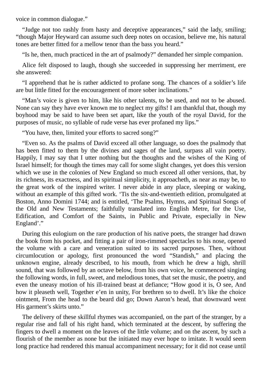voice in common dialogue."

"Judge not too rashly from hasty and deceptive appearances," said the lady, smiling; "though Major Heyward can assume such deep notes on occasion, believe me, his natural tones are better fitted for a mellow tenor than the bass you heard."

"Is he, then, much practiced in the art of psalmody?" demanded her simple companion.

Alice felt disposed to laugh, though she succeeded in suppressing her merriment, ere she answered:

"I apprehend that he is rather addicted to profane song. The chances of a soldier's life are but little fitted for the encouragement of more sober inclinations."

"Man's voice is given to him, like his other talents, to be used, and not to be abused. None can say they have ever known me to neglect my gifts! I am thankful that, though my boyhood may be said to have been set apart, like the youth of the royal David, for the purposes of music, no syllable of rude verse has ever profaned my lips."

"You have, then, limited your efforts to sacred song?"

"Even so. As the psalms of David exceed all other language, so does the psalmody that has been fitted to them by the divines and sages of the land, surpass all vain poetry. Happily, I may say that I utter nothing but the thoughts and the wishes of the King of Israel himself; for though the times may call for some slight changes, yet does this version which we use in the colonies of New England so much exceed all other versions, that, by its richness, its exactness, and its spiritual simplicity, it approacheth, as near as may be, to the great work of the inspired writer. I never abide in any place, sleeping or waking, without an example of this gifted work. 'Tis the six-and-twentieth edition, promulgated at Boston, Anno Domini 1744; and is entitled, 'The Psalms, Hymns, and Spiritual Songs of the Old and New Testaments; faithfully translated into English Metre, for the Use, Edification, and Comfort of the Saints, in Public and Private, especially in New England'."

During this eulogium on the rare production of his native poets, the stranger had drawn the book from his pocket, and fitting a pair of iron-rimmed spectacles to his nose, opened the volume with a care and veneration suited to its sacred purposes. Then, without circumlocution or apology, first pronounced the word "Standish," and placing the unknown engine, already described, to his mouth, from which he drew a high, shrill sound, that was followed by an octave below, from his own voice, he commenced singing the following words, in full, sweet, and melodious tones, that set the music, the poetry, and even the uneasy motion of his ill-trained beast at defiance; "How good it is, O see, And how it pleaseth well, Together e'en in unity, For brethren so to dwell. It's like the choice ointment, From the head to the beard did go; Down Aaron's head, that downward went His garment's skirts unto."

The delivery of these skillful rhymes was accompanied, on the part of the stranger, by a regular rise and fall of his right hand, which terminated at the descent, by suffering the fingers to dwell a moment on the leaves of the little volume; and on the ascent, by such a flourish of the member as none but the initiated may ever hope to imitate. It would seem long practice had rendered this manual accompaniment necessary; for it did not cease until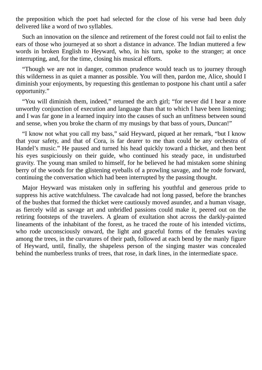the preposition which the poet had selected for the close of his verse had been duly delivered like a word of two syllables.

Such an innovation on the silence and retirement of the forest could not fail to enlist the ears of those who journeyed at so short a distance in advance. The Indian muttered a few words in broken English to Heyward, who, in his turn, spoke to the stranger; at once interrupting, and, for the time, closing his musical efforts.

"Though we are not in danger, common prudence would teach us to journey through this wilderness in as quiet a manner as possible. You will then, pardon me, Alice, should I diminish your enjoyments, by requesting this gentleman to postpone his chant until a safer opportunity."

"You will diminish them, indeed," returned the arch girl; "for never did I hear a more unworthy conjunction of execution and language than that to which I have been listening; and I was far gone in a learned inquiry into the causes of such an unfitness between sound and sense, when you broke the charm of my musings by that bass of yours, Duncan!"

"I know not what you call my bass," said Heyward, piqued at her remark, "but I know that your safety, and that of Cora, is far dearer to me than could be any orchestra of Handel's music." He paused and turned his head quickly toward a thicket, and then bent his eyes suspiciously on their guide, who continued his steady pace, in undisturbed gravity. The young man smiled to himself, for he believed he had mistaken some shining berry of the woods for the glistening eyeballs of a prowling savage, and he rode forward, continuing the conversation which had been interrupted by the passing thought.

<span id="page-16-0"></span>Major Heyward was mistaken only in suffering his youthful and generous pride to suppress his active watchfulness. The cavalcade had not long passed, before the branches of the bushes that formed the thicket were cautiously moved asunder, and a human visage, as fiercely wild as savage art and unbridled passions could make it, peered out on the retiring footsteps of the travelers. A gleam of exultation shot across the darkly-painted lineaments of the inhabitant of the forest, as he traced the route of his intended victims, who rode unconsciously onward, the light and graceful forms of the females waving among the trees, in the curvatures of their path, followed at each bend by the manly figure of Heyward, until, finally, the shapeless person of the singing master was concealed behind the numberless trunks of trees, that rose, in dark lines, in the intermediate space.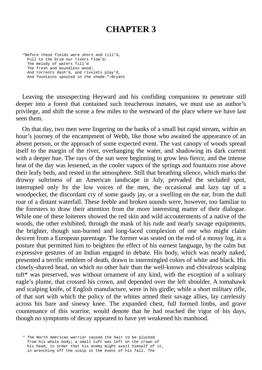#### **CHAPTER 3**

"Before these fields were shorn and till'd, Full to the brim our rivers flow'd; The melody of waters fill'd The fresh and boundless wood; And torrents dash'd, and rivulets play'd, And fountains spouted in the shade."—Bryant

Leaving the unsuspecting Heyward and his confiding companions to penetrate still deeper into a forest that contained such treacherous inmates, we must use an author's privilege, and shift the scene a few miles to the westward of the place where we have last seen them.

On that day, two men were lingering on the banks of a small but rapid stream, within an hour's journey of the encampment of Webb, like those who awaited the appearance of an absent person, or the approach of some expected event. The vast canopy of woods spread itself to the margin of the river, overhanging the water, and shadowing its dark current with a deeper hue. The rays of the sun were beginning to grow less fierce, and the intense heat of the day was lessened, as the cooler vapors of the springs and fountains rose above their leafy beds, and rested in the atmosphere. Still that breathing silence, which marks the drowsy sultriness of an American landscape in July, pervaded the secluded spot, interrupted only by the low voices of the men, the occasional and lazy tap of a woodpecker, the discordant cry of some gaudy jay, or a swelling on the ear, from the dull roar of a distant waterfall. These feeble and broken sounds were, however, too familiar to the foresters to draw their attention from the more interesting matter of their dialogue. While one of these loiterers showed the red skin and wild accouterments of a native of the woods, the other exhibited, through the mask of his rude and nearly savage equipments, the brighter, though sun-burned and long-faced complexion of one who might claim descent from a European parentage. The former was seated on the end of a mossy log, in a posture that permitted him to heighten the effect of his earnest language, by the calm but expressive gestures of an Indian engaged in debate. His body, which was nearly naked, presented a terrific emblem of death, drawn in intermingled colors of white and black. His closely-shaved head, on which no other hair than the well-known and chivalrous scalping tuft\* was preserved, was without ornament of any kind, with the exception of a solitary eagle's plume, that crossed his crown, and depended over the left shoulder. A tomahawk and scalping knife, of English manufacture, were in his girdle; while a short military rifle, of that sort with which the policy of the whites armed their savage allies, lay carelessly across his bare and sinewy knee. The expanded chest, full formed limbs, and grave countenance of this warrior, would denote that he had reached the vigor of his days, though no symptoms of decay appeared to have yet weakened his manhood.

The North American warrior caused the hair to be plucked from his whole body; a small tuft was left on the crown of his head, in order that his enemy might avail himself of it, in wrenching off the scalp in the event of his fall. The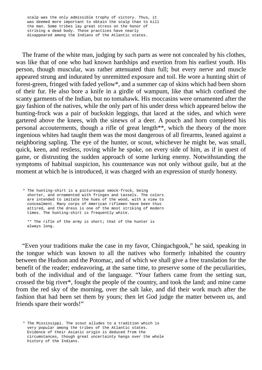scalp was the only admissible trophy of victory. Thus, it was deemed more important to obtain the scalp than to kill the man. Some tribes lay great stress on the honor of striking a dead body. These practices have nearly disappeared among the Indians of the Atlantic states.

The frame of the white man, judging by such parts as were not concealed by his clothes, was like that of one who had known hardships and exertion from his earliest youth. His person, though muscular, was rather attenuated than full; but every nerve and muscle appeared strung and indurated by unremitted exposure and toil. He wore a hunting shirt of forest-green, fringed with faded yellow\*, and a summer cap of skins which had been shorn of their fur. He also bore a knife in a girdle of wampum, like that which confined the scanty garments of the Indian, but no tomahawk. His moccasins were ornamented after the gay fashion of the natives, while the only part of his under dress which appeared below the hunting-frock was a pair of buckskin leggings, that laced at the sides, and which were gartered above the knees, with the sinews of a deer. A pouch and horn completed his personal accouterments, though a rifle of great length\*\*, which the theory of the more ingenious whites had taught them was the most dangerous of all firearms, leaned against a neighboring sapling. The eye of the hunter, or scout, whichever he might be, was small, quick, keen, and restless, roving while he spoke, on every side of him, as if in quest of game, or distrusting the sudden approach of some lurking enemy. Notwithstanding the symptoms of habitual suspicion, his countenance was not only without guile, but at the moment at which he is introduced, it was charged with an expression of sturdy honesty.

\* The hunting-shirt is a picturesque smock-frock, being shorter, and ornamented with fringes and tassels. The colors are intended to imitate the hues of the wood, with a view to concealment. Many corps of American riflemen have been thus attired, and the dress is one of the most striking of modern times. The hunting-shirt is frequently white.

\*\* The rifle of the army is short; that of the hunter is always long.

"Even your traditions make the case in my favor, Chingachgook," he said, speaking in the tongue which was known to all the natives who formerly inhabited the country between the Hudson and the Potomac, and of which we shall give a free translation for the benefit of the reader; endeavoring, at the same time, to preserve some of the peculiarities, both of the individual and of the language. "Your fathers came from the setting sun, crossed the big river\*, fought the people of the country, and took the land; and mine came from the red sky of the morning, over the salt lake, and did their work much after the fashion that had been set them by yours; then let God judge the matter between us, and friends spare their words!"

<sup>\*</sup> The Mississippi. The scout alludes to a tradition which is very popular among the tribes of the Atlantic states. Evidence of their Asiatic origin is deduced from the circumstances, though great uncertainty hangs over the whole history of the Indians.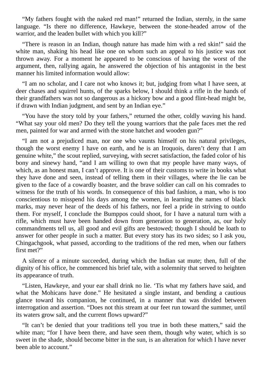"My fathers fought with the naked red man!" returned the Indian, sternly, in the same language. "Is there no difference, Hawkeye, between the stone-headed arrow of the warrior, and the leaden bullet with which you kill?"

"There is reason in an Indian, though nature has made him with a red skin!" said the white man, shaking his head like one on whom such an appeal to his justice was not thrown away. For a moment he appeared to be conscious of having the worst of the argument, then, rallying again, he answered the objection of his antagonist in the best manner his limited information would allow:

"I am no scholar, and I care not who knows it; but, judging from what I have seen, at deer chases and squirrel hunts, of the sparks below, I should think a rifle in the hands of their grandfathers was not so dangerous as a hickory bow and a good flint-head might be, if drawn with Indian judgment, and sent by an Indian eye."

"You have the story told by your fathers," returned the other, coldly waving his hand. "What say your old men? Do they tell the young warriors that the pale faces met the red men, painted for war and armed with the stone hatchet and wooden gun?"

"I am not a prejudiced man, nor one who vaunts himself on his natural privileges, though the worst enemy I have on earth, and he is an Iroquois, daren't deny that I am genuine white," the scout replied, surveying, with secret satisfaction, the faded color of his bony and sinewy hand, "and I am willing to own that my people have many ways, of which, as an honest man, I can't approve. It is one of their customs to write in books what they have done and seen, instead of telling them in their villages, where the lie can be given to the face of a cowardly boaster, and the brave soldier can call on his comrades to witness for the truth of his words. In consequence of this bad fashion, a man, who is too conscientious to misspend his days among the women, in learning the names of black marks, may never hear of the deeds of his fathers, nor feel a pride in striving to outdo them. For myself, I conclude the Bumppos could shoot, for I have a natural turn with a rifle, which must have been handed down from generation to generation, as, our holy commandments tell us, all good and evil gifts are bestowed; though I should be loath to answer for other people in such a matter. But every story has its two sides; so I ask you, Chingachgook, what passed, according to the traditions of the red men, when our fathers first met?"

A silence of a minute succeeded, during which the Indian sat mute; then, full of the dignity of his office, he commenced his brief tale, with a solemnity that served to heighten its appearance of truth.

"Listen, Hawkeye, and your ear shall drink no lie. 'Tis what my fathers have said, and what the Mohicans have done." He hesitated a single instant, and bending a cautious glance toward his companion, he continued, in a manner that was divided between interrogation and assertion. "Does not this stream at our feet run toward the summer, until its waters grow salt, and the current flows upward?"

"It can't be denied that your traditions tell you true in both these matters," said the white man; "for I have been there, and have seen them, though why water, which is so sweet in the shade, should become bitter in the sun, is an alteration for which I have never been able to account."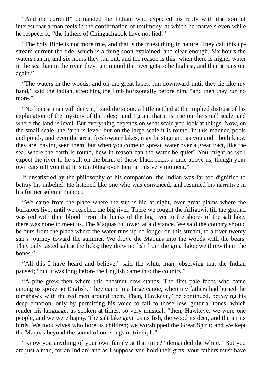"And the current!" demanded the Indian, who expected his reply with that sort of interest that a man feels in the confirmation of testimony, at which he marvels even while he respects it; "the fathers of Chingachgook have not lied!"

"The holy Bible is not more true, and that is the truest thing in nature. They call this upstream current the tide, which is a thing soon explained, and clear enough. Six hours the waters run in, and six hours they run out, and the reason is this: when there is higher water in the sea than in the river, they run in until the river gets to be highest, and then it runs out again."

"The waters in the woods, and on the great lakes, run downward until they lie like my hand," said the Indian, stretching the limb horizontally before him, "and then they run no more."

"No honest man will deny it," said the scout, a little nettled at the implied distrust of his explanation of the mystery of the tides; "and I grant that it is true on the small scale, and where the land is level. But everything depends on what scale you look at things. Now, on the small scale, the 'arth is level; but on the large scale it is round. In this manner, pools and ponds, and even the great fresh-water lakes, may be stagnant, as you and I both know they are, having seen them; but when you come to spread water over a great tract, like the sea, where the earth is round, how in reason can the water be quiet? You might as well expect the river to lie still on the brink of those black rocks a mile above us, though your own ears tell you that it is tumbling over them at this very moment."

If unsatisfied by the philosophy of his companion, the Indian was far too dignified to betray his unbelief. He listened like one who was convinced, and resumed his narrative in his former solemn manner.

"We came from the place where the sun is hid at night, over great plains where the buffaloes live, until we reached the big river. There we fought the Alligewi, till the ground was red with their blood. From the banks of the big river to the shores of the salt lake, there was none to meet us. The Maquas followed at a distance. We said the country should be ours from the place where the water runs up no longer on this stream, to a river twenty sun's journey toward the summer. We drove the Maquas into the woods with the bears. They only tasted salt at the licks; they drew no fish from the great lake; we threw them the bones."

"All this I have heard and believe," said the white man, observing that the Indian paused; "but it was long before the English came into the country."

"A pine grew then where this chestnut now stands. The first pale faces who came among us spoke no English. They came in a large canoe, when my fathers had buried the tomahawk with the red men around them. Then, Hawkeye," he continued, betraying his deep emotion, only by permitting his voice to fall to those low, guttural tones, which render his language, as spoken at times, so very musical; "then, Hawkeye, we were one people, and we were happy. The salt lake gave us its fish, the wood its deer, and the air its birds. We took wives who bore us children; we worshipped the Great Spirit; and we kept the Maquas beyond the sound of our songs of triumph."

"Know you anything of your own family at that time?" demanded the white. "But you are just a man, for an Indian; and as I suppose you hold their gifts, your fathers must have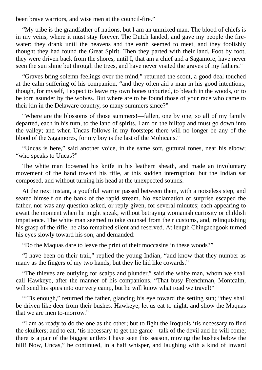been brave warriors, and wise men at the council-fire."

"My tribe is the grandfather of nations, but I am an unmixed man. The blood of chiefs is in my veins, where it must stay forever. The Dutch landed, and gave my people the firewater; they drank until the heavens and the earth seemed to meet, and they foolishly thought they had found the Great Spirit. Then they parted with their land. Foot by foot, they were driven back from the shores, until I, that am a chief and a Sagamore, have never seen the sun shine but through the trees, and have never visited the graves of my fathers."

"Graves bring solemn feelings over the mind," returned the scout, a good deal touched at the calm suffering of his companion; "and they often aid a man in his good intentions; though, for myself, I expect to leave my own bones unburied, to bleach in the woods, or to be torn asunder by the wolves. But where are to be found those of your race who came to their kin in the Delaware country, so many summers since?"

"Where are the blossoms of those summers!—fallen, one by one; so all of my family departed, each in his turn, to the land of spirits. I am on the hilltop and must go down into the valley; and when Uncas follows in my footsteps there will no longer be any of the blood of the Sagamores, for my boy is the last of the Mohicans."

"Uncas is here," said another voice, in the same soft, guttural tones, near his elbow; "who speaks to Uncas?"

The white man loosened his knife in his leathern sheath, and made an involuntary movement of the hand toward his rifle, at this sudden interruption; but the Indian sat composed, and without turning his head at the unexpected sounds.

At the next instant, a youthful warrior passed between them, with a noiseless step, and seated himself on the bank of the rapid stream. No exclamation of surprise escaped the father, nor was any question asked, or reply given, for several minutes; each appearing to await the moment when he might speak, without betraying womanish curiosity or childish impatience. The white man seemed to take counsel from their customs, and, relinquishing his grasp of the rifle, he also remained silent and reserved. At length Chingachgook turned his eyes slowly toward his son, and demanded:

"Do the Maquas dare to leave the print of their moccasins in these woods?"

"I have been on their trail," replied the young Indian, "and know that they number as many as the fingers of my two hands; but they lie hid like cowards."

"The thieves are outlying for scalps and plunder," said the white man, whom we shall call Hawkeye, after the manner of his companions. "That busy Frenchman, Montcalm, will send his spies into our very camp, but he will know what road we travel!"

"'Tis enough," returned the father, glancing his eye toward the setting sun; "they shall be driven like deer from their bushes. Hawkeye, let us eat to-night, and show the Maquas that we are men to-morrow."

"I am as ready to do the one as the other; but to fight the Iroquois 'tis necessary to find the skulkers; and to eat, 'tis necessary to get the game—talk of the devil and he will come; there is a pair of the biggest antlers I have seen this season, moving the bushes below the hill! Now, Uncas," he continued, in a half whisper, and laughing with a kind of inward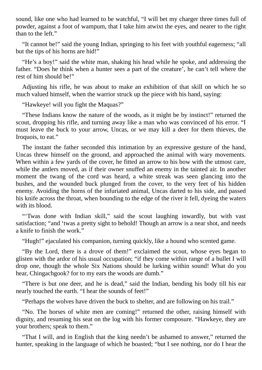sound, like one who had learned to be watchful, "I will bet my charger three times full of powder, against a foot of wampum, that I take him atwixt the eyes, and nearer to the right than to the left."

"It cannot be!" said the young Indian, springing to his feet with youthful eagerness; "all but the tips of his horns are hid!"

"He's a boy!" said the white man, shaking his head while he spoke, and addressing the father. "Does he think when a hunter sees a part of the creature', he can't tell where the rest of him should be!"

Adjusting his rifle, he was about to make an exhibition of that skill on which he so much valued himself, when the warrior struck up the piece with his hand, saying:

"Hawkeye! will you fight the Maquas?"

"These Indians know the nature of the woods, as it might be by instinct!" returned the scout, dropping his rifle, and turning away like a man who was convinced of his error. "I must leave the buck to your arrow, Uncas, or we may kill a deer for them thieves, the Iroquois, to eat."

The instant the father seconded this intimation by an expressive gesture of the hand, Uncas threw himself on the ground, and approached the animal with wary movements. When within a few yards of the cover, he fitted an arrow to his bow with the utmost care, while the antlers moved, as if their owner snuffed an enemy in the tainted air. In another moment the twang of the cord was heard, a white streak was seen glancing into the bushes, and the wounded buck plunged from the cover, to the very feet of his hidden enemy. Avoiding the horns of the infuriated animal, Uncas darted to his side, and passed his knife across the throat, when bounding to the edge of the river it fell, dyeing the waters with its blood.

"'Twas done with Indian skill," said the scout laughing inwardly, but with vast satisfaction; "and 'twas a pretty sight to behold! Though an arrow is a near shot, and needs a knife to finish the work."

"Hugh!" ejaculated his companion, turning quickly, like a hound who scented game.

"By the Lord, there is a drove of them!" exclaimed the scout, whose eyes began to glisten with the ardor of his usual occupation; "if they come within range of a bullet I will drop one, though the whole Six Nations should be lurking within sound! What do you hear, Chingachgook? for to my ears the woods are dumb."

"There is but one deer, and he is dead," said the Indian, bending his body till his ear nearly touched the earth. "I hear the sounds of feet!"

"Perhaps the wolves have driven the buck to shelter, and are following on his trail."

"No. The horses of white men are coming!" returned the other, raising himself with dignity, and resuming his seat on the log with his former composure. "Hawkeye, they are your brothers; speak to them."

"That I will, and in English that the king needn't be ashamed to answer," returned the hunter, speaking in the language of which he boasted; "but I see nothing, nor do I hear the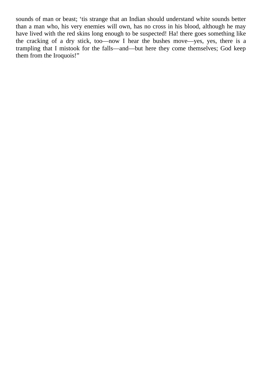<span id="page-24-0"></span>sounds of man or beast; 'tis strange that an Indian should understand white sounds better than a man who, his very enemies will own, has no cross in his blood, although he may have lived with the red skins long enough to be suspected! Ha! there goes something like the cracking of a dry stick, too—now I hear the bushes move—yes, yes, there is a trampling that I mistook for the falls—and—but here they come themselves; God keep them from the Iroquois!"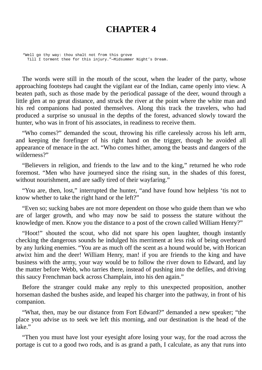#### **CHAPTER 4**

"Well go thy way: thou shalt not from this grove Till I torment thee for this injury."—Midsummer Night's Dream.

The words were still in the mouth of the scout, when the leader of the party, whose approaching footsteps had caught the vigilant ear of the Indian, came openly into view. A beaten path, such as those made by the periodical passage of the deer, wound through a little glen at no great distance, and struck the river at the point where the white man and his red companions had posted themselves. Along this track the travelers, who had produced a surprise so unusual in the depths of the forest, advanced slowly toward the hunter, who was in front of his associates, in readiness to receive them.

"Who comes?" demanded the scout, throwing his rifle carelessly across his left arm, and keeping the forefinger of his right hand on the trigger, though he avoided all appearance of menace in the act. "Who comes hither, among the beasts and dangers of the wilderness?"

"Believers in religion, and friends to the law and to the king," returned he who rode foremost. "Men who have journeyed since the rising sun, in the shades of this forest, without nourishment, and are sadly tired of their wayfaring."

"You are, then, lost," interrupted the hunter, "and have found how helpless 'tis not to know whether to take the right hand or the left?"

"Even so; sucking babes are not more dependent on those who guide them than we who are of larger growth, and who may now be said to possess the stature without the knowledge of men. Know you the distance to a post of the crown called William Henry?"

"Hoot!" shouted the scout, who did not spare his open laughter, though instantly checking the dangerous sounds he indulged his merriment at less risk of being overheard by any lurking enemies. "You are as much off the scent as a hound would be, with Horican atwixt him and the deer! William Henry, man! if you are friends to the king and have business with the army, your way would be to follow the river down to Edward, and lay the matter before Webb, who tarries there, instead of pushing into the defiles, and driving this saucy Frenchman back across Champlain, into his den again."

Before the stranger could make any reply to this unexpected proposition, another horseman dashed the bushes aside, and leaped his charger into the pathway, in front of his companion.

"What, then, may be our distance from Fort Edward?" demanded a new speaker; "the place you advise us to seek we left this morning, and our destination is the head of the lake."

"Then you must have lost your eyesight afore losing your way, for the road across the portage is cut to a good two rods, and is as grand a path, I calculate, as any that runs into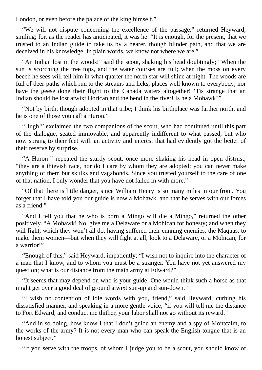London, or even before the palace of the king himself."

"We will not dispute concerning the excellence of the passage," returned Heyward, smiling; for, as the reader has anticipated, it was he. "It is enough, for the present, that we trusted to an Indian guide to take us by a nearer, though blinder path, and that we are deceived in his knowledge. In plain words, we know not where we are."

"An Indian lost in the woods!" said the scout, shaking his head doubtingly; "When the sun is scorching the tree tops, and the water courses are full; when the moss on every beech he sees will tell him in what quarter the north star will shine at night. The woods are full of deer-paths which run to the streams and licks, places well known to everybody; nor have the geese done their flight to the Canada waters altogether! 'Tis strange that an Indian should be lost atwixt Horican and the bend in the river! Is he a Mohawk?"

"Not by birth, though adopted in that tribe; I think his birthplace was farther north, and he is one of those you call a Huron."

"Hugh!" exclaimed the two companions of the scout, who had continued until this part of the dialogue, seated immovable, and apparently indifferent to what passed, but who now sprang to their feet with an activity and interest that had evidently got the better of their reserve by surprise.

"A Huron!" repeated the sturdy scout, once more shaking his head in open distrust; "they are a thievish race, nor do I care by whom they are adopted; you can never make anything of them but skulks and vagabonds. Since you trusted yourself to the care of one of that nation, I only wonder that you have not fallen in with more."

"Of that there is little danger, since William Henry is so many miles in our front. You forget that I have told you our guide is now a Mohawk, and that he serves with our forces as a friend."

"And I tell you that he who is born a Mingo will die a Mingo," returned the other positively. "A Mohawk! No, give me a Delaware or a Mohican for honesty; and when they will fight, which they won't all do, having suffered their cunning enemies, the Maquas, to make them women—but when they will fight at all, look to a Delaware, or a Mohican, for a warrior!"

"Enough of this," said Heyward, impatiently; "I wish not to inquire into the character of a man that I know, and to whom you must be a stranger. You have not yet answered my question; what is our distance from the main army at Edward?"

"It seems that may depend on who is your guide. One would think such a horse as that might get over a good deal of ground atwixt sun-up and sun-down."

"I wish no contention of idle words with you, friend," said Heyward, curbing his dissatisfied manner, and speaking in a more gentle voice; "if you will tell me the distance to Fort Edward, and conduct me thither, your labor shall not go without its reward."

"And in so doing, how know I that I don't guide an enemy and a spy of Montcalm, to the works of the army? It is not every man who can speak the English tongue that is an honest subject."

"If you serve with the troops, of whom I judge you to be a scout, you should know of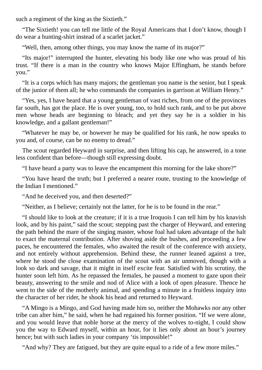such a regiment of the king as the Sixtieth."

"The Sixtieth! you can tell me little of the Royal Americans that I don't know, though I do wear a hunting-shirt instead of a scarlet jacket."

"Well, then, among other things, you may know the name of its major?"

"Its major!" interrupted the hunter, elevating his body like one who was proud of his trust. "If there is a man in the country who knows Major Effingham, he stands before you."

"It is a corps which has many majors; the gentleman you name is the senior, but I speak of the junior of them all; he who commands the companies in garrison at William Henry."

"Yes, yes, I have heard that a young gentleman of vast riches, from one of the provinces far south, has got the place. He is over young, too, to hold such rank, and to be put above men whose heads are beginning to bleach; and yet they say he is a soldier in his knowledge, and a gallant gentleman!"

"Whatever he may be, or however he may be qualified for his rank, he now speaks to you and, of course, can be no enemy to dread."

The scout regarded Heyward in surprise, and then lifting his cap, he answered, in a tone less confident than before—though still expressing doubt.

"I have heard a party was to leave the encampment this morning for the lake shore?"

"You have heard the truth; but I preferred a nearer route, trusting to the knowledge of the Indian I mentioned."

"And he deceived you, and then deserted?"

"Neither, as I believe; certainly not the latter, for he is to be found in the rear."

"I should like to look at the creature; if it is a true Iroquois I can tell him by his knavish look, and by his paint," said the scout; stepping past the charger of Heyward, and entering the path behind the mare of the singing master, whose foal had taken advantage of the halt to exact the maternal contribution. After shoving aside the bushes, and proceeding a few paces, he encountered the females, who awaited the result of the conference with anxiety, and not entirely without apprehension. Behind these, the runner leaned against a tree, where he stood the close examination of the scout with an air unmoved, though with a look so dark and savage, that it might in itself excite fear. Satisfied with his scrutiny, the hunter soon left him. As he repassed the females, he paused a moment to gaze upon their beauty, answering to the smile and nod of Alice with a look of open pleasure. Thence he went to the side of the motherly animal, and spending a minute in a fruitless inquiry into the character of her rider, he shook his head and returned to Heyward.

"A Mingo is a Mingo, and God having made him so, neither the Mohawks nor any other tribe can alter him," he said, when he had regained his former position. "If we were alone, and you would leave that noble horse at the mercy of the wolves to-night, I could show you the way to Edward myself, within an hour, for it lies only about an hour's journey hence; but with such ladies in your company 'tis impossible!"

"And why? They are fatigued, but they are quite equal to a ride of a few more miles."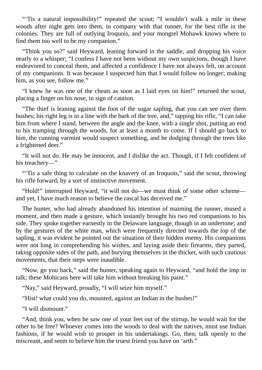"'Tis a natural impossibility!" repeated the scout; "I wouldn't walk a mile in these woods after night gets into them, in company with that runner, for the best rifle in the colonies. They are full of outlying Iroquois, and your mongrel Mohawk knows where to find them too well to be my companion."

"Think you so?" said Heyward, leaning forward in the saddle, and dropping his voice nearly to a whisper; "I confess I have not been without my own suspicions, though I have endeavored to conceal them, and affected a confidence I have not always felt, on account of my companions. It was because I suspected him that I would follow no longer; making him, as you see, follow me."

"I knew he was one of the cheats as soon as I laid eyes on him!" returned the scout, placing a finger on his nose, in sign of caution.

"The thief is leaning against the foot of the sugar sapling, that you can see over them bushes; his right leg is in a line with the bark of the tree, and," tapping his rifle, "I can take him from where I stand, between the angle and the knee, with a single shot, putting an end to his tramping through the woods, for at least a month to come. If I should go back to him, the cunning varmint would suspect something, and be dodging through the trees like a frightened deer."

"It will not do. He may be innocent, and I dislike the act. Though, if I felt confident of his treachery—"

"'Tis a safe thing to calculate on the knavery of an Iroquois," said the scout, throwing his rifle forward, by a sort of instinctive movement.

"Hold!" interrupted Heyward, "it will not do—we must think of some other scheme and yet, I have much reason to believe the rascal has deceived me."

The hunter, who had already abandoned his intention of maiming the runner, mused a moment, and then made a gesture, which instantly brought his two red companions to his side. They spoke together earnestly in the Delaware language, though in an undertone; and by the gestures of the white man, which were frequently directed towards the top of the sapling, it was evident he pointed out the situation of their hidden enemy. His companions were not long in comprehending his wishes, and laying aside their firearms, they parted, taking opposite sides of the path, and burying themselves in the thicket, with such cautious movements, that their steps were inaudible.

"Now, go you back," said the hunter, speaking again to Heyward, "and hold the imp in talk; these Mohicans here will take him without breaking his paint."

"Nay," said Heyward, proudly, "I will seize him myself."

"Hist! what could you do, mounted, against an Indian in the bushes!"

"I will dismount."

"And, think you, when he saw one of your feet out of the stirrup, he would wait for the other to be free? Whoever comes into the woods to deal with the natives, must use Indian fashions, if he would wish to prosper in his undertakings. Go, then; talk openly to the miscreant, and seem to believe him the truest friend you have on 'arth."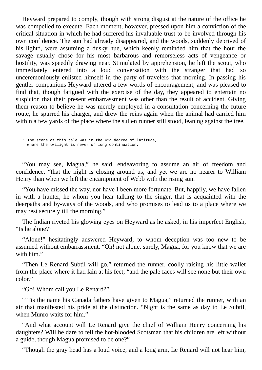Heyward prepared to comply, though with strong disgust at the nature of the office he was compelled to execute. Each moment, however, pressed upon him a conviction of the critical situation in which he had suffered his invaluable trust to be involved through his own confidence. The sun had already disappeared, and the woods, suddenly deprived of his light\*, were assuming a dusky hue, which keenly reminded him that the hour the savage usually chose for his most barbarous and remorseless acts of vengeance or hostility, was speedily drawing near. Stimulated by apprehension, he left the scout, who immediately entered into a loud conversation with the stranger that had so unceremoniously enlisted himself in the party of travelers that morning. In passing his gentler companions Heyward uttered a few words of encouragement, and was pleased to find that, though fatigued with the exercise of the day, they appeared to entertain no suspicion that their present embarrassment was other than the result of accident. Giving them reason to believe he was merely employed in a consultation concerning the future route, he spurred his charger, and drew the reins again when the animal had carried him within a few yards of the place where the sullen runner still stood, leaning against the tree.

\* The scene of this tale was in the 42d degree of latitude, where the twilight is never of long continuation.

"You may see, Magua," he said, endeavoring to assume an air of freedom and confidence, "that the night is closing around us, and yet we are no nearer to William Henry than when we left the encampment of Webb with the rising sun.

"You have missed the way, nor have I been more fortunate. But, happily, we have fallen in with a hunter, he whom you hear talking to the singer, that is acquainted with the deerpaths and by-ways of the woods, and who promises to lead us to a place where we may rest securely till the morning."

The Indian riveted his glowing eyes on Heyward as he asked, in his imperfect English, "Is he alone?"

"Alone!" hesitatingly answered Heyward, to whom deception was too new to be assumed without embarrassment. "Oh! not alone, surely, Magua, for you know that we are with him."

"Then Le Renard Subtil will go," returned the runner, coolly raising his little wallet from the place where it had lain at his feet; "and the pale faces will see none but their own color."

"Go! Whom call you Le Renard?"

"'Tis the name his Canada fathers have given to Magua," returned the runner, with an air that manifested his pride at the distinction. "Night is the same as day to Le Subtil, when Munro waits for him."

"And what account will Le Renard give the chief of William Henry concerning his daughters? Will he dare to tell the hot-blooded Scotsman that his children are left without a guide, though Magua promised to be one?"

"Though the gray head has a loud voice, and a long arm, Le Renard will not hear him,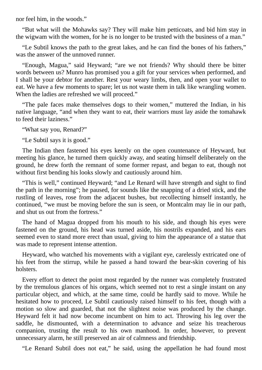nor feel him, in the woods."

"But what will the Mohawks say? They will make him petticoats, and bid him stay in the wigwam with the women, for he is no longer to be trusted with the business of a man."

"Le Subtil knows the path to the great lakes, and he can find the bones of his fathers," was the answer of the unmoved runner.

"Enough, Magua," said Heyward; "are we not friends? Why should there be bitter words between us? Munro has promised you a gift for your services when performed, and I shall be your debtor for another. Rest your weary limbs, then, and open your wallet to eat. We have a few moments to spare; let us not waste them in talk like wrangling women. When the ladies are refreshed we will proceed."

"The pale faces make themselves dogs to their women," muttered the Indian, in his native language, "and when they want to eat, their warriors must lay aside the tomahawk to feed their laziness."

"What say you, Renard?"

"Le Subtil says it is good."

The Indian then fastened his eyes keenly on the open countenance of Heyward, but meeting his glance, he turned them quickly away, and seating himself deliberately on the ground, he drew forth the remnant of some former repast, and began to eat, though not without first bending his looks slowly and cautiously around him.

"This is well," continued Heyward; "and Le Renard will have strength and sight to find the path in the morning"; he paused, for sounds like the snapping of a dried stick, and the rustling of leaves, rose from the adjacent bushes, but recollecting himself instantly, he continued, "we must be moving before the sun is seen, or Montcalm may lie in our path, and shut us out from the fortress."

The hand of Magua dropped from his mouth to his side, and though his eyes were fastened on the ground, his head was turned aside, his nostrils expanded, and his ears seemed even to stand more erect than usual, giving to him the appearance of a statue that was made to represent intense attention.

Heyward, who watched his movements with a vigilant eye, carelessly extricated one of his feet from the stirrup, while he passed a hand toward the bear-skin covering of his holsters.

Every effort to detect the point most regarded by the runner was completely frustrated by the tremulous glances of his organs, which seemed not to rest a single instant on any particular object, and which, at the same time, could be hardly said to move. While he hesitated how to proceed, Le Subtil cautiously raised himself to his feet, though with a motion so slow and guarded, that not the slightest noise was produced by the change. Heyward felt it had now become incumbent on him to act. Throwing his leg over the saddle, he dismounted, with a determination to advance and seize his treacherous companion, trusting the result to his own manhood. In order, however, to prevent unnecessary alarm, he still preserved an air of calmness and friendship.

"Le Renard Subtil does not eat," he said, using the appellation he had found most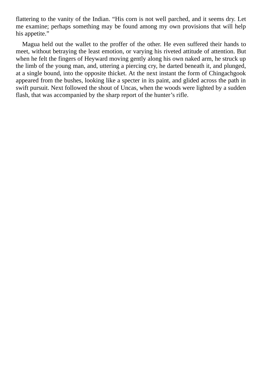flattering to the vanity of the Indian. "His corn is not well parched, and it seems dry. Let me examine; perhaps something may be found among my own provisions that will help his appetite."

<span id="page-32-0"></span>Magua held out the wallet to the proffer of the other. He even suffered their hands to meet, without betraying the least emotion, or varying his riveted attitude of attention. But when he felt the fingers of Heyward moving gently along his own naked arm, he struck up the limb of the young man, and, uttering a piercing cry, he darted beneath it, and plunged, at a single bound, into the opposite thicket. At the next instant the form of Chingachgook appeared from the bushes, looking like a specter in its paint, and glided across the path in swift pursuit. Next followed the shout of Uncas, when the woods were lighted by a sudden flash, that was accompanied by the sharp report of the hunter's rifle.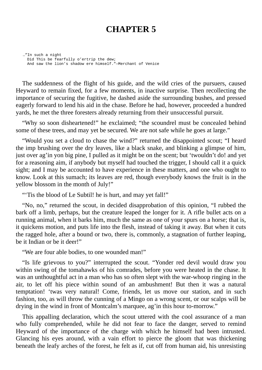#### **CHAPTER 5**

…"In such a night Did This be fearfully o'ertrip the dew; And saw the lion's shadow ere himself."—Merchant of Venice

The suddenness of the flight of his guide, and the wild cries of the pursuers, caused Heyward to remain fixed, for a few moments, in inactive surprise. Then recollecting the importance of securing the fugitive, he dashed aside the surrounding bushes, and pressed eagerly forward to lend his aid in the chase. Before he had, however, proceeded a hundred yards, he met the three foresters already returning from their unsuccessful pursuit.

"Why so soon disheartened!" he exclaimed; "the scoundrel must be concealed behind some of these trees, and may yet be secured. We are not safe while he goes at large."

"Would you set a cloud to chase the wind?" returned the disappointed scout; "I heard the imp brushing over the dry leaves, like a black snake, and blinking a glimpse of him, just over ag'in yon big pine, I pulled as it might be on the scent; but 'twouldn't do! and yet for a reasoning aim, if anybody but myself had touched the trigger, I should call it a quick sight; and I may be accounted to have experience in these matters, and one who ought to know. Look at this sumach; its leaves are red, though everybody knows the fruit is in the yellow blossom in the month of July!"

"'Tis the blood of Le Subtil! he is hurt, and may yet fall!"

"No, no," returned the scout, in decided disapprobation of this opinion, "I rubbed the bark off a limb, perhaps, but the creature leaped the longer for it. A rifle bullet acts on a running animal, when it barks him, much the same as one of your spurs on a horse; that is, it quickens motion, and puts life into the flesh, instead of taking it away. But when it cuts the ragged hole, after a bound or two, there is, commonly, a stagnation of further leaping, be it Indian or be it deer!"

"We are four able bodies, to one wounded man!"

"Is life grievous to you?" interrupted the scout. "Yonder red devil would draw you within swing of the tomahawks of his comrades, before you were heated in the chase. It was an unthoughtful act in a man who has so often slept with the war-whoop ringing in the air, to let off his piece within sound of an ambushment! But then it was a natural temptation! 'twas very natural! Come, friends, let us move our station, and in such fashion, too, as will throw the cunning of a Mingo on a wrong scent, or our scalps will be drying in the wind in front of Montcalm's marquee, ag'in this hour to-morrow."

This appalling declaration, which the scout uttered with the cool assurance of a man who fully comprehended, while he did not fear to face the danger, served to remind Heyward of the importance of the charge with which he himself had been intrusted. Glancing his eyes around, with a vain effort to pierce the gloom that was thickening beneath the leafy arches of the forest, he felt as if, cut off from human aid, his unresisting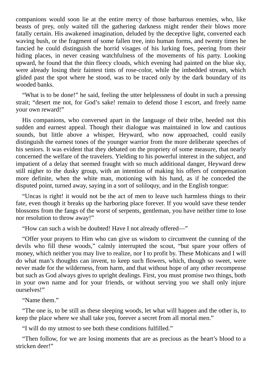companions would soon lie at the entire mercy of those barbarous enemies, who, like beasts of prey, only waited till the gathering darkness might render their blows more fatally certain. His awakened imagination, deluded by the deceptive light, converted each waving bush, or the fragment of some fallen tree, into human forms, and twenty times he fancied he could distinguish the horrid visages of his lurking foes, peering from their hiding places, in never ceasing watchfulness of the movements of his party. Looking upward, he found that the thin fleecy clouds, which evening had painted on the blue sky, were already losing their faintest tints of rose-color, while the imbedded stream, which glided past the spot where he stood, was to be traced only by the dark boundary of its wooded banks.

"What is to be done!" he said, feeling the utter helplessness of doubt in such a pressing strait; "desert me not, for God's sake! remain to defend those I escort, and freely name your own reward!"

His companions, who conversed apart in the language of their tribe, heeded not this sudden and earnest appeal. Though their dialogue was maintained in low and cautious sounds, but little above a whisper, Heyward, who now approached, could easily distinguish the earnest tones of the younger warrior from the more deliberate speeches of his seniors. It was evident that they debated on the propriety of some measure, that nearly concerned the welfare of the travelers. Yielding to his powerful interest in the subject, and impatient of a delay that seemed fraught with so much additional danger, Heyward drew still nigher to the dusky group, with an intention of making his offers of compensation more definite, when the white man, motioning with his hand, as if he conceded the disputed point, turned away, saying in a sort of soliloquy, and in the English tongue:

"Uncas is right! it would not be the act of men to leave such harmless things to their fate, even though it breaks up the harboring place forever. If you would save these tender blossoms from the fangs of the worst of serpents, gentleman, you have neither time to lose nor resolution to throw away!"

"How can such a wish be doubted! Have I not already offered—"

"Offer your prayers to Him who can give us wisdom to circumvent the cunning of the devils who fill these woods," calmly interrupted the scout, "but spare your offers of money, which neither you may live to realize, nor I to profit by. These Mohicans and I will do what man's thoughts can invent, to keep such flowers, which, though so sweet, were never made for the wilderness, from harm, and that without hope of any other recompense but such as God always gives to upright dealings. First, you must promise two things, both in your own name and for your friends, or without serving you we shall only injure ourselves!"

"Name them."

"The one is, to be still as these sleeping woods, let what will happen and the other is, to keep the place where we shall take you, forever a secret from all mortal men."

"I will do my utmost to see both these conditions fulfilled."

"Then follow, for we are losing moments that are as precious as the heart's blood to a stricken deer!"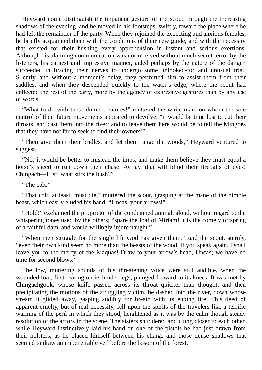Heyward could distinguish the impatient gesture of the scout, through the increasing shadows of the evening, and he moved in his footsteps, swiftly, toward the place where he had left the remainder of the party. When they rejoined the expecting and anxious females, he briefly acquainted them with the conditions of their new guide, and with the necessity that existed for their hushing every apprehension in instant and serious exertions. Although his alarming communication was not received without much secret terror by the listeners, his earnest and impressive manner, aided perhaps by the nature of the danger, succeeded in bracing their nerves to undergo some unlooked-for and unusual trial. Silently, and without a moment's delay, they permitted him to assist them from their saddles, and when they descended quickly to the water's edge, where the scout had collected the rest of the party, more by the agency of expressive gestures than by any use of words.

"What to do with these dumb creatures!" muttered the white man, on whom the sole control of their future movements appeared to devolve; "it would be time lost to cut their throats, and cast them into the river; and to leave them here would be to tell the Mingoes that they have not far to seek to find their owners!"

"Then give them their bridles, and let them range the woods," Heyward ventured to suggest.

"No; it would be better to mislead the imps, and make them believe they must equal a horse's speed to run down their chase. Ay, ay, that will blind their fireballs of eyes! Chingach—Hist! what stirs the bush?"

"The colt."

"That colt, at least, must die," muttered the scout, grasping at the mane of the nimble beast, which easily eluded his hand; "Uncas, your arrows!"

"Hold!" exclaimed the proprietor of the condemned animal, aloud, without regard to the whispering tones used by the others: "spare the foal of Miriam! it is the comely offspring of a faithful dam, and would willingly injure naught."

"When men struggle for the single life God has given them," said the scout, sternly, "even their own kind seem no more than the beasts of the wood. If you speak again, I shall leave you to the mercy of the Maquas! Draw to your arrow's head, Uncas; we have no time for second blows."

The low, muttering sounds of his threatening voice were still audible, when the wounded foal, first rearing on its hinder legs, plunged forward to its knees. It was met by Chingachgook, whose knife passed across its throat quicker than thought, and then precipitating the motions of the struggling victim, he dashed into the river, down whose stream it glided away, gasping audibly for breath with its ebbing life. This deed of apparent cruelty, but of real necessity, fell upon the spirits of the travelers like a terrific warning of the peril in which they stood, heightened as it was by the calm though steady resolution of the actors in the scene. The sisters shuddered and clung closer to each other, while Heyward instinctively laid his hand on one of the pistols he had just drawn from their holsters, as he placed himself between his charge and those dense shadows that seemed to draw an impenetrable veil before the bosom of the forest.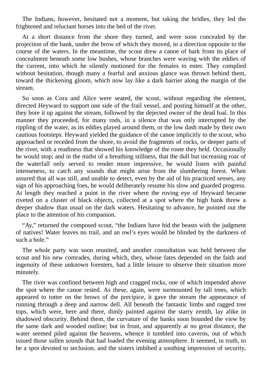The Indians, however, hesitated not a moment, but taking the bridles, they led the frightened and reluctant horses into the bed of the river.

At a short distance from the shore they turned, and were soon concealed by the projection of the bank, under the brow of which they moved, in a direction opposite to the course of the waters. In the meantime, the scout drew a canoe of bark from its place of concealment beneath some low bushes, whose branches were waving with the eddies of the current, into which he silently motioned for the females to enter. They complied without hesitation, though many a fearful and anxious glance was thrown behind them, toward the thickening gloom, which now lay like a dark barrier along the margin of the stream.

So soon as Cora and Alice were seated, the scout, without regarding the element, directed Heyward to support one side of the frail vessel, and posting himself at the other, they bore it up against the stream, followed by the dejected owner of the dead foal. In this manner they proceeded, for many rods, in a silence that was only interrupted by the rippling of the water, as its eddies played around them, or the low dash made by their own cautious footsteps. Heyward yielded the guidance of the canoe implicitly to the scout, who approached or receded from the shore, to avoid the fragments of rocks, or deeper parts of the river, with a readiness that showed his knowledge of the route they held. Occasionally he would stop; and in the midst of a breathing stillness, that the dull but increasing roar of the waterfall only served to render more impressive, he would listen with painful intenseness, to catch any sounds that might arise from the slumbering forest. When assured that all was still, and unable to detect, even by the aid of his practiced senses, any sign of his approaching foes, he would deliberately resume his slow and guarded progress. At length they reached a point in the river where the roving eye of Heyward became riveted on a cluster of black objects, collected at a spot where the high bank threw a deeper shadow than usual on the dark waters. Hesitating to advance, he pointed out the place to the attention of his companion.

"Ay," returned the composed scout, "the Indians have hid the beasts with the judgment of natives! Water leaves no trail, and an owl's eyes would be blinded by the darkness of such a hole."

The whole party was soon reunited, and another consultation was held between the scout and his new comrades, during which, they, whose fates depended on the faith and ingenuity of these unknown foresters, had a little leisure to observe their situation more minutely.

The river was confined between high and cragged rocks, one of which impended above the spot where the canoe rested. As these, again, were surmounted by tall trees, which appeared to totter on the brows of the precipice, it gave the stream the appearance of running through a deep and narrow dell. All beneath the fantastic limbs and ragged tree tops, which were, here and there, dimly painted against the starry zenith, lay alike in shadowed obscurity. Behind them, the curvature of the banks soon bounded the view by the same dark and wooded outline; but in front, and apparently at no great distance, the water seemed piled against the heavens, whence it tumbled into caverns, out of which issued those sullen sounds that had loaded the evening atmosphere. It seemed, in truth, to be a spot devoted to seclusion, and the sisters imbibed a soothing impression of security,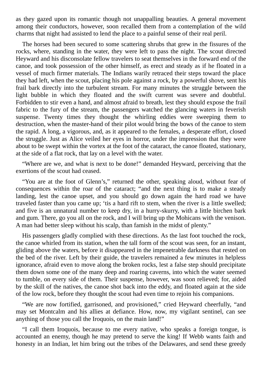as they gazed upon its romantic though not unappalling beauties. A general movement among their conductors, however, soon recalled them from a contemplation of the wild charms that night had assisted to lend the place to a painful sense of their real peril.

The horses had been secured to some scattering shrubs that grew in the fissures of the rocks, where, standing in the water, they were left to pass the night. The scout directed Heyward and his disconsolate fellow travelers to seat themselves in the forward end of the canoe, and took possession of the other himself, as erect and steady as if he floated in a vessel of much firmer materials. The Indians warily retraced their steps toward the place they had left, when the scout, placing his pole against a rock, by a powerful shove, sent his frail bark directly into the turbulent stream. For many minutes the struggle between the light bubble in which they floated and the swift current was severe and doubtful. Forbidden to stir even a hand, and almost afraid to breath, lest they should expose the frail fabric to the fury of the stream, the passengers watched the glancing waters in feverish suspense. Twenty times they thought the whirling eddies were sweeping them to destruction, when the master-hand of their pilot would bring the bows of the canoe to stem the rapid. A long, a vigorous, and, as it appeared to the females, a desperate effort, closed the struggle. Just as Alice veiled her eyes in horror, under the impression that they were about to be swept within the vortex at the foot of the cataract, the canoe floated, stationary, at the side of a flat rock, that lay on a level with the water.

"Where are we, and what is next to be done!" demanded Heyward, perceiving that the exertions of the scout had ceased.

"You are at the foot of Glenn's," returned the other, speaking aloud, without fear of consequences within the roar of the cataract; "and the next thing is to make a steady landing, lest the canoe upset, and you should go down again the hard road we have traveled faster than you came up; 'tis a hard rift to stem, when the river is a little swelled; and five is an unnatural number to keep dry, in a hurry-skurry, with a little birchen bark and gum. There, go you all on the rock, and I will bring up the Mohicans with the venison. A man had better sleep without his scalp, than famish in the midst of plenty."

His passengers gladly complied with these directions. As the last foot touched the rock, the canoe whirled from its station, when the tall form of the scout was seen, for an instant, gliding above the waters, before it disappeared in the impenetrable darkness that rested on the bed of the river. Left by their guide, the travelers remained a few minutes in helpless ignorance, afraid even to move along the broken rocks, lest a false step should precipitate them down some one of the many deep and roaring caverns, into which the water seemed to tumble, on every side of them. Their suspense, however, was soon relieved; for, aided by the skill of the natives, the canoe shot back into the eddy, and floated again at the side of the low rock, before they thought the scout had even time to rejoin his companions.

"We are now fortified, garrisoned, and provisioned," cried Heyward cheerfully, "and may set Montcalm and his allies at defiance. How, now, my vigilant sentinel, can see anything of those you call the Iroquois, on the main land!"

"I call them Iroquois, because to me every native, who speaks a foreign tongue, is accounted an enemy, though he may pretend to serve the king! If Webb wants faith and honesty in an Indian, let him bring out the tribes of the Delawares, and send these greedy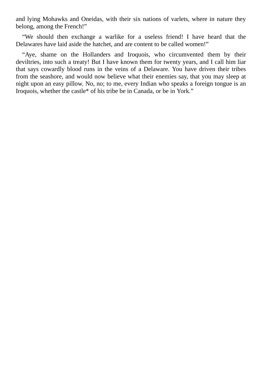and lying Mohawks and Oneidas, with their six nations of varlets, where in nature they belong, among the French!"

"We should then exchange a warlike for a useless friend! I have heard that the Delawares have laid aside the hatchet, and are content to be called women!"

"Aye, shame on the Hollanders and Iroquois, who circumvented them by their deviltries, into such a treaty! But I have known them for twenty years, and I call him liar that says cowardly blood runs in the veins of a Delaware. You have driven their tribes from the seashore, and would now believe what their enemies say, that you may sleep at night upon an easy pillow. No, no; to me, every Indian who speaks a foreign tongue is an Iroquois, whether the castle\* of his tribe be in Canada, or be in York."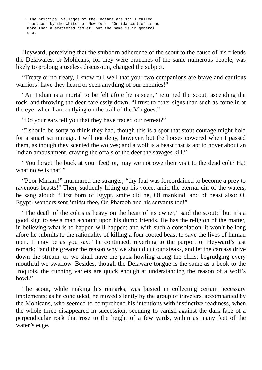\* The principal villages of the Indians are still called "castles" by the whites of New York. "Oneida castle" is no more than a scattered hamlet; but the name is in general use.

Heyward, perceiving that the stubborn adherence of the scout to the cause of his friends the Delawares, or Mohicans, for they were branches of the same numerous people, was likely to prolong a useless discussion, changed the subject.

"Treaty or no treaty, I know full well that your two companions are brave and cautious warriors! have they heard or seen anything of our enemies!"

"An Indian is a mortal to be felt afore he is seen," returned the scout, ascending the rock, and throwing the deer carelessly down. "I trust to other signs than such as come in at the eye, when I am outlying on the trail of the Mingoes."

"Do your ears tell you that they have traced our retreat?"

"I should be sorry to think they had, though this is a spot that stout courage might hold for a smart scrimmage. I will not deny, however, but the horses cowered when I passed them, as though they scented the wolves; and a wolf is a beast that is apt to hover about an Indian ambushment, craving the offals of the deer the savages kill."

"You forget the buck at your feet! or, may we not owe their visit to the dead colt? Ha! what noise is that?"

"Poor Miriam!" murmured the stranger; "thy foal was foreordained to become a prey to ravenous beasts!" Then, suddenly lifting up his voice, amid the eternal din of the waters, he sang aloud: "First born of Egypt, smite did he, Of mankind, and of beast also: O, Egypt! wonders sent 'midst thee, On Pharaoh and his servants too!"

"The death of the colt sits heavy on the heart of its owner," said the scout; "but it's a good sign to see a man account upon his dumb friends. He has the religion of the matter, in believing what is to happen will happen; and with such a consolation, it won't be long afore he submits to the rationality of killing a four-footed beast to save the lives of human men. It may be as you say," he continued, reverting to the purport of Heyward's last remark; "and the greater the reason why we should cut our steaks, and let the carcass drive down the stream, or we shall have the pack howling along the cliffs, begrudging every mouthful we swallow. Besides, though the Delaware tongue is the same as a book to the Iroquois, the cunning varlets are quick enough at understanding the reason of a wolf's howl."

The scout, while making his remarks, was busied in collecting certain necessary implements; as he concluded, he moved silently by the group of travelers, accompanied by the Mohicans, who seemed to comprehend his intentions with instinctive readiness, when the whole three disappeared in succession, seeming to vanish against the dark face of a perpendicular rock that rose to the height of a few yards, within as many feet of the water's edge.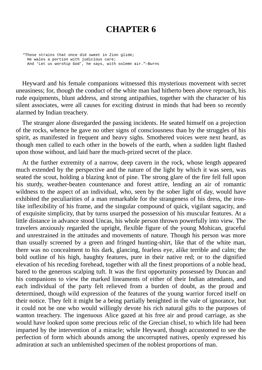## **CHAPTER 6**

"Those strains that once did sweet in Zion glide; He wales a portion with judicious care; And 'Let us worship God', he says, with solemn air."—Burns

Heyward and his female companions witnessed this mysterious movement with secret uneasiness; for, though the conduct of the white man had hitherto been above reproach, his rude equipments, blunt address, and strong antipathies, together with the character of his silent associates, were all causes for exciting distrust in minds that had been so recently alarmed by Indian treachery.

The stranger alone disregarded the passing incidents. He seated himself on a projection of the rocks, whence he gave no other signs of consciousness than by the struggles of his spirit, as manifested in frequent and heavy sighs. Smothered voices were next heard, as though men called to each other in the bowels of the earth, when a sudden light flashed upon those without, and laid bare the much-prized secret of the place.

At the further extremity of a narrow, deep cavern in the rock, whose length appeared much extended by the perspective and the nature of the light by which it was seen, was seated the scout, holding a blazing knot of pine. The strong glare of the fire fell full upon his sturdy, weather-beaten countenance and forest attire, lending an air of romantic wildness to the aspect of an individual, who, seen by the sober light of day, would have exhibited the peculiarities of a man remarkable for the strangeness of his dress, the ironlike inflexibility of his frame, and the singular compound of quick, vigilant sagacity, and of exquisite simplicity, that by turns usurped the possession of his muscular features. At a little distance in advance stood Uncas, his whole person thrown powerfully into view. The travelers anxiously regarded the upright, flexible figure of the young Mohican, graceful and unrestrained in the attitudes and movements of nature. Though his person was more than usually screened by a green and fringed hunting-shirt, like that of the white man, there was no concealment to his dark, glancing, fearless eye, alike terrible and calm; the bold outline of his high, haughty features, pure in their native red; or to the dignified elevation of his receding forehead, together with all the finest proportions of a noble head, bared to the generous scalping tuft. It was the first opportunity possessed by Duncan and his companions to view the marked lineaments of either of their Indian attendants, and each individual of the party felt relieved from a burden of doubt, as the proud and determined, though wild expression of the features of the young warrior forced itself on their notice. They felt it might be a being partially benighted in the vale of ignorance, but it could not be one who would willingly devote his rich natural gifts to the purposes of wanton treachery. The ingenuous Alice gazed at his free air and proud carriage, as she would have looked upon some precious relic of the Grecian chisel, to which life had been imparted by the intervention of a miracle; while Heyward, though accustomed to see the perfection of form which abounds among the uncorrupted natives, openly expressed his admiration at such an unblemished specimen of the noblest proportions of man.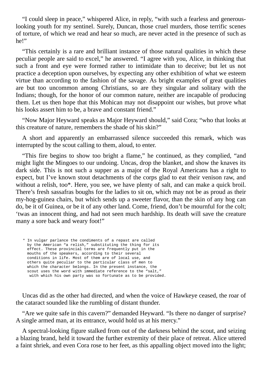"I could sleep in peace," whispered Alice, in reply, "with such a fearless and generouslooking youth for my sentinel. Surely, Duncan, those cruel murders, those terrific scenes of torture, of which we read and hear so much, are never acted in the presence of such as he!"

"This certainly is a rare and brilliant instance of those natural qualities in which these peculiar people are said to excel," he answered. "I agree with you, Alice, in thinking that such a front and eye were formed rather to intimidate than to deceive; but let us not practice a deception upon ourselves, by expecting any other exhibition of what we esteem virtue than according to the fashion of the savage. As bright examples of great qualities are but too uncommon among Christians, so are they singular and solitary with the Indians; though, for the honor of our common nature, neither are incapable of producing them. Let us then hope that this Mohican may not disappoint our wishes, but prove what his looks assert him to be, a brave and constant friend."

"Now Major Heyward speaks as Major Heyward should," said Cora; "who that looks at this creature of nature, remembers the shade of his skin?"

A short and apparently an embarrassed silence succeeded this remark, which was interrupted by the scout calling to them, aloud, to enter.

"This fire begins to show too bright a flame," he continued, as they complied, "and might light the Mingoes to our undoing. Uncas, drop the blanket, and show the knaves its dark side. This is not such a supper as a major of the Royal Americans has a right to expect, but I've known stout detachments of the corps glad to eat their venison raw, and without a relish, too\*. Here, you see, we have plenty of salt, and can make a quick broil. There's fresh sassafras boughs for the ladies to sit on, which may not be as proud as their my-hog-guinea chairs, but which sends up a sweeter flavor, than the skin of any hog can do, be it of Guinea, or be it of any other land. Come, friend, don't be mournful for the colt; 'twas an innocent thing, and had not seen much hardship. Its death will save the creature many a sore back and weary foot!"

\* In vulgar parlance the condiments of a repast are called by the American "a relish," substituting the thing for its effect. These provincial terms are frequently put in the mouths of the speakers, according to their several conditions in life. Most of them are of local use, and others quite peculiar to the particular class of men to which the character belongs. In the present instance, the scout uses the word with immediate reference to the "salt," with which his own party was so fortunate as to be provided.

Uncas did as the other had directed, and when the voice of Hawkeye ceased, the roar of the cataract sounded like the rumbling of distant thunder.

"Are we quite safe in this cavern?" demanded Heyward. "Is there no danger of surprise? A single armed man, at its entrance, would hold us at his mercy."

A spectral-looking figure stalked from out of the darkness behind the scout, and seizing a blazing brand, held it toward the further extremity of their place of retreat. Alice uttered a faint shriek, and even Cora rose to her feet, as this appalling object moved into the light;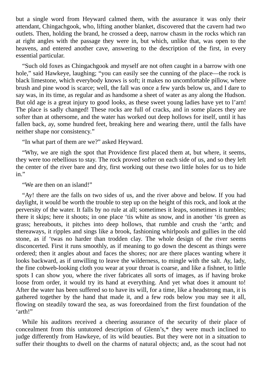but a single word from Heyward calmed them, with the assurance it was only their attendant, Chingachgook, who, lifting another blanket, discovered that the cavern had two outlets. Then, holding the brand, he crossed a deep, narrow chasm in the rocks which ran at right angles with the passage they were in, but which, unlike that, was open to the heavens, and entered another cave, answering to the description of the first, in every essential particular.

"Such old foxes as Chingachgook and myself are not often caught in a barrow with one hole," said Hawkeye, laughing; "you can easily see the cunning of the place—the rock is black limestone, which everybody knows is soft; it makes no uncomfortable pillow, where brush and pine wood is scarce; well, the fall was once a few yards below us, and I dare to say was, in its time, as regular and as handsome a sheet of water as any along the Hudson. But old age is a great injury to good looks, as these sweet young ladies have yet to l'arn! The place is sadly changed! These rocks are full of cracks, and in some places they are softer than at othersome, and the water has worked out deep hollows for itself, until it has fallen back, ay, some hundred feet, breaking here and wearing there, until the falls have neither shape nor consistency."

"In what part of them are we?" asked Heyward.

"Why, we are nigh the spot that Providence first placed them at, but where, it seems, they were too rebellious to stay. The rock proved softer on each side of us, and so they left the center of the river bare and dry, first working out these two little holes for us to hide in."

"We are then on an island!"

"Ay! there are the falls on two sides of us, and the river above and below. If you had daylight, it would be worth the trouble to step up on the height of this rock, and look at the perversity of the water. It falls by no rule at all; sometimes it leaps, sometimes it tumbles; there it skips; here it shoots; in one place 'tis white as snow, and in another 'tis green as grass; hereabouts, it pitches into deep hollows, that rumble and crush the 'arth; and thereaways, it ripples and sings like a brook, fashioning whirlpools and gullies in the old stone, as if 'twas no harder than trodden clay. The whole design of the river seems disconcerted. First it runs smoothly, as if meaning to go down the descent as things were ordered; then it angles about and faces the shores; nor are there places wanting where it looks backward, as if unwilling to leave the wilderness, to mingle with the salt. Ay, lady, the fine cobweb-looking cloth you wear at your throat is coarse, and like a fishnet, to little spots I can show you, where the river fabricates all sorts of images, as if having broke loose from order, it would try its hand at everything. And yet what does it amount to! After the water has been suffered so to have its will, for a time, like a headstrong man, it is gathered together by the hand that made it, and a few rods below you may see it all, flowing on steadily toward the sea, as was foreordained from the first foundation of the 'arth!"

While his auditors received a cheering assurance of the security of their place of concealment from this untutored description of Glenn's,\* they were much inclined to judge differently from Hawkeye, of its wild beauties. But they were not in a situation to suffer their thoughts to dwell on the charms of natural objects; and, as the scout had not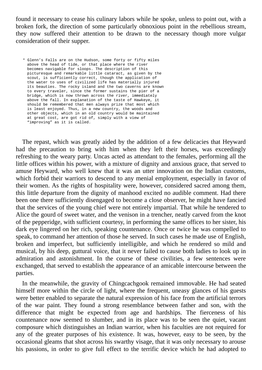found it necessary to cease his culinary labors while he spoke, unless to point out, with a broken fork, the direction of some particularly obnoxious point in the rebellious stream, they now suffered their attention to be drawn to the necessary though more vulgar consideration of their supper.

\* Glenn's Falls are on the Hudson, some forty or fifty miles above the head of tide, or that place where the river becomes navigable for sloops. The description of this picturesque and remarkable little cataract, as given by the scout, is sufficiently correct, though the application of the water to uses of civilized life has materially injured its beauties. The rocky island and the two caverns are known to every traveler, since the former sustains the pier of a bridge, which is now thrown across the river, immediately above the fall. In explanation of the taste of Hawkeye, it should be remembered that men always prize that most which is least enjoyed. Thus, in a new country, the woods and other objects, which in an old country would be maintained at great cost, are got rid of, simply with a view of "improving" as it is called.

The repast, which was greatly aided by the addition of a few delicacies that Heyward had the precaution to bring with him when they left their horses, was exceedingly refreshing to the weary party. Uncas acted as attendant to the females, performing all the little offices within his power, with a mixture of dignity and anxious grace, that served to amuse Heyward, who well knew that it was an utter innovation on the Indian customs, which forbid their warriors to descend to any menial employment, especially in favor of their women. As the rights of hospitality were, however, considered sacred among them, this little departure from the dignity of manhood excited no audible comment. Had there been one there sufficiently disengaged to become a close observer, he might have fancied that the services of the young chief were not entirely impartial. That while he tendered to Alice the gourd of sweet water, and the venison in a trencher, neatly carved from the knot of the pepperidge, with sufficient courtesy, in performing the same offices to her sister, his dark eye lingered on her rich, speaking countenance. Once or twice he was compelled to speak, to command her attention of those he served. In such cases he made use of English, broken and imperfect, but sufficiently intelligible, and which he rendered so mild and musical, by his deep, guttural voice, that it never failed to cause both ladies to look up in admiration and astonishment. In the course of these civilities, a few sentences were exchanged, that served to establish the appearance of an amicable intercourse between the parties.

In the meanwhile, the gravity of Chingcachgook remained immovable. He had seated himself more within the circle of light, where the frequent, uneasy glances of his guests were better enabled to separate the natural expression of his face from the artificial terrors of the war paint. They found a strong resemblance between father and son, with the difference that might be expected from age and hardships. The fierceness of his countenance now seemed to slumber, and in its place was to be seen the quiet, vacant composure which distinguishes an Indian warrior, when his faculties are not required for any of the greater purposes of his existence. It was, however, easy to be seen, by the occasional gleams that shot across his swarthy visage, that it was only necessary to arouse his passions, in order to give full effect to the terrific device which he had adopted to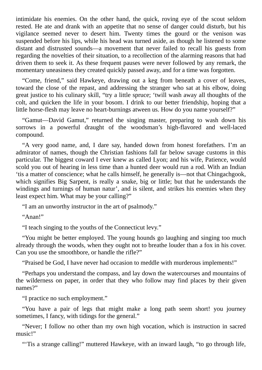intimidate his enemies. On the other hand, the quick, roving eye of the scout seldom rested. He ate and drank with an appetite that no sense of danger could disturb, but his vigilance seemed never to desert him. Twenty times the gourd or the venison was suspended before his lips, while his head was turned aside, as though he listened to some distant and distrusted sounds—a movement that never failed to recall his guests from regarding the novelties of their situation, to a recollection of the alarming reasons that had driven them to seek it. As these frequent pauses were never followed by any remark, the momentary uneasiness they created quickly passed away, and for a time was forgotten.

"Come, friend," said Hawkeye, drawing out a keg from beneath a cover of leaves, toward the close of the repast, and addressing the stranger who sat at his elbow, doing great justice to his culinary skill, "try a little spruce; 'twill wash away all thoughts of the colt, and quicken the life in your bosom. I drink to our better friendship, hoping that a little horse-flesh may leave no heart-burnings atween us. How do you name yourself?"

"Gamut—David Gamut," returned the singing master, preparing to wash down his sorrows in a powerful draught of the woodsman's high-flavored and well-laced compound.

"A very good name, and, I dare say, handed down from honest forefathers. I'm an admirator of names, though the Christian fashions fall far below savage customs in this particular. The biggest coward I ever knew as called Lyon; and his wife, Patience, would scold you out of hearing in less time than a hunted deer would run a rod. With an Indian 'tis a matter of conscience; what he calls himself, he generally is—not that Chingachgook, which signifies Big Sarpent, is really a snake, big or little; but that he understands the windings and turnings of human natur', and is silent, and strikes his enemies when they least expect him. What may be your calling?"

"I am an unworthy instructor in the art of psalmody."

"Anan!"

"I teach singing to the youths of the Connecticut levy."

"You might be better employed. The young hounds go laughing and singing too much already through the woods, when they ought not to breathe louder than a fox in his cover. Can you use the smoothbore, or handle the rifle?"

"Praised be God, I have never had occasion to meddle with murderous implements!"

"Perhaps you understand the compass, and lay down the watercourses and mountains of the wilderness on paper, in order that they who follow may find places by their given names?"

"I practice no such employment."

"You have a pair of legs that might make a long path seem short! you journey sometimes, I fancy, with tidings for the general."

"Never; I follow no other than my own high vocation, which is instruction in sacred music!"

"'Tis a strange calling!" muttered Hawkeye, with an inward laugh, "to go through life,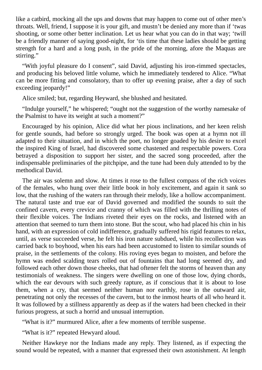like a catbird, mocking all the ups and downs that may happen to come out of other men's throats. Well, friend, I suppose it is your gift, and mustn't be denied any more than if 'twas shooting, or some other better inclination. Let us hear what you can do in that way; 'twill be a friendly manner of saying good-night, for 'tis time that these ladies should be getting strength for a hard and a long push, in the pride of the morning, afore the Maquas are stirring."

"With joyful pleasure do I consent", said David, adjusting his iron-rimmed spectacles, and producing his beloved little volume, which he immediately tendered to Alice. "What can be more fitting and consolatory, than to offer up evening praise, after a day of such exceeding jeopardy!"

Alice smiled; but, regarding Heyward, she blushed and hesitated.

"Indulge yourself," he whispered; "ought not the suggestion of the worthy namesake of the Psalmist to have its weight at such a moment?"

Encouraged by his opinion, Alice did what her pious inclinations, and her keen relish for gentle sounds, had before so strongly urged. The book was open at a hymn not ill adapted to their situation, and in which the poet, no longer goaded by his desire to excel the inspired King of Israel, had discovered some chastened and respectable powers. Cora betrayed a disposition to support her sister, and the sacred song proceeded, after the indispensable preliminaries of the pitchpipe, and the tune had been duly attended to by the methodical David.

The air was solemn and slow. At times it rose to the fullest compass of the rich voices of the females, who hung over their little book in holy excitement, and again it sank so low, that the rushing of the waters ran through their melody, like a hollow accompaniment. The natural taste and true ear of David governed and modified the sounds to suit the confined cavern, every crevice and cranny of which was filled with the thrilling notes of their flexible voices. The Indians riveted their eyes on the rocks, and listened with an attention that seemed to turn them into stone. But the scout, who had placed his chin in his hand, with an expression of cold indifference, gradually suffered his rigid features to relax, until, as verse succeeded verse, he felt his iron nature subdued, while his recollection was carried back to boyhood, when his ears had been accustomed to listen to similar sounds of praise, in the settlements of the colony. His roving eyes began to moisten, and before the hymn was ended scalding tears rolled out of fountains that had long seemed dry, and followed each other down those cheeks, that had oftener felt the storms of heaven than any testimonials of weakness. The singers were dwelling on one of those low, dying chords, which the ear devours with such greedy rapture, as if conscious that it is about to lose them, when a cry, that seemed neither human nor earthly, rose in the outward air, penetrating not only the recesses of the cavern, but to the inmost hearts of all who heard it. It was followed by a stillness apparently as deep as if the waters had been checked in their furious progress, at such a horrid and unusual interruption.

"What is it?" murmured Alice, after a few moments of terrible suspense.

"What is it?" repeated Hewyard aloud.

Neither Hawkeye nor the Indians made any reply. They listened, as if expecting the sound would be repeated, with a manner that expressed their own astonishment. At length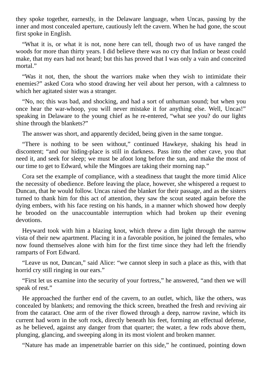they spoke together, earnestly, in the Delaware language, when Uncas, passing by the inner and most concealed aperture, cautiously left the cavern. When he had gone, the scout first spoke in English.

"What it is, or what it is not, none here can tell, though two of us have ranged the woods for more than thirty years. I did believe there was no cry that Indian or beast could make, that my ears had not heard; but this has proved that I was only a vain and conceited mortal."

"Was it not, then, the shout the warriors make when they wish to intimidate their enemies?" asked Cora who stood drawing her veil about her person, with a calmness to which her agitated sister was a stranger.

"No, no; this was bad, and shocking, and had a sort of unhuman sound; but when you once hear the war-whoop, you will never mistake it for anything else. Well, Uncas!" speaking in Delaware to the young chief as he re-entered, "what see you? do our lights shine through the blankets?"

The answer was short, and apparently decided, being given in the same tongue.

"There is nothing to be seen without," continued Hawkeye, shaking his head in discontent; "and our hiding-place is still in darkness. Pass into the other cave, you that need it, and seek for sleep; we must be afoot long before the sun, and make the most of our time to get to Edward, while the Mingoes are taking their morning nap."

Cora set the example of compliance, with a steadiness that taught the more timid Alice the necessity of obedience. Before leaving the place, however, she whispered a request to Duncan, that he would follow. Uncas raised the blanket for their passage, and as the sisters turned to thank him for this act of attention, they saw the scout seated again before the dying embers, with his face resting on his hands, in a manner which showed how deeply he brooded on the unaccountable interruption which had broken up their evening devotions.

Heyward took with him a blazing knot, which threw a dim light through the narrow vista of their new apartment. Placing it in a favorable position, he joined the females, who now found themselves alone with him for the first time since they had left the friendly ramparts of Fort Edward.

"Leave us not, Duncan," said Alice: "we cannot sleep in such a place as this, with that horrid cry still ringing in our ears."

"First let us examine into the security of your fortress," he answered, "and then we will speak of rest."

He approached the further end of the cavern, to an outlet, which, like the others, was concealed by blankets; and removing the thick screen, breathed the fresh and reviving air from the cataract. One arm of the river flowed through a deep, narrow ravine, which its current had worn in the soft rock, directly beneath his feet, forming an effectual defense, as he believed, against any danger from that quarter; the water, a few rods above them, plunging, glancing, and sweeping along in its most violent and broken manner.

"Nature has made an impenetrable barrier on this side," he continued, pointing down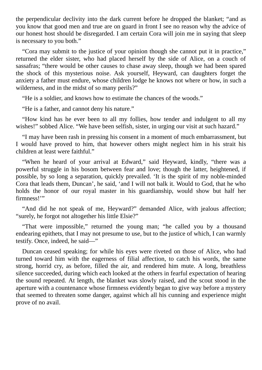the perpendicular declivity into the dark current before he dropped the blanket; "and as you know that good men and true are on guard in front I see no reason why the advice of our honest host should be disregarded. I am certain Cora will join me in saying that sleep is necessary to you both."

"Cora may submit to the justice of your opinion though she cannot put it in practice," returned the elder sister, who had placed herself by the side of Alice, on a couch of sassafras; "there would be other causes to chase away sleep, though we had been spared the shock of this mysterious noise. Ask yourself, Heyward, can daughters forget the anxiety a father must endure, whose children lodge he knows not where or how, in such a wilderness, and in the midst of so many perils?"

"He is a soldier, and knows how to estimate the chances of the woods."

"He is a father, and cannot deny his nature."

"How kind has he ever been to all my follies, how tender and indulgent to all my wishes!" sobbed Alice. "We have been selfish, sister, in urging our visit at such hazard."

"I may have been rash in pressing his consent in a moment of much embarrassment, but I would have proved to him, that however others might neglect him in his strait his children at least were faithful."

"When he heard of your arrival at Edward," said Heyward, kindly, "there was a powerful struggle in his bosom between fear and love; though the latter, heightened, if possible, by so long a separation, quickly prevailed. 'It is the spirit of my noble-minded Cora that leads them, Duncan', he said, 'and I will not balk it. Would to God, that he who holds the honor of our royal master in his guardianship, would show but half her firmness!'"

"And did he not speak of me, Heyward?" demanded Alice, with jealous affection; "surely, he forgot not altogether his little Elsie?"

"That were impossible," returned the young man; "he called you by a thousand endearing epithets, that I may not presume to use, but to the justice of which, I can warmly testify. Once, indeed, he said—"

Duncan ceased speaking; for while his eyes were riveted on those of Alice, who had turned toward him with the eagerness of filial affection, to catch his words, the same strong, horrid cry, as before, filled the air, and rendered him mute. A long, breathless silence succeeded, during which each looked at the others in fearful expectation of hearing the sound repeated. At length, the blanket was slowly raised, and the scout stood in the aperture with a countenance whose firmness evidently began to give way before a mystery that seemed to threaten some danger, against which all his cunning and experience might prove of no avail.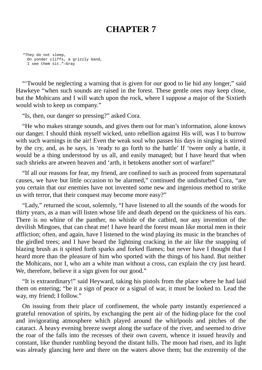## **CHAPTER 7**

"They do not sleep, On yonder cliffs, a grizzly band, I see them sit."—Gray

"'Twould be neglecting a warning that is given for our good to lie hid any longer," said Hawkeye "when such sounds are raised in the forest. These gentle ones may keep close, but the Mohicans and I will watch upon the rock, where I suppose a major of the Sixtieth would wish to keep us company."

"Is, then, our danger so pressing?" asked Cora.

"He who makes strange sounds, and gives them out for man's information, alone knows our danger. I should think myself wicked, unto rebellion against His will, was I to burrow with such warnings in the air! Even the weak soul who passes his days in singing is stirred by the cry, and, as he says, is 'ready to go forth to the battle' If 'twere only a battle, it would be a thing understood by us all, and easily managed; but I have heard that when such shrieks are atween heaven and 'arth, it betokens another sort of warfare!"

"If all our reasons for fear, my friend, are confined to such as proceed from supernatural causes, we have but little occasion to be alarmed," continued the undisturbed Cora, "are you certain that our enemies have not invented some new and ingenious method to strike us with terror, that their conquest may become more easy?"

"Lady," returned the scout, solemnly, "I have listened to all the sounds of the woods for thirty years, as a man will listen whose life and death depend on the quickness of his ears. There is no whine of the panther, no whistle of the catbird, nor any invention of the devilish Mingoes, that can cheat me! I have heard the forest moan like mortal men in their affliction; often, and again, have I listened to the wind playing its music in the branches of the girdled trees; and I have heard the lightning cracking in the air like the snapping of blazing brush as it spitted forth sparks and forked flames; but never have I thought that I heard more than the pleasure of him who sported with the things of his hand. But neither the Mohicans, nor I, who am a white man without a cross, can explain the cry just heard. We, therefore, believe it a sign given for our good."

"It is extraordinary!" said Heyward, taking his pistols from the place where he had laid them on entering; "be it a sign of peace or a signal of war, it must be looked to. Lead the way, my friend; I follow."

On issuing from their place of confinement, the whole party instantly experienced a grateful renovation of spirits, by exchanging the pent air of the hiding-place for the cool and invigorating atmosphere which played around the whirlpools and pitches of the cataract. A heavy evening breeze swept along the surface of the river, and seemed to drive the roar of the falls into the recesses of their own cavern, whence it issued heavily and constant, like thunder rumbling beyond the distant hills. The moon had risen, and its light was already glancing here and there on the waters above them; but the extremity of the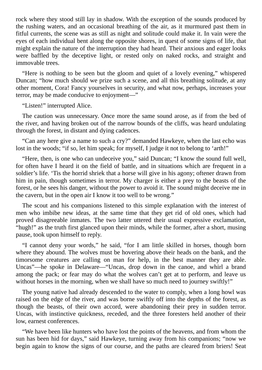rock where they stood still lay in shadow. With the exception of the sounds produced by the rushing waters, and an occasional breathing of the air, as it murmured past them in fitful currents, the scene was as still as night and solitude could make it. In vain were the eyes of each individual bent along the opposite shores, in quest of some signs of life, that might explain the nature of the interruption they had heard. Their anxious and eager looks were baffled by the deceptive light, or rested only on naked rocks, and straight and immovable trees.

"Here is nothing to be seen but the gloom and quiet of a lovely evening," whispered Duncan; "how much should we prize such a scene, and all this breathing solitude, at any other moment, Cora! Fancy yourselves in security, and what now, perhaps, increases your terror, may be made conducive to enjoyment—"

"Listen!" interrupted Alice.

The caution was unnecessary. Once more the same sound arose, as if from the bed of the river, and having broken out of the narrow bounds of the cliffs, was heard undulating through the forest, in distant and dying cadences.

"Can any here give a name to such a cry?" demanded Hawkeye, when the last echo was lost in the woods; "if so, let him speak; for myself, I judge it not to belong to 'arth!"

"Here, then, is one who can undeceive you," said Duncan; "I know the sound full well, for often have I heard it on the field of battle, and in situations which are frequent in a soldier's life. 'Tis the horrid shriek that a horse will give in his agony; oftener drawn from him in pain, though sometimes in terror. My charger is either a prey to the beasts of the forest, or he sees his danger, without the power to avoid it. The sound might deceive me in the cavern, but in the open air I know it too well to be wrong."

The scout and his companions listened to this simple explanation with the interest of men who imbibe new ideas, at the same time that they get rid of old ones, which had proved disagreeable inmates. The two latter uttered their usual expressive exclamation, "hugh!" as the truth first glanced upon their minds, while the former, after a short, musing pause, took upon himself to reply.

"I cannot deny your words," he said, "for I am little skilled in horses, though born where they abound. The wolves must be hovering above their heads on the bank, and the timorsome creatures are calling on man for help, in the best manner they are able. Uncas"—he spoke in Delaware—"Uncas, drop down in the canoe, and whirl a brand among the pack; or fear may do what the wolves can't get at to perform, and leave us without horses in the morning, when we shall have so much need to journey swiftly!"

The young native had already descended to the water to comply, when a long howl was raised on the edge of the river, and was borne swiftly off into the depths of the forest, as though the beasts, of their own accord, were abandoning their prey in sudden terror. Uncas, with instinctive quickness, receded, and the three foresters held another of their low, earnest conferences.

"We have been like hunters who have lost the points of the heavens, and from whom the sun has been hid for days," said Hawkeye, turning away from his companions; "now we begin again to know the signs of our course, and the paths are cleared from briers! Seat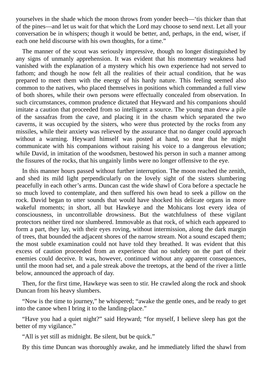yourselves in the shade which the moon throws from yonder beech—'tis thicker than that of the pines—and let us wait for that which the Lord may choose to send next. Let all your conversation be in whispers; though it would be better, and, perhaps, in the end, wiser, if each one held discourse with his own thoughts, for a time."

The manner of the scout was seriously impressive, though no longer distinguished by any signs of unmanly apprehension. It was evident that his momentary weakness had vanished with the explanation of a mystery which his own experience had not served to fathom; and though he now felt all the realities of their actual condition, that he was prepared to meet them with the energy of his hardy nature. This feeling seemed also common to the natives, who placed themselves in positions which commanded a full view of both shores, while their own persons were effectually concealed from observation. In such circumstances, common prudence dictated that Heyward and his companions should imitate a caution that proceeded from so intelligent a source. The young man drew a pile of the sassafras from the cave, and placing it in the chasm which separated the two caverns, it was occupied by the sisters, who were thus protected by the rocks from any missiles, while their anxiety was relieved by the assurance that no danger could approach without a warning. Heyward himself was posted at hand, so near that he might communicate with his companions without raising his voice to a dangerous elevation; while David, in imitation of the woodsmen, bestowed his person in such a manner among the fissures of the rocks, that his ungainly limbs were no longer offensive to the eye.

In this manner hours passed without further interruption. The moon reached the zenith, and shed its mild light perpendicularly on the lovely sight of the sisters slumbering peacefully in each other's arms. Duncan cast the wide shawl of Cora before a spectacle he so much loved to contemplate, and then suffered his own head to seek a pillow on the rock. David began to utter sounds that would have shocked his delicate organs in more wakeful moments; in short, all but Hawkeye and the Mohicans lost every idea of consciousness, in uncontrollable drowsiness. But the watchfulness of these vigilant protectors neither tired nor slumbered. Immovable as that rock, of which each appeared to form a part, they lay, with their eyes roving, without intermission, along the dark margin of trees, that bounded the adjacent shores of the narrow stream. Not a sound escaped them; the most subtle examination could not have told they breathed. It was evident that this excess of caution proceeded from an experience that no subtlety on the part of their enemies could deceive. It was, however, continued without any apparent consequences, until the moon had set, and a pale streak above the treetops, at the bend of the river a little below, announced the approach of day.

Then, for the first time, Hawkeye was seen to stir. He crawled along the rock and shook Duncan from his heavy slumbers.

"Now is the time to journey," he whispered; "awake the gentle ones, and be ready to get into the canoe when I bring it to the landing-place."

"Have you had a quiet night?" said Heyward; "for myself, I believe sleep has got the better of my vigilance."

"All is yet still as midnight. Be silent, but be quick."

By this time Duncan was thoroughly awake, and he immediately lifted the shawl from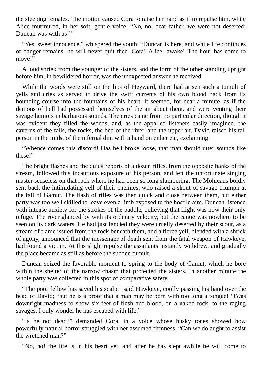the sleeping females. The motion caused Cora to raise her hand as if to repulse him, while Alice murmured, in her soft, gentle voice, "No, no, dear father, we were not deserted; Duncan was with us!"

"Yes, sweet innocence," whispered the youth; "Duncan is here, and while life continues or danger remains, he will never quit thee. Cora! Alice! awake! The hour has come to move!"

A loud shriek from the younger of the sisters, and the form of the other standing upright before him, in bewildered horror, was the unexpected answer he received.

While the words were still on the lips of Heyward, there had arisen such a tumult of yells and cries as served to drive the swift currents of his own blood back from its bounding course into the fountains of his heart. It seemed, for near a minute, as if the demons of hell had possessed themselves of the air about them, and were venting their savage humors in barbarous sounds. The cries came from no particular direction, though it was evident they filled the woods, and, as the appalled listeners easily imagined, the caverns of the falls, the rocks, the bed of the river, and the upper air. David raised his tall person in the midst of the infernal din, with a hand on either ear, exclaiming:

"Whence comes this discord! Has hell broke loose, that man should utter sounds like these!"

The bright flashes and the quick reports of a dozen rifles, from the opposite banks of the stream, followed this incautious exposure of his person, and left the unfortunate singing master senseless on that rock where he had been so long slumbering. The Mohicans boldly sent back the intimidating yell of their enemies, who raised a shout of savage triumph at the fall of Gamut. The flash of rifles was then quick and close between them, but either party was too well skilled to leave even a limb exposed to the hostile aim. Duncan listened with intense anxiety for the strokes of the paddle, believing that flight was now their only refuge. The river glanced by with its ordinary velocity, but the canoe was nowhere to be seen on its dark waters. He had just fancied they were cruelly deserted by their scout, as a stream of flame issued from the rock beneath them, and a fierce yell, blended with a shriek of agony, announced that the messenger of death sent from the fatal weapon of Hawkeye, had found a victim. At this slight repulse the assailants instantly withdrew, and gradually the place became as still as before the sudden tumult.

Duncan seized the favorable moment to spring to the body of Gamut, which he bore within the shelter of the narrow chasm that protected the sisters. In another minute the whole party was collected in this spot of comparative safety.

"The poor fellow has saved his scalp," said Hawkeye, coolly passing his hand over the head of David; "but he is a proof that a man may be born with too long a tongue! 'Twas downright madness to show six feet of flesh and blood, on a naked rock, to the raging savages. I only wonder he has escaped with life."

"Is he not dead?" demanded Cora, in a voice whose husky tones showed how powerfully natural horror struggled with her assumed firmness. "Can we do aught to assist the wretched man?"

"No, no! the life is in his heart yet, and after he has slept awhile he will come to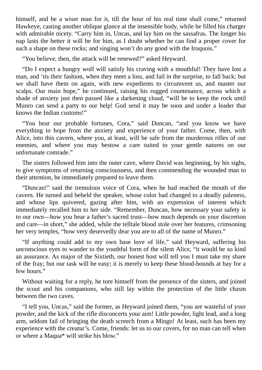himself, and be a wiser man for it, till the hour of his real time shall come," returned Hawkeye, casting another oblique glance at the insensible body, while he filled his charger with admirable nicety. "Carry him in, Uncas, and lay him on the sassafras. The longer his nap lasts the better it will be for him, as I doubt whether he can find a proper cover for such a shape on these rocks; and singing won't do any good with the Iroquois."

"You believe, then, the attack will be renewed?" asked Heyward.

"Do I expect a hungry wolf will satisfy his craving with a mouthful! They have lost a man, and 'tis their fashion, when they meet a loss, and fail in the surprise, to fall back; but we shall have them on again, with new expedients to circumvent us, and master our scalps. Our main hope," he continued, raising his rugged countenance, across which a shade of anxiety just then passed like a darkening cloud, "will be to keep the rock until Munro can send a party to our help! God send it may be soon and under a leader that knows the Indian customs!"

"You hear our probable fortunes, Cora," said Duncan, "and you know we have everything to hope from the anxiety and experience of your father. Come, then, with Alice, into this cavern, where you, at least, will be safe from the murderous rifles of our enemies, and where you may bestow a care suited to your gentle natures on our unfortunate comrade."

The sisters followed him into the outer cave, where David was beginning, by his sighs, to give symptoms of returning consciousness, and then commending the wounded man to their attention, he immediately prepared to leave them.

"Duncan!" said the tremulous voice of Cora, when he had reached the mouth of the cavern. He turned and beheld the speaker, whose color had changed to a deadly paleness, and whose lips quivered, gazing after him, with an expression of interest which immediately recalled him to her side. "Remember, Duncan, how necessary your safety is to our own—how you bear a father's sacred trust—how much depends on your discretion and care—in short," she added, while the telltale blood stole over her features, crimsoning her very temples, "how very deservedly dear you are to all of the name of Munro."

"If anything could add to my own base love of life," said Heyward, suffering his unconscious eyes to wander to the youthful form of the silent Alice, "it would be so kind an assurance. As major of the Sixtieth, our honest host will tell you I must take my share of the fray; but our task will be easy; it is merely to keep these blood-hounds at bay for a few hours."

Without waiting for a reply, he tore himself from the presence of the sisters, and joined the scout and his companions, who still lay within the protection of the little chasm between the two caves.

"I tell you, Uncas," said the former, as Heyward joined them, "you are wasteful of your powder, and the kick of the rifle disconcerts your aim! Little powder, light lead, and a long arm, seldom fail of bringing the death screech from a Mingo! At least, such has been my experience with the creatur's. Come, friends: let us to our covers, for no man can tell when or where a Maqua\* will strike his blow."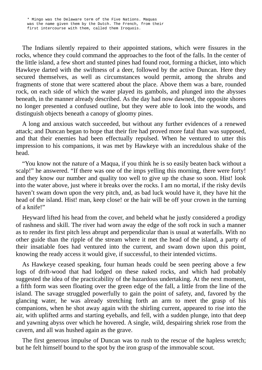The Indians silently repaired to their appointed stations, which were fissures in the rocks, whence they could command the approaches to the foot of the falls. In the center of the little island, a few short and stunted pines had found root, forming a thicket, into which Hawkeye darted with the swiftness of a deer, followed by the active Duncan. Here they secured themselves, as well as circumstances would permit, among the shrubs and fragments of stone that were scattered about the place. Above them was a bare, rounded rock, on each side of which the water played its gambols, and plunged into the abysses beneath, in the manner already described. As the day had now dawned, the opposite shores no longer presented a confused outline, but they were able to look into the woods, and distinguish objects beneath a canopy of gloomy pines.

A long and anxious watch succeeded, but without any further evidences of a renewed attack; and Duncan began to hope that their fire had proved more fatal than was supposed, and that their enemies had been effectually repulsed. When he ventured to utter this impression to his companions, it was met by Hawkeye with an incredulous shake of the head.

"You know not the nature of a Maqua, if you think he is so easily beaten back without a scalp!" he answered. "If there was one of the imps yelling this morning, there were forty! and they know our number and quality too well to give up the chase so soon. Hist! look into the water above, just where it breaks over the rocks. I am no mortal, if the risky devils haven't swam down upon the very pitch, and, as bad luck would have it, they have hit the head of the island. Hist! man, keep close! or the hair will be off your crown in the turning of a knife!"

Heyward lifted his head from the cover, and beheld what he justly considered a prodigy of rashness and skill. The river had worn away the edge of the soft rock in such a manner as to render its first pitch less abrupt and perpendicular than is usual at waterfalls. With no other guide than the ripple of the stream where it met the head of the island, a party of their insatiable foes had ventured into the current, and swam down upon this point, knowing the ready access it would give, if successful, to their intended victims.

As Hawkeye ceased speaking, four human heads could be seen peering above a few logs of drift-wood that had lodged on these naked rocks, and which had probably suggested the idea of the practicability of the hazardous undertaking. At the next moment, a fifth form was seen floating over the green edge of the fall, a little from the line of the island. The savage struggled powerfully to gain the point of safety, and, favored by the glancing water, he was already stretching forth an arm to meet the grasp of his companions, when he shot away again with the shirling current, appeared to rise into the air, with uplifted arms and starting eyeballs, and fell, with a sudden plunge, into that deep and yawning abyss over which he hovered. A single, wild, despairing shriek rose from the cavern, and all was hushed again as the grave.

The first generous impulse of Duncan was to rush to the rescue of the hapless wretch; but he felt himself bound to the spot by the iron grasp of the immovable scout.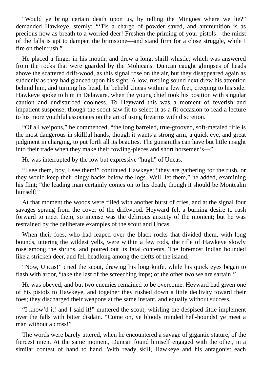"Would ye bring certain death upon us, by telling the Mingoes where we lie?" demanded Hawkeye, sternly; "'Tis a charge of powder saved, and ammunition is as precious now as breath to a worried deer! Freshen the priming of your pistols—the midst of the falls is apt to dampen the brimstone—and stand firm for a close struggle, while I fire on their rush."

He placed a finger in his mouth, and drew a long, shrill whistle, which was answered from the rocks that were guarded by the Mohicans. Duncan caught glimpses of heads above the scattered drift-wood, as this signal rose on the air, but they disappeared again as suddenly as they had glanced upon his sight. A low, rustling sound next drew his attention behind him, and turning his head, he beheld Uncas within a few feet, creeping to his side. Hawkeye spoke to him in Delaware, when the young chief took his position with singular caution and undisturbed coolness. To Heyward this was a moment of feverish and impatient suspense; though the scout saw fit to select it as a fit occasion to read a lecture to his more youthful associates on the art of using firearms with discretion.

"Of all we'pons," he commenced, "the long barreled, true-grooved, soft-metaled rifle is the most dangerous in skillful hands, though it wants a strong arm, a quick eye, and great judgment in charging, to put forth all its beauties. The gunsmiths can have but little insight into their trade when they make their fowling-pieces and short horsemen's—"

He was interrupted by the low but expressive "hugh" of Uncas.

"I see them, boy, I see them!" continued Hawkeye; "they are gathering for the rush, or they would keep their dingy backs below the logs. Well, let them," he added, examining his flint; "the leading man certainly comes on to his death, though it should be Montcalm himself!"

At that moment the woods were filled with another burst of cries, and at the signal four savages sprang from the cover of the driftwood. Heyward felt a burning desire to rush forward to meet them, so intense was the delirious anxiety of the moment; but he was restrained by the deliberate examples of the scout and Uncas.

When their foes, who had leaped over the black rocks that divided them, with long bounds, uttering the wildest yells, were within a few rods, the rifle of Hawkeye slowly rose among the shrubs, and poured out its fatal contents. The foremost Indian bounded like a stricken deer, and fell headlong among the clefts of the island.

"Now, Uncas!" cried the scout, drawing his long knife, while his quick eyes began to flash with ardor, "take the last of the screeching imps; of the other two we are sartain!"

He was obeyed; and but two enemies remained to be overcome. Heyward had given one of his pistols to Hawkeye, and together they rushed down a little declivity toward their foes; they discharged their weapons at the same instant, and equally without success.

"I know'd it! and I said it!" muttered the scout, whirling the despised little implement over the falls with bitter disdain. "Come on, ye bloody minded hell-hounds! ye meet a man without a cross!"

The words were barely uttered, when he encountered a savage of gigantic stature, of the fiercest mien. At the same moment, Duncan found himself engaged with the other, in a similar contest of hand to hand. With ready skill, Hawkeye and his antagonist each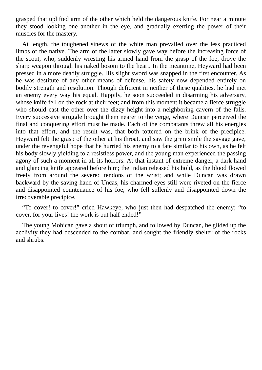grasped that uplifted arm of the other which held the dangerous knife. For near a minute they stood looking one another in the eye, and gradually exerting the power of their muscles for the mastery.

At length, the toughened sinews of the white man prevailed over the less practiced limbs of the native. The arm of the latter slowly gave way before the increasing force of the scout, who, suddenly wresting his armed hand from the grasp of the foe, drove the sharp weapon through his naked bosom to the heart. In the meantime, Heyward had been pressed in a more deadly struggle. His slight sword was snapped in the first encounter. As he was destitute of any other means of defense, his safety now depended entirely on bodily strength and resolution. Though deficient in neither of these qualities, he had met an enemy every way his equal. Happily, he soon succeeded in disarming his adversary, whose knife fell on the rock at their feet; and from this moment it became a fierce struggle who should cast the other over the dizzy height into a neighboring cavern of the falls. Every successive struggle brought them nearer to the verge, where Duncan perceived the final and conquering effort must be made. Each of the combatants threw all his energies into that effort, and the result was, that both tottered on the brink of the precipice. Heyward felt the grasp of the other at his throat, and saw the grim smile the savage gave, under the revengeful hope that he hurried his enemy to a fate similar to his own, as he felt his body slowly yielding to a resistless power, and the young man experienced the passing agony of such a moment in all its horrors. At that instant of extreme danger, a dark hand and glancing knife appeared before him; the Indian released his hold, as the blood flowed freely from around the severed tendons of the wrist; and while Duncan was drawn backward by the saving hand of Uncas, his charmed eyes still were riveted on the fierce and disappointed countenance of his foe, who fell sullenly and disappointed down the irrecoverable precipice.

"To cover! to cover!" cried Hawkeye, who just then had despatched the enemy; "to cover, for your lives! the work is but half ended!"

The young Mohican gave a shout of triumph, and followed by Duncan, he glided up the acclivity they had descended to the combat, and sought the friendly shelter of the rocks and shrubs.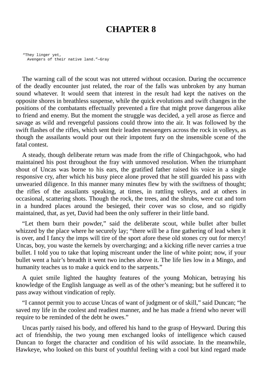## **CHAPTER 8**

"They linger yet, Avengers of their native land."—Gray

The warning call of the scout was not uttered without occasion. During the occurrence of the deadly encounter just related, the roar of the falls was unbroken by any human sound whatever. It would seem that interest in the result had kept the natives on the opposite shores in breathless suspense, while the quick evolutions and swift changes in the positions of the combatants effectually prevented a fire that might prove dangerous alike to friend and enemy. But the moment the struggle was decided, a yell arose as fierce and savage as wild and revengeful passions could throw into the air. It was followed by the swift flashes of the rifles, which sent their leaden messengers across the rock in volleys, as though the assailants would pour out their impotent fury on the insensible scene of the fatal contest.

A steady, though deliberate return was made from the rifle of Chingachgook, who had maintained his post throughout the fray with unmoved resolution. When the triumphant shout of Uncas was borne to his ears, the gratified father raised his voice in a single responsive cry, after which his busy piece alone proved that he still guarded his pass with unwearied diligence. In this manner many minutes flew by with the swiftness of thought; the rifles of the assailants speaking, at times, in rattling volleys, and at others in occasional, scattering shots. Though the rock, the trees, and the shrubs, were cut and torn in a hundred places around the besieged, their cover was so close, and so rigidly maintained, that, as yet, David had been the only sufferer in their little band.

"Let them burn their powder," said the deliberate scout, while bullet after bullet whizzed by the place where he securely lay; "there will be a fine gathering of lead when it is over, and I fancy the imps will tire of the sport afore these old stones cry out for mercy! Uncas, boy, you waste the kernels by overcharging; and a kicking rifle never carries a true bullet. I told you to take that loping miscreant under the line of white point; now, if your bullet went a hair's breadth it went two inches above it. The life lies low in a Mingo, and humanity teaches us to make a quick end to the sarpents."

A quiet smile lighted the haughty features of the young Mohican, betraying his knowledge of the English language as well as of the other's meaning; but he suffered it to pass away without vindication of reply.

"I cannot permit you to accuse Uncas of want of judgment or of skill," said Duncan; "he saved my life in the coolest and readiest manner, and he has made a friend who never will require to be reminded of the debt he owes."

Uncas partly raised his body, and offered his hand to the grasp of Heyward. During this act of friendship, the two young men exchanged looks of intelligence which caused Duncan to forget the character and condition of his wild associate. In the meanwhile, Hawkeye, who looked on this burst of youthful feeling with a cool but kind regard made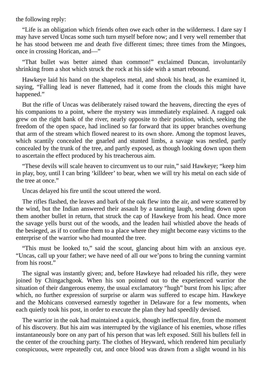the following reply:

"Life is an obligation which friends often owe each other in the wilderness. I dare say I may have served Uncas some such turn myself before now; and I very well remember that he has stood between me and death five different times; three times from the Mingoes, once in crossing Horican, and—"

"That bullet was better aimed than common!" exclaimed Duncan, involuntarily shrinking from a shot which struck the rock at his side with a smart rebound.

Hawkeye laid his hand on the shapeless metal, and shook his head, as he examined it, saying, "Falling lead is never flattened, had it come from the clouds this might have happened."

But the rifle of Uncas was deliberately raised toward the heavens, directing the eyes of his companions to a point, where the mystery was immediately explained. A ragged oak grew on the right bank of the river, nearly opposite to their position, which, seeking the freedom of the open space, had inclined so far forward that its upper branches overhung that arm of the stream which flowed nearest to its own shore. Among the topmost leaves, which scantily concealed the gnarled and stunted limbs, a savage was nestled, partly concealed by the trunk of the tree, and partly exposed, as though looking down upon them to ascertain the effect produced by his treacherous aim.

"These devils will scale heaven to circumvent us to our ruin," said Hawkeye; "keep him in play, boy, until I can bring 'killdeer' to bear, when we will try his metal on each side of the tree at once."

Uncas delayed his fire until the scout uttered the word.

The rifles flashed, the leaves and bark of the oak flew into the air, and were scattered by the wind, but the Indian answered their assault by a taunting laugh, sending down upon them another bullet in return, that struck the cap of Hawkeye from his head. Once more the savage yells burst out of the woods, and the leaden hail whistled above the heads of the besieged, as if to confine them to a place where they might become easy victims to the enterprise of the warrior who had mounted the tree.

"This must be looked to," said the scout, glancing about him with an anxious eye. "Uncas, call up your father; we have need of all our we'pons to bring the cunning varmint from his roost"

The signal was instantly given; and, before Hawkeye had reloaded his rifle, they were joined by Chingachgook. When his son pointed out to the experienced warrior the situation of their dangerous enemy, the usual exclamatory "hugh" burst from his lips; after which, no further expression of surprise or alarm was suffered to escape him. Hawkeye and the Mohicans conversed earnestly together in Delaware for a few moments, when each quietly took his post, in order to execute the plan they had speedily devised.

The warrior in the oak had maintained a quick, though ineffectual fire, from the moment of his discovery. But his aim was interrupted by the vigilance of his enemies, whose rifles instantaneously bore on any part of his person that was left exposed. Still his bullets fell in the center of the crouching party. The clothes of Heyward, which rendered him peculiarly conspicuous, were repeatedly cut, and once blood was drawn from a slight wound in his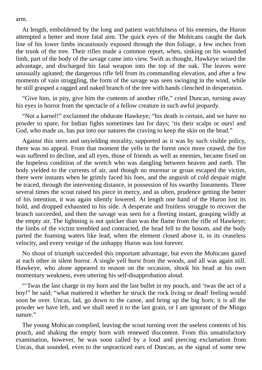arm.

At length, emboldened by the long and patient watchfulness of his enemies, the Huron attempted a better and more fatal aim. The quick eyes of the Mohicans caught the dark line of his lower limbs incautiously exposed through the thin foliage, a few inches from the trunk of the tree. Their rifles made a common report, when, sinking on his wounded limb, part of the body of the savage came into view. Swift as thought, Hawkeye seized the advantage, and discharged his fatal weapon into the top of the oak. The leaves were unusually agitated; the dangerous rifle fell from its commanding elevation, and after a few moments of vain struggling, the form of the savage was seen swinging in the wind, while he still grasped a ragged and naked branch of the tree with hands clenched in desperation.

"Give him, in pity, give him the contents of another rifle," cried Duncan, turning away his eyes in horror from the spectacle of a fellow creature in such awful jeopardy.

"Not a karnel!" exclaimed the obdurate Hawkeye; "his death is certain, and we have no powder to spare, for Indian fights sometimes last for days; 'tis their scalps or ours! and God, who made us, has put into our natures the craving to keep the skin on the head."

Against this stern and unyielding morality, supported as it was by such visible policy, there was no appeal. From that moment the yells in the forest once more ceased, the fire was suffered to decline, and all eyes, those of friends as well as enemies, became fixed on the hopeless condition of the wretch who was dangling between heaven and earth. The body yielded to the currents of air, and though no murmur or groan escaped the victim, there were instants when he grimly faced his foes, and the anguish of cold despair might be traced, through the intervening distance, in possession of his swarthy lineaments. Three several times the scout raised his piece in mercy, and as often, prudence getting the better of his intention, it was again silently lowered. At length one hand of the Huron lost its hold, and dropped exhausted to his side. A desperate and fruitless struggle to recover the branch succeeded, and then the savage was seen for a fleeting instant, grasping wildly at the empty air. The lightning is not quicker than was the flame from the rifle of Hawkeye; the limbs of the victim trembled and contracted, the head fell to the bosom, and the body parted the foaming waters like lead, when the element closed above it, in its ceaseless velocity, and every vestige of the unhappy Huron was lost forever.

No shout of triumph succeeded this important advantage, but even the Mohicans gazed at each other in silent horror. A single yell burst from the woods, and all was again still. Hawkeye, who alone appeared to reason on the occasion, shook his head at his own momentary weakness, even uttering his self-disapprobation aloud.

"'Twas the last charge in my horn and the last bullet in my pouch, and 'twas the act of a boy!" he said; "what mattered it whether he struck the rock living or dead! feeling would soon be over. Uncas, lad, go down to the canoe, and bring up the big horn; it is all the powder we have left, and we shall need it to the last grain, or I am ignorant of the Mingo nature."

The young Mohican complied, leaving the scout turning over the useless contents of his pouch, and shaking the empty horn with renewed discontent. From this unsatisfactory examination, however, he was soon called by a loud and piercing exclamation from Uncas, that sounded, even to the unpracticed ears of Duncan, as the signal of some new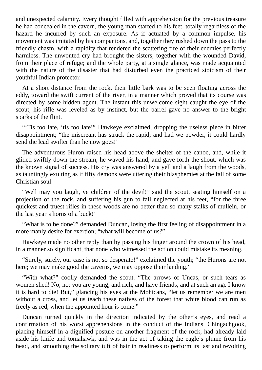and unexpected calamity. Every thought filled with apprehension for the previous treasure he had concealed in the cavern, the young man started to his feet, totally regardless of the hazard he incurred by such an exposure. As if actuated by a common impulse, his movement was imitated by his companions, and, together they rushed down the pass to the friendly chasm, with a rapidity that rendered the scattering fire of their enemies perfectly harmless. The unwonted cry had brought the sisters, together with the wounded David, from their place of refuge; and the whole party, at a single glance, was made acquainted with the nature of the disaster that had disturbed even the practiced stoicism of their youthful Indian protector.

At a short distance from the rock, their little bark was to be seen floating across the eddy, toward the swift current of the river, in a manner which proved that its course was directed by some hidden agent. The instant this unwelcome sight caught the eye of the scout, his rifle was leveled as by instinct, but the barrel gave no answer to the bright sparks of the flint.

"'Tis too late, 'tis too late!" Hawkeye exclaimed, dropping the useless piece in bitter disappointment; "the miscreant has struck the rapid; and had we powder, it could hardly send the lead swifter than he now goes!"

The adventurous Huron raised his head above the shelter of the canoe, and, while it glided swiftly down the stream, he waved his hand, and gave forth the shout, which was the known signal of success. His cry was answered by a yell and a laugh from the woods, as tauntingly exulting as if fifty demons were uttering their blasphemies at the fall of some Christian soul.

"Well may you laugh, ye children of the devil!" said the scout, seating himself on a projection of the rock, and suffering his gun to fall neglected at his feet, "for the three quickest and truest rifles in these woods are no better than so many stalks of mullein, or the last year's horns of a buck!"

"What is to be done?" demanded Duncan, losing the first feeling of disappointment in a more manly desire for exertion; "what will become of us?"

Hawkeye made no other reply than by passing his finger around the crown of his head, in a manner so significant, that none who witnessed the action could mistake its meaning.

"Surely, surely, our case is not so desperate!" exclaimed the youth; "the Hurons are not here; we may make good the caverns, we may oppose their landing."

"With what?" coolly demanded the scout. "The arrows of Uncas, or such tears as women shed! No, no; you are young, and rich, and have friends, and at such an age I know it is hard to die! But," glancing his eyes at the Mohicans, "let us remember we are men without a cross, and let us teach these natives of the forest that white blood can run as freely as red, when the appointed hour is come."

Duncan turned quickly in the direction indicated by the other's eyes, and read a confirmation of his worst apprehensions in the conduct of the Indians. Chingachgook, placing himself in a dignified posture on another fragment of the rock, had already laid aside his knife and tomahawk, and was in the act of taking the eagle's plume from his head, and smoothing the solitary tuft of hair in readiness to perform its last and revolting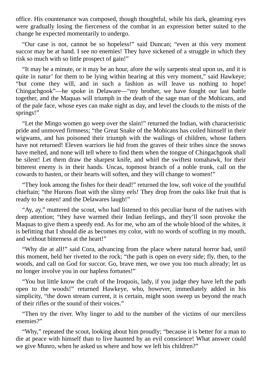office. His countenance was composed, though thoughtful, while his dark, gleaming eyes were gradually losing the fierceness of the combat in an expression better suited to the change he expected momentarily to undergo.

"Our case is not, cannot be so hopeless!" said Duncan; "even at this very moment succor may be at hand. I see no enemies! They have sickened of a struggle in which they risk so much with so little prospect of gain!"

"It may be a minute, or it may be an hour, afore the wily sarpents steal upon us, and it is quite in natur' for them to be lying within hearing at this very moment," said Hawkeye; "but come they will, and in such a fashion as will leave us nothing to hope! Chingachgook"—he spoke in Delaware—"my brother, we have fought our last battle together, and the Maquas will triumph in the death of the sage man of the Mohicans, and of the pale face, whose eyes can make night as day, and level the clouds to the mists of the springs!"

"Let the Mingo women go weep over the slain!" returned the Indian, with characteristic pride and unmoved firmness; "the Great Snake of the Mohicans has coiled himself in their wigwams, and has poisoned their triumph with the wailings of children, whose fathers have not returned! Eleven warriors lie hid from the graves of their tribes since the snows have melted, and none will tell where to find them when the tongue of Chingachgook shall be silent! Let them draw the sharpest knife, and whirl the swiftest tomahawk, for their bitterest enemy is in their hands. Uncas, topmost branch of a noble trunk, call on the cowards to hasten, or their hearts will soften, and they will change to women!"

"They look among the fishes for their dead!" returned the low, soft voice of the youthful chieftain; "the Hurons float with the slimy eels! They drop from the oaks like fruit that is ready to be eaten! and the Delawares laugh!"

"Ay, ay," muttered the scout, who had listened to this peculiar burst of the natives with deep attention; "they have warmed their Indian feelings, and they'll soon provoke the Maquas to give them a speedy end. As for me, who am of the whole blood of the whites, it is befitting that I should die as becomes my color, with no words of scoffing in my mouth, and without bitterness at the heart!"

"Why die at all!" said Cora, advancing from the place where natural horror had, until this moment, held her riveted to the rock; "the path is open on every side; fly, then, to the woods, and call on God for succor. Go, brave men, we owe you too much already; let us no longer involve you in our hapless fortunes!"

"You but little know the craft of the Iroquois, lady, if you judge they have left the path open to the woods!" returned Hawkeye, who, however, immediately added in his simplicity, "the down stream current, it is certain, might soon sweep us beyond the reach of their rifles or the sound of their voices."

"Then try the river. Why linger to add to the number of the victims of our merciless enemies?"

"Why," repeated the scout, looking about him proudly; "because it is better for a man to die at peace with himself than to live haunted by an evil conscience! What answer could we give Munro, when he asked us where and how we left his children?"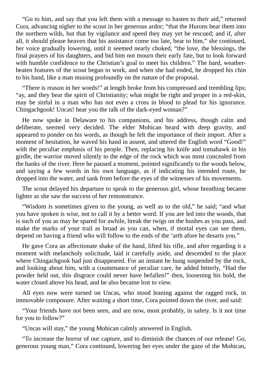"Go to him, and say that you left them with a message to hasten to their aid," returned Cora, advancing nigher to the scout in her generous ardor; "that the Hurons bear them into the northern wilds, but that by vigilance and speed they may yet be rescued; and if, after all, it should please heaven that his assistance come too late, bear to him," she continued, her voice gradually lowering, until it seemed nearly choked, "the love, the blessings, the final prayers of his daughters, and bid him not mourn their early fate, but to look forward with humble confidence to the Christian's goal to meet his children." The hard, weatherbeaten features of the scout began to work, and when she had ended, he dropped his chin to his hand, like a man musing profoundly on the nature of the proposal.

"There is reason in her words!" at length broke from his compressed and trembling lips; "ay, and they bear the spirit of Christianity; what might be right and proper in a red-skin, may be sinful in a man who has not even a cross in blood to plead for his ignorance. Chingachgook! Uncas! hear you the talk of the dark-eyed woman?"

He now spoke in Delaware to his companions, and his address, though calm and deliberate, seemed very decided. The elder Mohican heard with deep gravity, and appeared to ponder on his words, as though he felt the importance of their import. After a moment of hesitation, he waved his hand in assent, and uttered the English word "Good!" with the peculiar emphasis of his people. Then, replacing his knife and tomahawk in his girdle, the warrior moved silently to the edge of the rock which was most concealed from the banks of the river. Here he paused a moment, pointed significantly to the woods below, and saying a few words in his own language, as if indicating his intended route, he dropped into the water, and sank from before the eyes of the witnesses of his movements.

The scout delayed his departure to speak to the generous girl, whose breathing became lighter as she saw the success of her remonstrance.

"Wisdom is sometimes given to the young, as well as to the old," he said; "and what you have spoken is wise, not to call it by a better word. If you are led into the woods, that is such of you as may be spared for awhile, break the twigs on the bushes as you pass, and make the marks of your trail as broad as you can, when, if mortal eyes can see them, depend on having a friend who will follow to the ends of the 'arth afore he desarts you."

He gave Cora an affectionate shake of the hand, lifted his rifle, and after regarding it a moment with melancholy solicitude, laid it carefully aside, and descended to the place where Chingachgook had just disappeared. For an instant he hung suspended by the rock, and looking about him, with a countenance of peculiar care, he added bitterly, "Had the powder held out, this disgrace could never have befallen!" then, loosening his hold, the water closed above his head, and he also became lost to view.

All eyes now were turned on Uncas, who stood leaning against the ragged rock, in immovable composure. After waiting a short time, Cora pointed down the river, and said:

"Your friends have not been seen, and are now, most probably, in safety. Is it not time for you to follow?"

"Uncas will stay," the young Mohican calmly answered in English.

"To increase the horror of our capture, and to diminish the chances of our release! Go, generous young man," Cora continued, lowering her eyes under the gaze of the Mohican,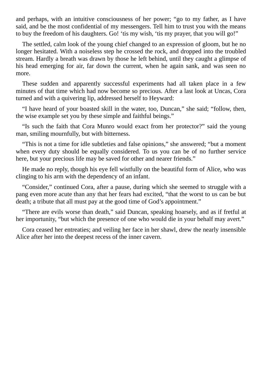and perhaps, with an intuitive consciousness of her power; "go to my father, as I have said, and be the most confidential of my messengers. Tell him to trust you with the means to buy the freedom of his daughters. Go! 'tis my wish, 'tis my prayer, that you will go!"

The settled, calm look of the young chief changed to an expression of gloom, but he no longer hesitated. With a noiseless step he crossed the rock, and dropped into the troubled stream. Hardly a breath was drawn by those he left behind, until they caught a glimpse of his head emerging for air, far down the current, when he again sank, and was seen no more.

These sudden and apparently successful experiments had all taken place in a few minutes of that time which had now become so precious. After a last look at Uncas, Cora turned and with a quivering lip, addressed herself to Heyward:

"I have heard of your boasted skill in the water, too, Duncan," she said; "follow, then, the wise example set you by these simple and faithful beings."

"Is such the faith that Cora Munro would exact from her protector?" said the young man, smiling mournfully, but with bitterness.

"This is not a time for idle subtleties and false opinions," she answered; "but a moment when every duty should be equally considered. To us you can be of no further service here, but your precious life may be saved for other and nearer friends."

He made no reply, though his eye fell wistfully on the beautiful form of Alice, who was clinging to his arm with the dependency of an infant.

"Consider," continued Cora, after a pause, during which she seemed to struggle with a pang even more acute than any that her fears had excited, "that the worst to us can be but death; a tribute that all must pay at the good time of God's appointment."

"There are evils worse than death," said Duncan, speaking hoarsely, and as if fretful at her importunity, "but which the presence of one who would die in your behalf may avert."

Cora ceased her entreaties; and veiling her face in her shawl, drew the nearly insensible Alice after her into the deepest recess of the inner cavern.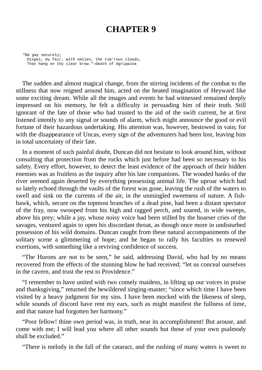## **CHAPTER 9**

"Be gay securely; Dispel, my fair, with smiles, the tim'rous clouds, That hang on thy clear brow."—Death of Agrippina

The sudden and almost magical change, from the stirring incidents of the combat to the stillness that now reigned around him, acted on the heated imagination of Heyward like some exciting dream. While all the images and events he had witnessed remained deeply impressed on his memory, he felt a difficulty in persuading him of their truth. Still ignorant of the fate of those who had trusted to the aid of the swift current, he at first listened intently to any signal or sounds of alarm, which might announce the good or evil fortune of their hazardous undertaking. His attention was, however, bestowed in vain; for with the disappearance of Uncas, every sign of the adventurers had been lost, leaving him in total uncertainty of their fate.

In a moment of such painful doubt, Duncan did not hesitate to look around him, without consulting that protection from the rocks which just before had been so necessary to his safety. Every effort, however, to detect the least evidence of the approach of their hidden enemies was as fruitless as the inquiry after his late companions. The wooded banks of the river seemed again deserted by everything possessing animal life. The uproar which had so lately echoed through the vaults of the forest was gone, leaving the rush of the waters to swell and sink on the currents of the air, in the unmingled sweetness of nature. A fishhawk, which, secure on the topmost branches of a dead pine, had been a distant spectator of the fray, now swooped from his high and ragged perch, and soared, in wide sweeps, above his prey; while a jay, whose noisy voice had been stilled by the hoarser cries of the savages, ventured again to open his discordant throat, as though once more in undisturbed possession of his wild domains. Duncan caught from these natural accompaniments of the solitary scene a glimmering of hope; and he began to rally his faculties to renewed exertions, with something like a reviving confidence of success.

"The Hurons are not to be seen," he said, addressing David, who had by no means recovered from the effects of the stunning blow he had received; "let us conceal ourselves in the cavern, and trust the rest to Providence."

"I remember to have united with two comely maidens, in lifting up our voices in praise and thanksgiving," returned the bewildered singing-master; "since which time I have been visited by a heavy judgment for my sins. I have been mocked with the likeness of sleep, while sounds of discord have rent my ears, such as might manifest the fullness of time, and that nature had forgotten her harmony."

"Poor fellow! thine own period was, in truth, near its accomplishment! But arouse, and come with me; I will lead you where all other sounds but those of your own psalmody shall be excluded."

"There is melody in the fall of the cataract, and the rushing of many waters is sweet to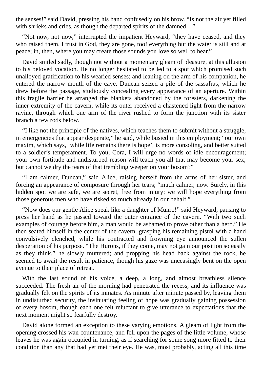the senses!" said David, pressing his hand confusedly on his brow. "Is not the air yet filled with shrieks and cries, as though the departed spirits of the damned—"

"Not now, not now," interrupted the impatient Heyward, "they have ceased, and they who raised them, I trust in God, they are gone, too! everything but the water is still and at peace; in, then, where you may create those sounds you love so well to hear."

David smiled sadly, though not without a momentary gleam of pleasure, at this allusion to his beloved vocation. He no longer hesitated to be led to a spot which promised such unalloyed gratification to his wearied senses; and leaning on the arm of his companion, he entered the narrow mouth of the cave. Duncan seized a pile of the sassafras, which he drew before the passage, studiously concealing every appearance of an aperture. Within this fragile barrier he arranged the blankets abandoned by the foresters, darkening the inner extremity of the cavern, while its outer received a chastened light from the narrow ravine, through which one arm of the river rushed to form the junction with its sister branch a few rods below.

"I like not the principle of the natives, which teaches them to submit without a struggle, in emergencies that appear desperate," he said, while busied in this employment; "our own maxim, which says, 'while life remains there is hope', is more consoling, and better suited to a soldier's temperament. To you, Cora, I will urge no words of idle encouragement; your own fortitude and undisturbed reason will teach you all that may become your sex; but cannot we dry the tears of that trembling weeper on your bosom?"

"I am calmer, Duncan," said Alice, raising herself from the arms of her sister, and forcing an appearance of composure through her tears; "much calmer, now. Surely, in this hidden spot we are safe, we are secret, free from injury; we will hope everything from those generous men who have risked so much already in our behalf."

"Now does our gentle Alice speak like a daughter of Munro!" said Heyward, pausing to press her hand as he passed toward the outer entrance of the cavern. "With two such examples of courage before him, a man would be ashamed to prove other than a hero." He then seated himself in the center of the cavern, grasping his remaining pistol with a hand convulsively clenched, while his contracted and frowning eye announced the sullen desperation of his purpose. "The Hurons, if they come, may not gain our position so easily as they think," he slowly muttered; and propping his head back against the rock, he seemed to await the result in patience, though his gaze was unceasingly bent on the open avenue to their place of retreat.

With the last sound of his voice, a deep, a long, and almost breathless silence succeeded. The fresh air of the morning had penetrated the recess, and its influence was gradually felt on the spirits of its inmates. As minute after minute passed by, leaving them in undisturbed security, the insinuating feeling of hope was gradually gaining possession of every bosom, though each one felt reluctant to give utterance to expectations that the next moment might so fearfully destroy.

David alone formed an exception to these varying emotions. A gleam of light from the opening crossed his wan countenance, and fell upon the pages of the little volume, whose leaves he was again occupied in turning, as if searching for some song more fitted to their condition than any that had yet met their eye. He was, most probably, acting all this time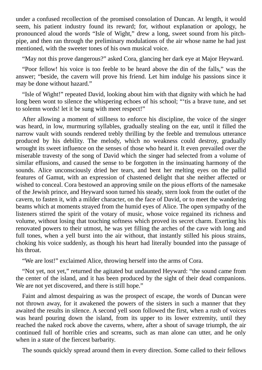under a confused recollection of the promised consolation of Duncan. At length, it would seem, his patient industry found its reward; for, without explanation or apology, he pronounced aloud the words "Isle of Wight," drew a long, sweet sound from his pitchpipe, and then ran through the preliminary modulations of the air whose name he had just mentioned, with the sweeter tones of his own musical voice.

"May not this prove dangerous?" asked Cora, glancing her dark eye at Major Heyward.

"Poor fellow! his voice is too feeble to be heard above the din of the falls," was the answer; "beside, the cavern will prove his friend. Let him indulge his passions since it may be done without hazard."

"Isle of Wight!" repeated David, looking about him with that dignity with which he had long been wont to silence the whispering echoes of his school; "'tis a brave tune, and set to solemn words! let it be sung with meet respect!"

After allowing a moment of stillness to enforce his discipline, the voice of the singer was heard, in low, murmuring syllables, gradually stealing on the ear, until it filled the narrow vault with sounds rendered trebly thrilling by the feeble and tremulous utterance produced by his debility. The melody, which no weakness could destroy, gradually wrought its sweet influence on the senses of those who heard it. It even prevailed over the miserable travesty of the song of David which the singer had selected from a volume of similar effusions, and caused the sense to be forgotten in the insinuating harmony of the sounds. Alice unconsciously dried her tears, and bent her melting eyes on the pallid features of Gamut, with an expression of chastened delight that she neither affected or wished to conceal. Cora bestowed an approving smile on the pious efforts of the namesake of the Jewish prince, and Heyward soon turned his steady, stern look from the outlet of the cavern, to fasten it, with a milder character, on the face of David, or to meet the wandering beams which at moments strayed from the humid eyes of Alice. The open sympathy of the listeners stirred the spirit of the votary of music, whose voice regained its richness and volume, without losing that touching softness which proved its secret charm. Exerting his renovated powers to their utmost, he was yet filling the arches of the cave with long and full tones, when a yell burst into the air without, that instantly stilled his pious strains, choking his voice suddenly, as though his heart had literally bounded into the passage of his throat.

"We are lost!" exclaimed Alice, throwing herself into the arms of Cora.

"Not yet, not yet," returned the agitated but undaunted Heyward: "the sound came from the center of the island, and it has been produced by the sight of their dead companions. We are not yet discovered, and there is still hope."

Faint and almost despairing as was the prospect of escape, the words of Duncan were not thrown away, for it awakened the powers of the sisters in such a manner that they awaited the results in silence. A second yell soon followed the first, when a rush of voices was heard pouring down the island, from its upper to its lower extremity, until they reached the naked rock above the caverns, where, after a shout of savage triumph, the air continued full of horrible cries and screams, such as man alone can utter, and he only when in a state of the fiercest barbarity.

The sounds quickly spread around them in every direction. Some called to their fellows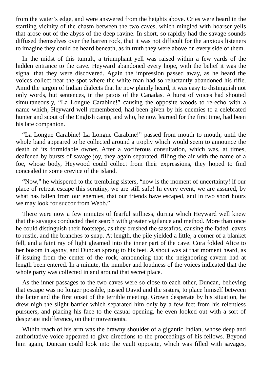from the water's edge, and were answered from the heights above. Cries were heard in the startling vicinity of the chasm between the two caves, which mingled with hoarser yells that arose out of the abyss of the deep ravine. In short, so rapidly had the savage sounds diffused themselves over the barren rock, that it was not difficult for the anxious listeners to imagine they could be heard beneath, as in truth they were above on every side of them.

In the midst of this tumult, a triumphant yell was raised within a few yards of the hidden entrance to the cave. Heyward abandoned every hope, with the belief it was the signal that they were discovered. Again the impression passed away, as he heard the voices collect near the spot where the white man had so reluctantly abandoned his rifle. Amid the jargon of Indian dialects that he now plainly heard, it was easy to distinguish not only words, but sentences, in the patois of the Canadas. A burst of voices had shouted simultaneously, "La Longue Carabine!" causing the opposite woods to re-echo with a name which, Heyward well remembered, had been given by his enemies to a celebrated hunter and scout of the English camp, and who, he now learned for the first time, had been his late companion.

"La Longue Carabine! La Longue Carabine!" passed from mouth to mouth, until the whole band appeared to be collected around a trophy which would seem to announce the death of its formidable owner. After a vociferous consultation, which was, at times, deafened by bursts of savage joy, they again separated, filling the air with the name of a foe, whose body, Heywood could collect from their expressions, they hoped to find concealed in some crevice of the island.

"Now," he whispered to the trembling sisters, "now is the moment of uncertainty! if our place of retreat escape this scrutiny, we are still safe! In every event, we are assured, by what has fallen from our enemies, that our friends have escaped, and in two short hours we may look for succor from Webb."

There were now a few minutes of fearful stillness, during which Heyward well knew that the savages conducted their search with greater vigilance and method. More than once he could distinguish their footsteps, as they brushed the sassafras, causing the faded leaves to rustle, and the branches to snap. At length, the pile yielded a little, a corner of a blanket fell, and a faint ray of light gleamed into the inner part of the cave. Cora folded Alice to her bosom in agony, and Duncan sprang to his feet. A shout was at that moment heard, as if issuing from the center of the rock, announcing that the neighboring cavern had at length been entered. In a minute, the number and loudness of the voices indicated that the whole party was collected in and around that secret place.

As the inner passages to the two caves were so close to each other, Duncan, believing that escape was no longer possible, passed David and the sisters, to place himself between the latter and the first onset of the terrible meeting. Grown desperate by his situation, he drew nigh the slight barrier which separated him only by a few feet from his relentless pursuers, and placing his face to the casual opening, he even looked out with a sort of desperate indifference, on their movements.

Within reach of his arm was the brawny shoulder of a gigantic Indian, whose deep and authoritative voice appeared to give directions to the proceedings of his fellows. Beyond him again, Duncan could look into the vault opposite, which was filled with savages,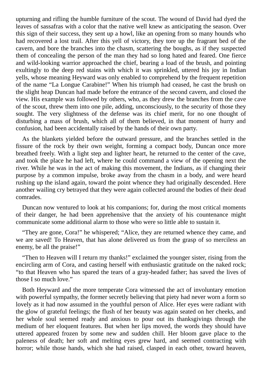upturning and rifling the humble furniture of the scout. The wound of David had dyed the leaves of sassafras with a color that the native well knew as anticipating the season. Over this sign of their success, they sent up a howl, like an opening from so many hounds who had recovered a lost trail. After this yell of victory, they tore up the fragrant bed of the cavern, and bore the branches into the chasm, scattering the boughs, as if they suspected them of concealing the person of the man they had so long hated and feared. One fierce and wild-looking warrior approached the chief, bearing a load of the brush, and pointing exultingly to the deep red stains with which it was sprinkled, uttered his joy in Indian yells, whose meaning Heyward was only enabled to comprehend by the frequent repetition of the name "La Longue Carabine!" When his triumph had ceased, he cast the brush on the slight heap Duncan had made before the entrance of the second cavern, and closed the view. His example was followed by others, who, as they drew the branches from the cave of the scout, threw them into one pile, adding, unconsciously, to the security of those they sought. The very slightness of the defense was its chief merit, for no one thought of disturbing a mass of brush, which all of them believed, in that moment of hurry and confusion, had been accidentally raised by the hands of their own party.

As the blankets yielded before the outward pressure, and the branches settled in the fissure of the rock by their own weight, forming a compact body, Duncan once more breathed freely. With a light step and lighter heart, he returned to the center of the cave, and took the place he had left, where he could command a view of the opening next the river. While he was in the act of making this movement, the Indians, as if changing their purpose by a common impulse, broke away from the chasm in a body, and were heard rushing up the island again, toward the point whence they had originally descended. Here another wailing cry betrayed that they were again collected around the bodies of their dead comrades.

Duncan now ventured to look at his companions; for, during the most critical moments of their danger, he had been apprehensive that the anxiety of his countenance might communicate some additional alarm to those who were so little able to sustain it.

"They are gone, Cora!" he whispered; "Alice, they are returned whence they came, and we are saved! To Heaven, that has alone delivered us from the grasp of so merciless an enemy, be all the praise!"

"Then to Heaven will I return my thanks!" exclaimed the younger sister, rising from the encircling arm of Cora, and casting herself with enthusiastic gratitude on the naked rock; "to that Heaven who has spared the tears of a gray-headed father; has saved the lives of those I so much love."

Both Heyward and the more temperate Cora witnessed the act of involuntary emotion with powerful sympathy, the former secretly believing that piety had never worn a form so lovely as it had now assumed in the youthful person of Alice. Her eyes were radiant with the glow of grateful feelings; the flush of her beauty was again seated on her cheeks, and her whole soul seemed ready and anxious to pour out its thanksgivings through the medium of her eloquent features. But when her lips moved, the words they should have uttered appeared frozen by some new and sudden chill. Her bloom gave place to the paleness of death; her soft and melting eyes grew hard, and seemed contracting with horror; while those hands, which she had raised, clasped in each other, toward heaven,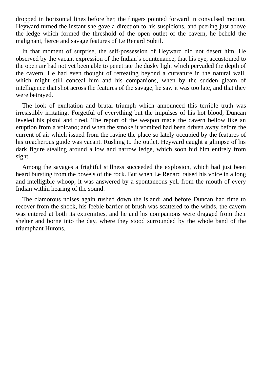dropped in horizontal lines before her, the fingers pointed forward in convulsed motion. Heyward turned the instant she gave a direction to his suspicions, and peering just above the ledge which formed the threshold of the open outlet of the cavern, he beheld the malignant, fierce and savage features of Le Renard Subtil.

In that moment of surprise, the self-possession of Heyward did not desert him. He observed by the vacant expression of the Indian's countenance, that his eye, accustomed to the open air had not yet been able to penetrate the dusky light which pervaded the depth of the cavern. He had even thought of retreating beyond a curvature in the natural wall, which might still conceal him and his companions, when by the sudden gleam of intelligence that shot across the features of the savage, he saw it was too late, and that they were betrayed.

The look of exultation and brutal triumph which announced this terrible truth was irresistibly irritating. Forgetful of everything but the impulses of his hot blood, Duncan leveled his pistol and fired. The report of the weapon made the cavern bellow like an eruption from a volcano; and when the smoke it vomited had been driven away before the current of air which issued from the ravine the place so lately occupied by the features of his treacherous guide was vacant. Rushing to the outlet, Heyward caught a glimpse of his dark figure stealing around a low and narrow ledge, which soon hid him entirely from sight.

Among the savages a frightful stillness succeeded the explosion, which had just been heard bursting from the bowels of the rock. But when Le Renard raised his voice in a long and intelligible whoop, it was answered by a spontaneous yell from the mouth of every Indian within hearing of the sound.

The clamorous noises again rushed down the island; and before Duncan had time to recover from the shock, his feeble barrier of brush was scattered to the winds, the cavern was entered at both its extremities, and he and his companions were dragged from their shelter and borne into the day, where they stood surrounded by the whole band of the triumphant Hurons.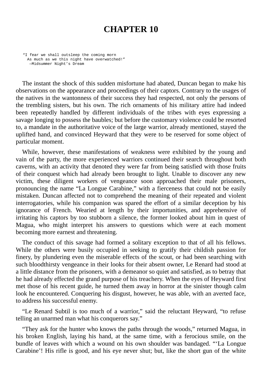## **CHAPTER 10**

"I fear we shall outsleep the coming morn As much as we this night have overwatched!" —Midsummer Night's Dream

The instant the shock of this sudden misfortune had abated, Duncan began to make his observations on the appearance and proceedings of their captors. Contrary to the usages of the natives in the wantonness of their success they had respected, not only the persons of the trembling sisters, but his own. The rich ornaments of his military attire had indeed been repeatedly handled by different individuals of the tribes with eyes expressing a savage longing to possess the baubles; but before the customary violence could be resorted to, a mandate in the authoritative voice of the large warrior, already mentioned, stayed the uplifted hand, and convinced Heyward that they were to be reserved for some object of particular moment.

While, however, these manifestations of weakness were exhibited by the young and vain of the party, the more experienced warriors continued their search throughout both caverns, with an activity that denoted they were far from being satisfied with those fruits of their conquest which had already been brought to light. Unable to discover any new victim, these diligent workers of vengeance soon approached their male prisoners, pronouncing the name "La Longue Carabine," with a fierceness that could not be easily mistaken. Duncan affected not to comprehend the meaning of their repeated and violent interrogatories, while his companion was spared the effort of a similar deception by his ignorance of French. Wearied at length by their importunities, and apprehensive of irritating his captors by too stubborn a silence, the former looked about him in quest of Magua, who might interpret his answers to questions which were at each moment becoming more earnest and threatening.

The conduct of this savage had formed a solitary exception to that of all his fellows. While the others were busily occupied in seeking to gratify their childish passion for finery, by plundering even the miserable effects of the scout, or had been searching with such bloodthirsty vengeance in their looks for their absent owner, Le Renard had stood at a little distance from the prisoners, with a demeanor so quiet and satisfied, as to betray that he had already effected the grand purpose of his treachery. When the eyes of Heyward first met those of his recent guide, he turned them away in horror at the sinister though calm look he encountered. Conquering his disgust, however, he was able, with an averted face, to address his successful enemy.

"Le Renard Subtil is too much of a warrior," said the reluctant Heyward, "to refuse telling an unarmed man what his conquerors say."

"They ask for the hunter who knows the paths through the woods," returned Magua, in his broken English, laying his hand, at the same time, with a ferocious smile, on the bundle of leaves with which a wound on his own shoulder was bandaged. "'La Longue Carabine'! His rifle is good, and his eye never shut; but, like the short gun of the white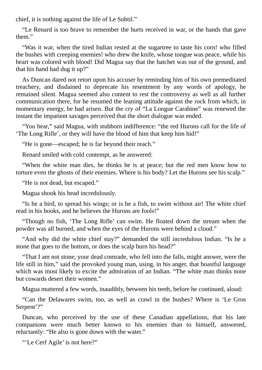chief, it is nothing against the life of Le Subtil."

"Le Renard is too brave to remember the hurts received in war, or the hands that gave them."

"Was it war, when the tired Indian rested at the sugartree to taste his corn! who filled the bushes with creeping enemies! who drew the knife, whose tongue was peace, while his heart was colored with blood! Did Magua say that the hatchet was out of the ground, and that his hand had dug it up?"

As Duncan dared not retort upon his accuser by reminding him of his own premeditated treachery, and disdained to deprecate his resentment by any words of apology, he remained silent. Magua seemed also content to rest the controversy as well as all further communication there, for he resumed the leaning attitude against the rock from which, in momentary energy, he had arisen. But the cry of "La Longue Carabine" was renewed the instant the impatient savages perceived that the short dialogue was ended.

"You hear," said Magua, with stubborn indifference: "the red Hurons call for the life of 'The Long Rifle', or they will have the blood of him that keep him hid!"

"He is gone—escaped; he is far beyond their reach."

Renard smiled with cold contempt, as he answered:

"When the white man dies, he thinks he is at peace; but the red men know how to torture even the ghosts of their enemies. Where is his body? Let the Hurons see his scalp."

"He is not dead, but escaped."

Magua shook his head incredulously.

"Is he a bird, to spread his wings; or is he a fish, to swim without air! The white chief read in his books, and he believes the Hurons are fools!"

"Though no fish, 'The Long Rifle' can swim. He floated down the stream when the powder was all burned, and when the eyes of the Hurons were behind a cloud."

"And why did the white chief stay?" demanded the still incredulous Indian. "Is he a stone that goes to the bottom, or does the scalp burn his head?"

"That I am not stone, your dead comrade, who fell into the falls, might answer, were the life still in him," said the provoked young man, using, in his anger, that boastful language which was most likely to excite the admiration of an Indian. "The white man thinks none but cowards desert their women."

Magua muttered a few words, inaudibly, between his teeth, before he continued, aloud:

"Can the Delawares swim, too, as well as crawl in the bushes? Where is 'Le Gros Serpent'?"

Duncan, who perceived by the use of these Canadian appellations, that his late companions were much better known to his enemies than to himself, answered, reluctantly: "He also is gone down with the water."

"'Le Cerf Agile' is not here?"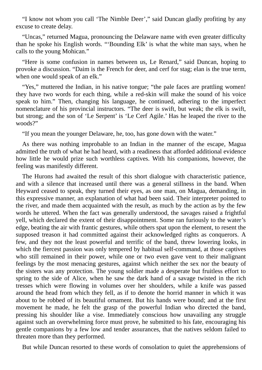"I know not whom you call 'The Nimble Deer'," said Duncan gladly profiting by any excuse to create delay.

"Uncas," returned Magua, pronouncing the Delaware name with even greater difficulty than he spoke his English words. "'Bounding Elk' is what the white man says, when he calls to the young Mohican."

"Here is some confusion in names between us, Le Renard," said Duncan, hoping to provoke a discussion. "Daim is the French for deer, and cerf for stag; elan is the true term, when one would speak of an elk."

"Yes," muttered the Indian, in his native tongue; "the pale faces are prattling women! they have two words for each thing, while a red-skin will make the sound of his voice speak to him." Then, changing his language, he continued, adhering to the imperfect nomenclature of his provincial instructors. "The deer is swift, but weak; the elk is swift, but strong; and the son of 'Le Serpent' is 'Le Cerf Agile.' Has he leaped the river to the woods?"

"If you mean the younger Delaware, he, too, has gone down with the water."

As there was nothing improbable to an Indian in the manner of the escape, Magua admitted the truth of what he had heard, with a readiness that afforded additional evidence how little he would prize such worthless captives. With his companions, however, the feeling was manifestly different.

The Hurons had awaited the result of this short dialogue with characteristic patience, and with a silence that increased until there was a general stillness in the band. When Heyward ceased to speak, they turned their eyes, as one man, on Magua, demanding, in this expressive manner, an explanation of what had been said. Their interpreter pointed to the river, and made them acquainted with the result, as much by the action as by the few words he uttered. When the fact was generally understood, the savages raised a frightful yell, which declared the extent of their disappointment. Some ran furiously to the water's edge, beating the air with frantic gestures, while others spat upon the element, to resent the supposed treason it had committed against their acknowledged rights as conquerors. A few, and they not the least powerful and terrific of the band, threw lowering looks, in which the fiercest passion was only tempered by habitual self-command, at those captives who still remained in their power, while one or two even gave vent to their malignant feelings by the most menacing gestures, against which neither the sex nor the beauty of the sisters was any protection. The young soldier made a desperate but fruitless effort to spring to the side of Alice, when he saw the dark hand of a savage twisted in the rich tresses which were flowing in volumes over her shoulders, while a knife was passed around the head from which they fell, as if to denote the horrid manner in which it was about to be robbed of its beautiful ornament. But his hands were bound; and at the first movement he made, he felt the grasp of the powerful Indian who directed the band, pressing his shoulder like a vise. Immediately conscious how unavailing any struggle against such an overwhelming force must prove, he submitted to his fate, encouraging his gentle companions by a few low and tender assurances, that the natives seldom failed to threaten more than they performed.

But while Duncan resorted to these words of consolation to quiet the apprehensions of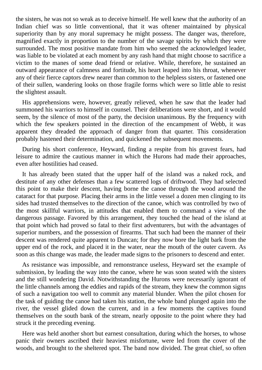the sisters, he was not so weak as to deceive himself. He well knew that the authority of an Indian chief was so little conventional, that it was oftener maintained by physical superiority than by any moral supremacy he might possess. The danger was, therefore, magnified exactly in proportion to the number of the savage spirits by which they were surrounded. The most positive mandate from him who seemed the acknowledged leader, was liable to be violated at each moment by any rash hand that might choose to sacrifice a victim to the manes of some dead friend or relative. While, therefore, he sustained an outward appearance of calmness and fortitude, his heart leaped into his throat, whenever any of their fierce captors drew nearer than common to the helpless sisters, or fastened one of their sullen, wandering looks on those fragile forms which were so little able to resist the slightest assault.

His apprehensions were, however, greatly relieved, when he saw that the leader had summoned his warriors to himself in counsel. Their deliberations were short, and it would seem, by the silence of most of the party, the decision unanimous. By the frequency with which the few speakers pointed in the direction of the encampment of Webb, it was apparent they dreaded the approach of danger from that quarter. This consideration probably hastened their determination, and quickened the subsequent movements.

During his short conference, Heyward, finding a respite from his gravest fears, had leisure to admire the cautious manner in which the Hurons had made their approaches, even after hostilities had ceased.

It has already been stated that the upper half of the island was a naked rock, and destitute of any other defenses than a few scattered logs of driftwood. They had selected this point to make their descent, having borne the canoe through the wood around the cataract for that purpose. Placing their arms in the little vessel a dozen men clinging to its sides had trusted themselves to the direction of the canoe, which was controlled by two of the most skillful warriors, in attitudes that enabled them to command a view of the dangerous passage. Favored by this arrangement, they touched the head of the island at that point which had proved so fatal to their first adventurers, but with the advantages of superior numbers, and the possession of firearms. That such had been the manner of their descent was rendered quite apparent to Duncan; for they now bore the light bark from the upper end of the rock, and placed it in the water, near the mouth of the outer cavern. As soon as this change was made, the leader made signs to the prisoners to descend and enter.

As resistance was impossible, and remonstrance useless, Heyward set the example of submission, by leading the way into the canoe, where he was soon seated with the sisters and the still wondering David. Notwithstanding the Hurons were necessarily ignorant of the little channels among the eddies and rapids of the stream, they knew the common signs of such a navigation too well to commit any material blunder. When the pilot chosen for the task of guiding the canoe had taken his station, the whole band plunged again into the river, the vessel glided down the current, and in a few moments the captives found themselves on the south bank of the stream, nearly opposite to the point where they had struck it the preceding evening.

Here was held another short but earnest consultation, during which the horses, to whose panic their owners ascribed their heaviest misfortune, were led from the cover of the woods, and brought to the sheltered spot. The band now divided. The great chief, so often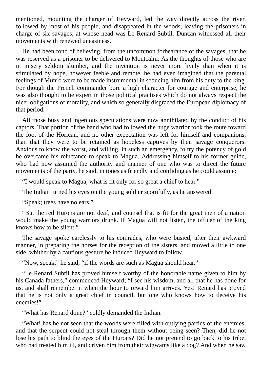mentioned, mounting the charger of Heyward, led the way directly across the river, followed by most of his people, and disappeared in the woods, leaving the prisoners in charge of six savages, at whose head was Le Renard Subtil. Duncan witnessed all their movements with renewed uneasiness.

He had been fond of believing, from the uncommon forbearance of the savages, that he was reserved as a prisoner to be delivered to Montcalm. As the thoughts of those who are in misery seldom slumber, and the invention is never more lively than when it is stimulated by hope, however feeble and remote, he had even imagined that the parental feelings of Munro were to be made instrumental in seducing him from his duty to the king. For though the French commander bore a high character for courage and enterprise, he was also thought to be expert in those political practises which do not always respect the nicer obligations of morality, and which so generally disgraced the European diplomacy of that period.

All those busy and ingenious speculations were now annihilated by the conduct of his captors. That portion of the band who had followed the huge warrior took the route toward the foot of the Horican, and no other expectation was left for himself and companions, than that they were to be retained as hopeless captives by their savage conquerors. Anxious to know the worst, and willing, in such an emergency, to try the potency of gold he overcame his reluctance to speak to Magua. Addressing himself to his former guide, who had now assumed the authority and manner of one who was to direct the future movements of the party, he said, in tones as friendly and confiding as he could assume:

"I would speak to Magua, what is fit only for so great a chief to hear."

The Indian turned his eyes on the young soldier scornfully, as he answered:

"Speak; trees have no ears."

"But the red Hurons are not deaf; and counsel that is fit for the great men of a nation would make the young warriors drunk. If Magua will not listen, the officer of the king knows how to be silent."

The savage spoke carelessly to his comrades, who were busied, after their awkward manner, in preparing the horses for the reception of the sisters, and moved a little to one side, whither by a cautious gesture he induced Heyward to follow.

"Now, speak," he said; "if the words are such as Magua should hear."

"Le Renard Subtil has proved himself worthy of the honorable name given to him by his Canada fathers," commenced Heyward; "I see his wisdom, and all that he has done for us, and shall remember it when the hour to reward him arrives. Yes! Renard has proved that he is not only a great chief in council, but one who knows how to deceive his enemies!"

"What has Renard done?" coldly demanded the Indian.

"What! has he not seen that the woods were filled with outlying parties of the enemies, and that the serpent could not steal through them without being seen? Then, did he not lose his path to blind the eyes of the Hurons? Did he not pretend to go back to his tribe, who had treated him ill, and driven him from their wigwams like a dog? And when he saw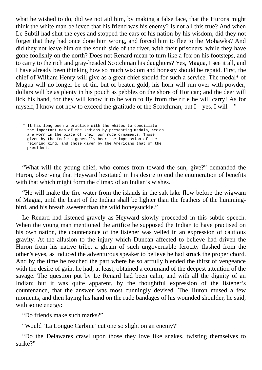what he wished to do, did we not aid him, by making a false face, that the Hurons might think the white man believed that his friend was his enemy? Is not all this true? And when Le Subtil had shut the eyes and stopped the ears of his nation by his wisdom, did they not forget that they had once done him wrong, and forced him to flee to the Mohawks? And did they not leave him on the south side of the river, with their prisoners, while they have gone foolishly on the north? Does not Renard mean to turn like a fox on his footsteps, and to carry to the rich and gray-headed Scotchman his daughters? Yes, Magua, I see it all, and I have already been thinking how so much wisdom and honesty should be repaid. First, the chief of William Henry will give as a great chief should for such a service. The medal\* of Magua will no longer be of tin, but of beaten gold; his horn will run over with powder; dollars will be as plenty in his pouch as pebbles on the shore of Horican; and the deer will lick his hand, for they will know it to be vain to fly from the rifle he will carry! As for myself, I know not how to exceed the gratitude of the Scotchman, but I—yes, I will—"

\* It has long been a practice with the whites to conciliate the important men of the Indians by presenting medals, which are worn in the place of their own rude ornaments. Those given by the English generally bear the impression of the reigning king, and those given by the Americans that of the president.

"What will the young chief, who comes from toward the sun, give?" demanded the Huron, observing that Heyward hesitated in his desire to end the enumeration of benefits with that which might form the climax of an Indian's wishes.

"He will make the fire-water from the islands in the salt lake flow before the wigwam of Magua, until the heart of the Indian shall be lighter than the feathers of the hummingbird, and his breath sweeter than the wild honeysuckle."

Le Renard had listened gravely as Heyward slowly proceeded in this subtle speech. When the young man mentioned the artifice he supposed the Indian to have practised on his own nation, the countenance of the listener was veiled in an expression of cautious gravity. At the allusion to the injury which Duncan affected to believe had driven the Huron from his native tribe, a gleam of such ungovernable ferocity flashed from the other's eyes, as induced the adventurous speaker to believe he had struck the proper chord. And by the time he reached the part where he so artfully blended the thirst of vengeance with the desire of gain, he had, at least, obtained a command of the deepest attention of the savage. The question put by Le Renard had been calm, and with all the dignity of an Indian; but it was quite apparent, by the thoughtful expression of the listener's countenance, that the answer was most cunningly devised. The Huron mused a few moments, and then laying his hand on the rude bandages of his wounded shoulder, he said, with some energy:

"Do friends make such marks?"

"Would 'La Longue Carbine' cut one so slight on an enemy?"

"Do the Delawares crawl upon those they love like snakes, twisting themselves to strike?"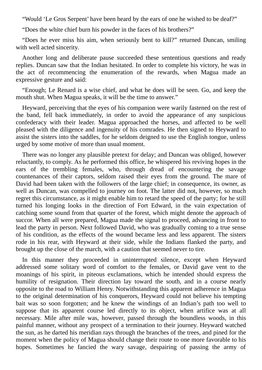"Would 'Le Gros Serpent' have been heard by the ears of one he wished to be deaf?"

"Does the white chief burn his powder in the faces of his brothers?"

"Does he ever miss his aim, when seriously bent to kill?" returned Duncan, smiling with well acted sincerity.

Another long and deliberate pause succeeded these sententious questions and ready replies. Duncan saw that the Indian hesitated. In order to complete his victory, he was in the act of recommencing the enumeration of the rewards, when Magua made an expressive gesture and said:

"Enough; Le Renard is a wise chief, and what he does will be seen. Go, and keep the mouth shut. When Magua speaks, it will be the time to answer."

Heyward, perceiving that the eyes of his companion were warily fastened on the rest of the band, fell back immediately, in order to avoid the appearance of any suspicious confederacy with their leader. Magua approached the horses, and affected to be well pleased with the diligence and ingenuity of his comrades. He then signed to Heyward to assist the sisters into the saddles, for he seldom deigned to use the English tongue, unless urged by some motive of more than usual moment.

There was no longer any plausible pretext for delay; and Duncan was obliged, however reluctantly, to comply. As he performed this office, he whispered his reviving hopes in the ears of the trembling females, who, through dread of encountering the savage countenances of their captors, seldom raised their eyes from the ground. The mare of David had been taken with the followers of the large chief; in consequence, its owner, as well as Duncan, was compelled to journey on foot. The latter did not, however, so much regret this circumstance, as it might enable him to retard the speed of the party; for he still turned his longing looks in the direction of Fort Edward, in the vain expectation of catching some sound from that quarter of the forest, which might denote the approach of succor. When all were prepared, Magua made the signal to proceed, advancing in front to lead the party in person. Next followed David, who was gradually coming to a true sense of his condition, as the effects of the wound became less and less apparent. The sisters rode in his rear, with Heyward at their side, while the Indians flanked the party, and brought up the close of the march, with a caution that seemed never to tire.

In this manner they proceeded in uninterrupted silence, except when Heyward addressed some solitary word of comfort to the females, or David gave vent to the moanings of his spirit, in piteous exclamations, which he intended should express the humility of resignation. Their direction lay toward the south, and in a course nearly opposite to the road to William Henry. Notwithstanding this apparent adherence in Magua to the original determination of his conquerors, Heyward could not believe his tempting bait was so soon forgotten; and he knew the windings of an Indian's path too well to suppose that its apparent course led directly to its object, when artifice was at all necessary. Mile after mile was, however, passed through the boundless woods, in this painful manner, without any prospect of a termination to their journey. Heyward watched the sun, as he darted his meridian rays through the branches of the trees, and pined for the moment when the policy of Magua should change their route to one more favorable to his hopes. Sometimes he fancied the wary savage, despairing of passing the army of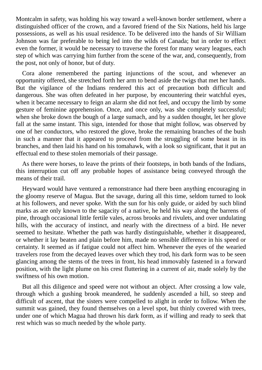Montcalm in safety, was holding his way toward a well-known border settlement, where a distinguished officer of the crown, and a favored friend of the Six Nations, held his large possessions, as well as his usual residence. To be delivered into the hands of Sir William Johnson was far preferable to being led into the wilds of Canada; but in order to effect even the former, it would be necessary to traverse the forest for many weary leagues, each step of which was carrying him further from the scene of the war, and, consequently, from the post, not only of honor, but of duty.

Cora alone remembered the parting injunctions of the scout, and whenever an opportunity offered, she stretched forth her arm to bend aside the twigs that met her hands. But the vigilance of the Indians rendered this act of precaution both difficult and dangerous. She was often defeated in her purpose, by encountering their watchful eyes, when it became necessary to feign an alarm she did not feel, and occupy the limb by some gesture of feminine apprehension. Once, and once only, was she completely successful; when she broke down the bough of a large sumach, and by a sudden thought, let her glove fall at the same instant. This sign, intended for those that might follow, was observed by one of her conductors, who restored the glove, broke the remaining branches of the bush in such a manner that it appeared to proceed from the struggling of some beast in its branches, and then laid his hand on his tomahawk, with a look so significant, that it put an effectual end to these stolen memorials of their passage.

As there were horses, to leave the prints of their footsteps, in both bands of the Indians, this interruption cut off any probable hopes of assistance being conveyed through the means of their trail.

Heyward would have ventured a remonstrance had there been anything encouraging in the gloomy reserve of Magua. But the savage, during all this time, seldom turned to look at his followers, and never spoke. With the sun for his only guide, or aided by such blind marks as are only known to the sagacity of a native, he held his way along the barrens of pine, through occasional little fertile vales, across brooks and rivulets, and over undulating hills, with the accuracy of instinct, and nearly with the directness of a bird. He never seemed to hesitate. Whether the path was hardly distinguishable, whether it disappeared, or whether it lay beaten and plain before him, made no sensible difference in his speed or certainty. It seemed as if fatigue could not affect him. Whenever the eyes of the wearied travelers rose from the decayed leaves over which they trod, his dark form was to be seen glancing among the stems of the trees in front, his head immovably fastened in a forward position, with the light plume on his crest fluttering in a current of air, made solely by the swiftness of his own motion.

But all this diligence and speed were not without an object. After crossing a low vale, through which a gushing brook meandered, he suddenly ascended a hill, so steep and difficult of ascent, that the sisters were compelled to alight in order to follow. When the summit was gained, they found themselves on a level spot, but thinly covered with trees, under one of which Magua had thrown his dark form, as if willing and ready to seek that rest which was so much needed by the whole party.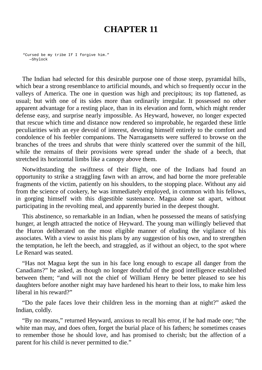## **CHAPTER 11**

"Cursed be my tribe If I forgive him." —Shylock

The Indian had selected for this desirable purpose one of those steep, pyramidal hills, which bear a strong resemblance to artificial mounds, and which so frequently occur in the valleys of America. The one in question was high and precipitous; its top flattened, as usual; but with one of its sides more than ordinarily irregular. It possessed no other apparent advantage for a resting place, than in its elevation and form, which might render defense easy, and surprise nearly impossible. As Heyward, however, no longer expected that rescue which time and distance now rendered so improbable, he regarded these little peculiarities with an eye devoid of interest, devoting himself entirely to the comfort and condolence of his feebler companions. The Narragansetts were suffered to browse on the branches of the trees and shrubs that were thinly scattered over the summit of the hill, while the remains of their provisions were spread under the shade of a beech, that stretched its horizontal limbs like a canopy above them.

Notwithstanding the swiftness of their flight, one of the Indians had found an opportunity to strike a straggling fawn with an arrow, and had borne the more preferable fragments of the victim, patiently on his shoulders, to the stopping place. Without any aid from the science of cookery, he was immediately employed, in common with his fellows, in gorging himself with this digestible sustenance. Magua alone sat apart, without participating in the revolting meal, and apparently buried in the deepest thought.

This abstinence, so remarkable in an Indian, when he possessed the means of satisfying hunger, at length attracted the notice of Heyward. The young man willingly believed that the Huron deliberated on the most eligible manner of eluding the vigilance of his associates. With a view to assist his plans by any suggestion of his own, and to strengthen the temptation, he left the beech, and straggled, as if without an object, to the spot where Le Renard was seated.

"Has not Magua kept the sun in his face long enough to escape all danger from the Canadians?" he asked, as though no longer doubtful of the good intelligence established between them; "and will not the chief of William Henry be better pleased to see his daughters before another night may have hardened his heart to their loss, to make him less liberal in his reward?"

"Do the pale faces love their children less in the morning than at night?" asked the Indian, coldly.

"By no means," returned Heyward, anxious to recall his error, if he had made one; "the white man may, and does often, forget the burial place of his fathers; he sometimes ceases to remember those he should love, and has promised to cherish; but the affection of a parent for his child is never permitted to die."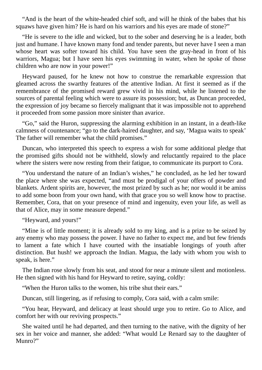"And is the heart of the white-headed chief soft, and will he think of the babes that his squaws have given him? He is hard on his warriors and his eyes are made of stone?"

"He is severe to the idle and wicked, but to the sober and deserving he is a leader, both just and humane. I have known many fond and tender parents, but never have I seen a man whose heart was softer toward his child. You have seen the gray-head in front of his warriors, Magua; but I have seen his eyes swimming in water, when he spoke of those children who are now in your power!"

Heyward paused, for he knew not how to construe the remarkable expression that gleamed across the swarthy features of the attentive Indian. At first it seemed as if the remembrance of the promised reward grew vivid in his mind, while he listened to the sources of parental feeling which were to assure its possession; but, as Duncan proceeded, the expression of joy became so fiercely malignant that it was impossible not to apprehend it proceeded from some passion more sinister than avarice.

"Go," said the Huron, suppressing the alarming exhibition in an instant, in a death-like calmness of countenance; "go to the dark-haired daughter, and say, 'Magua waits to speak' The father will remember what the child promises."

Duncan, who interpreted this speech to express a wish for some additional pledge that the promised gifts should not be withheld, slowly and reluctantly repaired to the place where the sisters were now resting from their fatigue, to communicate its purport to Cora.

"You understand the nature of an Indian's wishes," he concluded, as he led her toward the place where she was expected, "and must be prodigal of your offers of powder and blankets. Ardent spirits are, however, the most prized by such as he; nor would it be amiss to add some boon from your own hand, with that grace you so well know how to practise. Remember, Cora, that on your presence of mind and ingenuity, even your life, as well as that of Alice, may in some measure depend."

"Heyward, and yours!"

"Mine is of little moment; it is already sold to my king, and is a prize to be seized by any enemy who may possess the power. I have no father to expect me, and but few friends to lament a fate which I have courted with the insatiable longings of youth after distinction. But hush! we approach the Indian. Magua, the lady with whom you wish to speak, is here."

The Indian rose slowly from his seat, and stood for near a minute silent and motionless. He then signed with his hand for Heyward to retire, saying, coldly:

"When the Huron talks to the women, his tribe shut their ears."

Duncan, still lingering, as if refusing to comply, Cora said, with a calm smile:

"You hear, Heyward, and delicacy at least should urge you to retire. Go to Alice, and comfort her with our reviving prospects."

She waited until he had departed, and then turning to the native, with the dignity of her sex in her voice and manner, she added: "What would Le Renard say to the daughter of Munro?"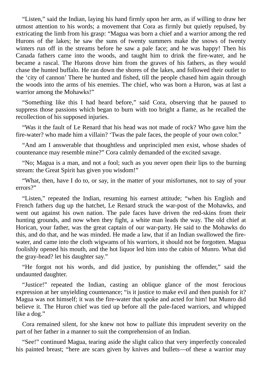"Listen," said the Indian, laying his hand firmly upon her arm, as if willing to draw her utmost attention to his words; a movement that Cora as firmly but quietly repulsed, by extricating the limb from his grasp: "Magua was born a chief and a warrior among the red Hurons of the lakes; he saw the suns of twenty summers make the snows of twenty winters run off in the streams before he saw a pale face; and he was happy! Then his Canada fathers came into the woods, and taught him to drink the fire-water, and he became a rascal. The Hurons drove him from the graves of his fathers, as they would chase the hunted buffalo. He ran down the shores of the lakes, and followed their outlet to the 'city of cannon' There he hunted and fished, till the people chased him again through the woods into the arms of his enemies. The chief, who was born a Huron, was at last a warrior among the Mohawks!"

"Something like this I had heard before," said Cora, observing that he paused to suppress those passions which began to burn with too bright a flame, as he recalled the recollection of his supposed injuries.

"Was it the fault of Le Renard that his head was not made of rock? Who gave him the fire-water? who made him a villain? 'Twas the pale faces, the people of your own color."

"And am I answerable that thoughtless and unprincipled men exist, whose shades of countenance may resemble mine?" Cora calmly demanded of the excited savage.

"No; Magua is a man, and not a fool; such as you never open their lips to the burning stream: the Great Spirit has given you wisdom!"

"What, then, have I do to, or say, in the matter of your misfortunes, not to say of your errors?"

"Listen," repeated the Indian, resuming his earnest attitude; "when his English and French fathers dug up the hatchet, Le Renard struck the war-post of the Mohawks, and went out against his own nation. The pale faces have driven the red-skins from their hunting grounds, and now when they fight, a white man leads the way. The old chief at Horican, your father, was the great captain of our war-party. He said to the Mohawks do this, and do that, and he was minded. He made a law, that if an Indian swallowed the firewater, and came into the cloth wigwams of his warriors, it should not be forgotten. Magua foolishly opened his mouth, and the hot liquor led him into the cabin of Munro. What did the gray-head? let his daughter say."

"He forgot not his words, and did justice, by punishing the offender," said the undaunted daughter.

"Justice!" repeated the Indian, casting an oblique glance of the most ferocious expression at her unyielding countenance; "is it justice to make evil and then punish for it? Magua was not himself; it was the fire-water that spoke and acted for him! but Munro did believe it. The Huron chief was tied up before all the pale-faced warriors, and whipped like a dog."

Cora remained silent, for she knew not how to palliate this imprudent severity on the part of her father in a manner to suit the comprehension of an Indian.

"See!" continued Magua, tearing aside the slight calico that very imperfectly concealed his painted breast; "here are scars given by knives and bullets—of these a warrior may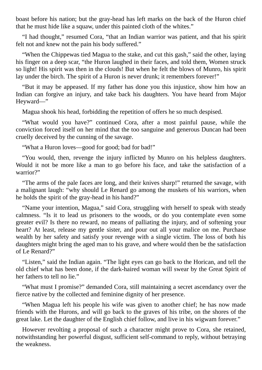boast before his nation; but the gray-head has left marks on the back of the Huron chief that he must hide like a squaw, under this painted cloth of the whites."

"I had thought," resumed Cora, "that an Indian warrior was patient, and that his spirit felt not and knew not the pain his body suffered."

"When the Chippewas tied Magua to the stake, and cut this gash," said the other, laying his finger on a deep scar, "the Huron laughed in their faces, and told them, Women struck so light! His spirit was then in the clouds! But when he felt the blows of Munro, his spirit lay under the birch. The spirit of a Huron is never drunk; it remembers forever!"

"But it may be appeased. If my father has done you this injustice, show him how an Indian can forgive an injury, and take back his daughters. You have heard from Major Heyward—"

Magua shook his head, forbidding the repetition of offers he so much despised.

"What would you have?" continued Cora, after a most painful pause, while the conviction forced itself on her mind that the too sanguine and generous Duncan had been cruelly deceived by the cunning of the savage.

"What a Huron loves—good for good; bad for bad!"

"You would, then, revenge the injury inflicted by Munro on his helpless daughters. Would it not be more like a man to go before his face, and take the satisfaction of a warrior?"

"The arms of the pale faces are long, and their knives sharp!" returned the savage, with a malignant laugh: "why should Le Renard go among the muskets of his warriors, when he holds the spirit of the gray-head in his hand?"

"Name your intention, Magua," said Cora, struggling with herself to speak with steady calmness. "Is it to lead us prisoners to the woods, or do you contemplate even some greater evil? Is there no reward, no means of palliating the injury, and of softening your heart? At least, release my gentle sister, and pour out all your malice on me. Purchase wealth by her safety and satisfy your revenge with a single victim. The loss of both his daughters might bring the aged man to his grave, and where would then be the satisfaction of Le Renard?"

"Listen," said the Indian again. "The light eyes can go back to the Horican, and tell the old chief what has been done, if the dark-haired woman will swear by the Great Spirit of her fathers to tell no lie."

"What must I promise?" demanded Cora, still maintaining a secret ascendancy over the fierce native by the collected and feminine dignity of her presence.

"When Magua left his people his wife was given to another chief; he has now made friends with the Hurons, and will go back to the graves of his tribe, on the shores of the great lake. Let the daughter of the English chief follow, and live in his wigwam forever."

However revolting a proposal of such a character might prove to Cora, she retained, notwithstanding her powerful disgust, sufficient self-command to reply, without betraying the weakness.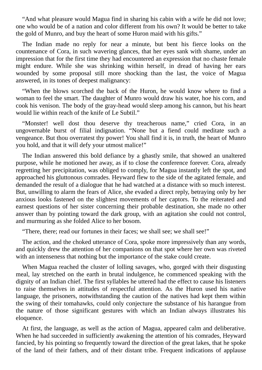"And what pleasure would Magua find in sharing his cabin with a wife he did not love; one who would be of a nation and color different from his own? It would be better to take the gold of Munro, and buy the heart of some Huron maid with his gifts."

The Indian made no reply for near a minute, but bent his fierce looks on the countenance of Cora, in such wavering glances, that her eyes sank with shame, under an impression that for the first time they had encountered an expression that no chaste female might endure. While she was shrinking within herself, in dread of having her ears wounded by some proposal still more shocking than the last, the voice of Magua answered, in its tones of deepest malignancy:

"When the blows scorched the back of the Huron, he would know where to find a woman to feel the smart. The daughter of Munro would draw his water, hoe his corn, and cook his venison. The body of the gray-head would sleep among his cannon, but his heart would lie within reach of the knife of Le Subtil."

"Monster! well dost thou deserve thy treacherous name," cried Cora, in an ungovernable burst of filial indignation. "None but a fiend could meditate such a vengeance. But thou overratest thy power! You shall find it is, in truth, the heart of Munro you hold, and that it will defy your utmost malice!"

The Indian answered this bold defiance by a ghastly smile, that showed an unaltered purpose, while he motioned her away, as if to close the conference forever. Cora, already regretting her precipitation, was obliged to comply, for Magua instantly left the spot, and approached his gluttonous comrades. Heyward flew to the side of the agitated female, and demanded the result of a dialogue that he had watched at a distance with so much interest. But, unwilling to alarm the fears of Alice, she evaded a direct reply, betraying only by her anxious looks fastened on the slightest movements of her captors. To the reiterated and earnest questions of her sister concerning their probable destination, she made no other answer than by pointing toward the dark group, with an agitation she could not control, and murmuring as she folded Alice to her bosom.

"There, there; read our fortunes in their faces; we shall see; we shall see!"

The action, and the choked utterance of Cora, spoke more impressively than any words, and quickly drew the attention of her companions on that spot where her own was riveted with an intenseness that nothing but the importance of the stake could create.

When Magua reached the cluster of lolling savages, who, gorged with their disgusting meal, lay stretched on the earth in brutal indulgence, he commenced speaking with the dignity of an Indian chief. The first syllables he uttered had the effect to cause his listeners to raise themselves in attitudes of respectful attention. As the Huron used his native language, the prisoners, notwithstanding the caution of the natives had kept them within the swing of their tomahawks, could only conjecture the substance of his harangue from the nature of those significant gestures with which an Indian always illustrates his eloquence.

At first, the language, as well as the action of Magua, appeared calm and deliberative. When he had succeeded in sufficiently awakening the attention of his comrades, Heyward fancied, by his pointing so frequently toward the direction of the great lakes, that he spoke of the land of their fathers, and of their distant tribe. Frequent indications of applause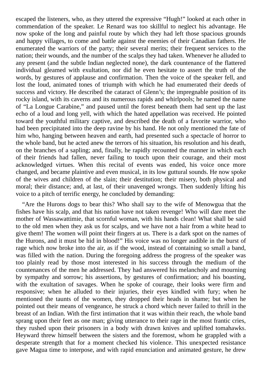escaped the listeners, who, as they uttered the expressive "Hugh!" looked at each other in commendation of the speaker. Le Renard was too skillful to neglect his advantage. He now spoke of the long and painful route by which they had left those spacious grounds and happy villages, to come and battle against the enemies of their Canadian fathers. He enumerated the warriors of the party; their several merits; their frequent services to the nation; their wounds, and the number of the scalps they had taken. Whenever he alluded to any present (and the subtle Indian neglected none), the dark countenance of the flattered individual gleamed with exultation, nor did he even hesitate to assert the truth of the words, by gestures of applause and confirmation. Then the voice of the speaker fell, and lost the loud, animated tones of triumph with which he had enumerated their deeds of success and victory. He described the cataract of Glenn's; the impregnable position of its rocky island, with its caverns and its numerous rapids and whirlpools; he named the name of "La Longue Carabine," and paused until the forest beneath them had sent up the last echo of a loud and long yell, with which the hated appellation was received. He pointed toward the youthful military captive, and described the death of a favorite warrior, who had been precipitated into the deep ravine by his hand. He not only mentioned the fate of him who, hanging between heaven and earth, had presented such a spectacle of horror to the whole band, but he acted anew the terrors of his situation, his resolution and his death, on the branches of a sapling; and, finally, he rapidly recounted the manner in which each of their friends had fallen, never failing to touch upon their courage, and their most acknowledged virtues. When this recital of events was ended, his voice once more changed, and became plaintive and even musical, in its low guttural sounds. He now spoke of the wives and children of the slain; their destitution; their misery, both physical and moral; their distance; and, at last, of their unavenged wrongs. Then suddenly lifting his voice to a pitch of terrific energy, he concluded by demanding:

"Are the Hurons dogs to bear this? Who shall say to the wife of Menowgua that the fishes have his scalp, and that his nation have not taken revenge! Who will dare meet the mother of Wassawattimie, that scornful woman, with his hands clean! What shall be said to the old men when they ask us for scalps, and we have not a hair from a white head to give them! The women will point their fingers at us. There is a dark spot on the names of the Hurons, and it must be hid in blood!" His voice was no longer audible in the burst of rage which now broke into the air, as if the wood, instead of containing so small a band, was filled with the nation. During the foregoing address the progress of the speaker was too plainly read by those most interested in his success through the medium of the countenances of the men he addressed. They had answered his melancholy and mourning by sympathy and sorrow; his assertions, by gestures of confirmation; and his boasting, with the exultation of savages. When he spoke of courage, their looks were firm and responsive; when he alluded to their injuries, their eyes kindled with fury; when he mentioned the taunts of the women, they dropped their heads in shame; but when he pointed out their means of vengeance, he struck a chord which never failed to thrill in the breast of an Indian. With the first intimation that it was within their reach, the whole band sprang upon their feet as one man; giving utterance to their rage in the most frantic cries, they rushed upon their prisoners in a body with drawn knives and uplifted tomahawks. Heyward threw himself between the sisters and the foremost, whom he grappled with a desperate strength that for a moment checked his violence. This unexpected resistance gave Magua time to interpose, and with rapid enunciation and animated gesture, he drew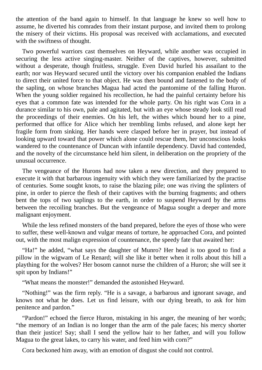the attention of the band again to himself. In that language he knew so well how to assume, he diverted his comrades from their instant purpose, and invited them to prolong the misery of their victims. His proposal was received with acclamations, and executed with the swiftness of thought.

Two powerful warriors cast themselves on Heyward, while another was occupied in securing the less active singing-master. Neither of the captives, however, submitted without a desperate, though fruitless, struggle. Even David hurled his assailant to the earth; nor was Heyward secured until the victory over his companion enabled the Indians to direct their united force to that object. He was then bound and fastened to the body of the sapling, on whose branches Magua had acted the pantomime of the falling Huron. When the young soldier regained his recollection, he had the painful certainty before his eyes that a common fate was intended for the whole party. On his right was Cora in a durance similar to his own, pale and agitated, but with an eye whose steady look still read the proceedings of their enemies. On his left, the withes which bound her to a pine, performed that office for Alice which her trembling limbs refused, and alone kept her fragile form from sinking. Her hands were clasped before her in prayer, but instead of looking upward toward that power which alone could rescue them, her unconscious looks wandered to the countenance of Duncan with infantile dependency. David had contended, and the novelty of the circumstance held him silent, in deliberation on the propriety of the unusual occurrence.

The vengeance of the Hurons had now taken a new direction, and they prepared to execute it with that barbarous ingenuity with which they were familiarized by the practise of centuries. Some sought knots, to raise the blazing pile; one was riving the splinters of pine, in order to pierce the flesh of their captives with the burning fragments; and others bent the tops of two saplings to the earth, in order to suspend Heyward by the arms between the recoiling branches. But the vengeance of Magua sought a deeper and more malignant enjoyment.

While the less refined monsters of the band prepared, before the eyes of those who were to suffer, these well-known and vulgar means of torture, he approached Cora, and pointed out, with the most malign expression of countenance, the speedy fate that awaited her:

"Ha!" he added, "what says the daughter of Munro? Her head is too good to find a pillow in the wigwam of Le Renard; will she like it better when it rolls about this hill a plaything for the wolves? Her bosom cannot nurse the children of a Huron; she will see it spit upon by Indians!"

"What means the monster!" demanded the astonished Heyward.

"Nothing!" was the firm reply. "He is a savage, a barbarous and ignorant savage, and knows not what he does. Let us find leisure, with our dying breath, to ask for him penitence and pardon."

"Pardon!" echoed the fierce Huron, mistaking in his anger, the meaning of her words; "the memory of an Indian is no longer than the arm of the pale faces; his mercy shorter than their justice! Say; shall I send the yellow hair to her father, and will you follow Magua to the great lakes, to carry his water, and feed him with corn?"

Cora beckoned him away, with an emotion of disgust she could not control.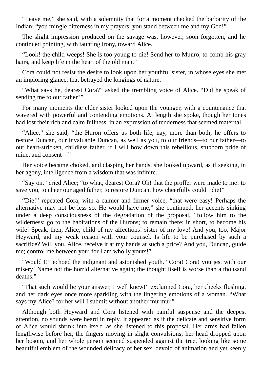"Leave me," she said, with a solemnity that for a moment checked the barbarity of the Indian; "you mingle bitterness in my prayers; you stand between me and my God!"

The slight impression produced on the savage was, however, soon forgotten, and he continued pointing, with taunting irony, toward Alice.

"Look! the child weeps! She is too young to die! Send her to Munro, to comb his gray hairs, and keep life in the heart of the old man."

Cora could not resist the desire to look upon her youthful sister, in whose eyes she met an imploring glance, that betrayed the longings of nature.

"What says he, dearest Cora?" asked the trembling voice of Alice. "Did he speak of sending me to our father?"

For many moments the elder sister looked upon the younger, with a countenance that wavered with powerful and contending emotions. At length she spoke, though her tones had lost their rich and calm fullness, in an expression of tenderness that seemed maternal.

"Alice," she said, "the Huron offers us both life, nay, more than both; he offers to restore Duncan, our invaluable Duncan, as well as you, to our friends—to our father—to our heart-stricken, childless father, if I will bow down this rebellious, stubborn pride of mine, and consent—"

Her voice became choked, and clasping her hands, she looked upward, as if seeking, in her agony, intelligence from a wisdom that was infinite.

"Say on," cried Alice; "to what, dearest Cora? Oh! that the proffer were made to me! to save you, to cheer our aged father, to restore Duncan, how cheerfully could I die!"

"Die!" repeated Cora, with a calmer and firmer voice, "that were easy! Perhaps the alternative may not be less so. He would have me," she continued, her accents sinking under a deep consciousness of the degradation of the proposal, "follow him to the wilderness; go to the habitations of the Hurons; to remain there; in short, to become his wife! Speak, then, Alice; child of my affections! sister of my love! And you, too, Major Heyward, aid my weak reason with your counsel. Is life to be purchased by such a sacrifice? Will you, Alice, receive it at my hands at such a price? And you, Duncan, guide me; control me between you; for I am wholly yours!"

"Would I!" echoed the indignant and astonished youth. "Cora! Cora! you jest with our misery! Name not the horrid alternative again; the thought itself is worse than a thousand deaths."

"That such would be your answer, I well knew!" exclaimed Cora, her cheeks flushing, and her dark eyes once more sparkling with the lingering emotions of a woman. "What says my Alice? for her will I submit without another murmur."

Although both Heyward and Cora listened with painful suspense and the deepest attention, no sounds were heard in reply. It appeared as if the delicate and sensitive form of Alice would shrink into itself, as she listened to this proposal. Her arms had fallen lengthwise before her, the fingers moving in slight convulsions; her head dropped upon her bosom, and her whole person seemed suspended against the tree, looking like some beautiful emblem of the wounded delicacy of her sex, devoid of animation and yet keenly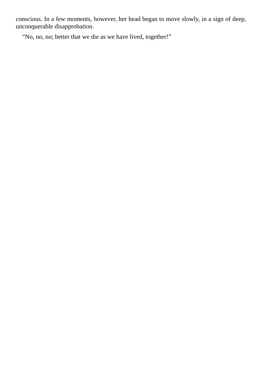conscious. In a few moments, however, her head began to move slowly, in a sign of deep, unconquerable disapprobation.

"No, no, no; better that we die as we have lived, together!"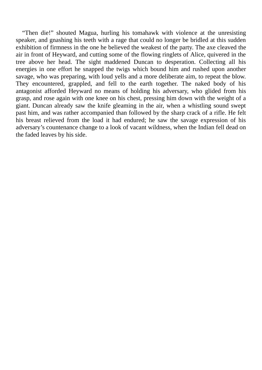"Then die!" shouted Magua, hurling his tomahawk with violence at the unresisting speaker, and gnashing his teeth with a rage that could no longer be bridled at this sudden exhibition of firmness in the one he believed the weakest of the party. The axe cleaved the air in front of Heyward, and cutting some of the flowing ringlets of Alice, quivered in the tree above her head. The sight maddened Duncan to desperation. Collecting all his energies in one effort he snapped the twigs which bound him and rushed upon another savage, who was preparing, with loud yells and a more deliberate aim, to repeat the blow. They encountered, grappled, and fell to the earth together. The naked body of his antagonist afforded Heyward no means of holding his adversary, who glided from his grasp, and rose again with one knee on his chest, pressing him down with the weight of a giant. Duncan already saw the knife gleaming in the air, when a whistling sound swept past him, and was rather accompanied than followed by the sharp crack of a rifle. He felt his breast relieved from the load it had endured; he saw the savage expression of his adversary's countenance change to a look of vacant wildness, when the Indian fell dead on the faded leaves by his side.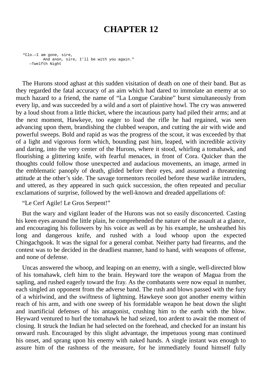## **CHAPTER 12**

"Clo.—I am gone, sire, And anon, sire, I'll be with you again." —Twelfth Night

The Hurons stood aghast at this sudden visitation of death on one of their band. But as they regarded the fatal accuracy of an aim which had dared to immolate an enemy at so much hazard to a friend, the name of "La Longue Carabine" burst simultaneously from every lip, and was succeeded by a wild and a sort of plaintive howl. The cry was answered by a loud shout from a little thicket, where the incautious party had piled their arms; and at the next moment, Hawkeye, too eager to load the rifle he had regained, was seen advancing upon them, brandishing the clubbed weapon, and cutting the air with wide and powerful sweeps. Bold and rapid as was the progress of the scout, it was exceeded by that of a light and vigorous form which, bounding past him, leaped, with incredible activity and daring, into the very center of the Hurons, where it stood, whirling a tomahawk, and flourishing a glittering knife, with fearful menaces, in front of Cora. Quicker than the thoughts could follow those unexpected and audacious movements, an image, armed in the emblematic panoply of death, glided before their eyes, and assumed a threatening attitude at the other's side. The savage tormentors recoiled before these warlike intruders, and uttered, as they appeared in such quick succession, the often repeated and peculiar exclamations of surprise, followed by the well-known and dreaded appellations of:

"Le Cerf Agile! Le Gros Serpent!"

But the wary and vigilant leader of the Hurons was not so easily disconcerted. Casting his keen eyes around the little plain, he comprehended the nature of the assault at a glance, and encouraging his followers by his voice as well as by his example, he unsheathed his long and dangerous knife, and rushed with a loud whoop upon the expected Chingachgook. It was the signal for a general combat. Neither party had firearms, and the contest was to be decided in the deadliest manner, hand to hand, with weapons of offense, and none of defense.

Uncas answered the whoop, and leaping on an enemy, with a single, well-directed blow of his tomahawk, cleft him to the brain. Heyward tore the weapon of Magua from the sapling, and rushed eagerly toward the fray. As the combatants were now equal in number, each singled an opponent from the adverse band. The rush and blows passed with the fury of a whirlwind, and the swiftness of lightning. Hawkeye soon got another enemy within reach of his arm, and with one sweep of his formidable weapon he beat down the slight and inartificial defenses of his antagonist, crushing him to the earth with the blow. Heyward ventured to hurl the tomahawk he had seized, too ardent to await the moment of closing. It struck the Indian he had selected on the forehead, and checked for an instant his onward rush. Encouraged by this slight advantage, the impetuous young man continued his onset, and sprang upon his enemy with naked hands. A single instant was enough to assure him of the rashness of the measure, for he immediately found himself fully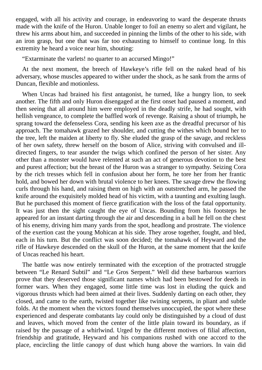engaged, with all his activity and courage, in endeavoring to ward the desperate thrusts made with the knife of the Huron. Unable longer to foil an enemy so alert and vigilant, he threw his arms about him, and succeeded in pinning the limbs of the other to his side, with an iron grasp, but one that was far too exhausting to himself to continue long. In this extremity he heard a voice near him, shouting:

"Extarminate the varlets! no quarter to an accursed Mingo!"

At the next moment, the breech of Hawkeye's rifle fell on the naked head of his adversary, whose muscles appeared to wither under the shock, as he sank from the arms of Duncan, flexible and motionless.

When Uncas had brained his first antagonist, he turned, like a hungry lion, to seek another. The fifth and only Huron disengaged at the first onset had paused a moment, and then seeing that all around him were employed in the deadly strife, he had sought, with hellish vengeance, to complete the baffled work of revenge. Raising a shout of triumph, he sprang toward the defenseless Cora, sending his keen axe as the dreadful precursor of his approach. The tomahawk grazed her shoulder, and cutting the withes which bound her to the tree, left the maiden at liberty to fly. She eluded the grasp of the savage, and reckless of her own safety, threw herself on the bosom of Alice, striving with convulsed and illdirected fingers, to tear asunder the twigs which confined the person of her sister. Any other than a monster would have relented at such an act of generous devotion to the best and purest affection; but the breast of the Huron was a stranger to sympathy. Seizing Cora by the rich tresses which fell in confusion about her form, he tore her from her frantic hold, and bowed her down with brutal violence to her knees. The savage drew the flowing curls through his hand, and raising them on high with an outstretched arm, he passed the knife around the exquisitely molded head of his victim, with a taunting and exulting laugh. But he purchased this moment of fierce gratification with the loss of the fatal opportunity. It was just then the sight caught the eye of Uncas. Bounding from his footsteps he appeared for an instant darting through the air and descending in a ball he fell on the chest of his enemy, driving him many yards from the spot, headlong and prostrate. The violence of the exertion cast the young Mohican at his side. They arose together, fought, and bled, each in his turn. But the conflict was soon decided; the tomahawk of Heyward and the rifle of Hawkeye descended on the skull of the Huron, at the same moment that the knife of Uncas reached his heart.

The battle was now entirely terminated with the exception of the protracted struggle between "Le Renard Subtil" and "Le Gros Serpent." Well did these barbarous warriors prove that they deserved those significant names which had been bestowed for deeds in former wars. When they engaged, some little time was lost in eluding the quick and vigorous thrusts which had been aimed at their lives. Suddenly darting on each other, they closed, and came to the earth, twisted together like twining serpents, in pliant and subtle folds. At the moment when the victors found themselves unoccupied, the spot where these experienced and desperate combatants lay could only be distinguished by a cloud of dust and leaves, which moved from the center of the little plain toward its boundary, as if raised by the passage of a whirlwind. Urged by the different motives of filial affection, friendship and gratitude, Heyward and his companions rushed with one accord to the place, encircling the little canopy of dust which hung above the warriors. In vain did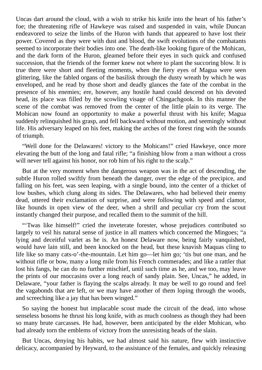Uncas dart around the cloud, with a wish to strike his knife into the heart of his father's foe; the threatening rifle of Hawkeye was raised and suspended in vain, while Duncan endeavored to seize the limbs of the Huron with hands that appeared to have lost their power. Covered as they were with dust and blood, the swift evolutions of the combatants seemed to incorporate their bodies into one. The death-like looking figure of the Mohican, and the dark form of the Huron, gleamed before their eyes in such quick and confused succession, that the friends of the former knew not where to plant the succoring blow. It is true there were short and fleeting moments, when the fiery eyes of Magua were seen glittering, like the fabled organs of the basilisk through the dusty wreath by which he was enveloped, and he read by those short and deadly glances the fate of the combat in the presence of his enemies; ere, however, any hostile hand could descend on his devoted head, its place was filled by the scowling visage of Chingachgook. In this manner the scene of the combat was removed from the center of the little plain to its verge. The Mohican now found an opportunity to make a powerful thrust with his knife; Magua suddenly relinquished his grasp, and fell backward without motion, and seemingly without life. His adversary leaped on his feet, making the arches of the forest ring with the sounds of triumph.

"Well done for the Delawares! victory to the Mohicans!" cried Hawkeye, once more elevating the butt of the long and fatal rifle; "a finishing blow from a man without a cross will never tell against his honor, nor rob him of his right to the scalp."

But at the very moment when the dangerous weapon was in the act of descending, the subtle Huron rolled swiftly from beneath the danger, over the edge of the precipice, and falling on his feet, was seen leaping, with a single bound, into the center of a thicket of low bushes, which clung along its sides. The Delawares, who had believed their enemy dead, uttered their exclamation of surprise, and were following with speed and clamor, like hounds in open view of the deer, when a shrill and peculiar cry from the scout instantly changed their purpose, and recalled them to the summit of the hill.

"'Twas like himself!" cried the inveterate forester, whose prejudices contributed so largely to veil his natural sense of justice in all matters which concerned the Mingoes; "a lying and deceitful varlet as he is. An honest Delaware now, being fairly vanquished, would have lain still, and been knocked on the head, but these knavish Maquas cling to life like so many cats-o'-the-mountain. Let him go—let him go; 'tis but one man, and he without rifle or bow, many a long mile from his French commerades; and like a rattler that lost his fangs, he can do no further mischief, until such time as he, and we too, may leave the prints of our moccasins over a long reach of sandy plain. See, Uncas," he added, in Delaware, "your father is flaying the scalps already. It may be well to go round and feel the vagabonds that are left, or we may have another of them loping through the woods, and screeching like a jay that has been winged."

So saying the honest but implacable scout made the circuit of the dead, into whose senseless bosoms he thrust his long knife, with as much coolness as though they had been so many brute carcasses. He had, however, been anticipated by the elder Mohican, who had already torn the emblems of victory from the unresisting heads of the slain.

But Uncas, denying his habits, we had almost said his nature, flew with instinctive delicacy, accompanied by Heyward, to the assistance of the females, and quickly releasing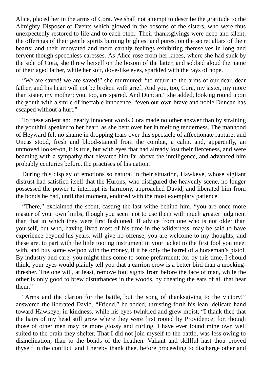Alice, placed her in the arms of Cora. We shall not attempt to describe the gratitude to the Almighty Disposer of Events which glowed in the bosoms of the sisters, who were thus unexpectedly restored to life and to each other. Their thanksgivings were deep and silent; the offerings of their gentle spirits burning brightest and purest on the secret altars of their hearts; and their renovated and more earthly feelings exhibiting themselves in long and fervent though speechless caresses. As Alice rose from her knees, where she had sunk by the side of Cora, she threw herself on the bosom of the latter, and sobbed aloud the name of their aged father, while her soft, dove-like eyes, sparkled with the rays of hope.

"We are saved! we are saved!" she murmured; "to return to the arms of our dear, dear father, and his heart will not be broken with grief. And you, too, Cora, my sister, my more than sister, my mother; you, too, are spared. And Duncan," she added, looking round upon the youth with a smile of ineffable innocence, "even our own brave and noble Duncan has escaped without a hurt."

To these ardent and nearly innocent words Cora made no other answer than by straining the youthful speaker to her heart, as she bent over her in melting tenderness. The manhood of Heyward felt no shame in dropping tears over this spectacle of affectionate rapture; and Uncas stood, fresh and blood-stained from the combat, a calm, and, apparently, an unmoved looker-on, it is true, but with eyes that had already lost their fierceness, and were beaming with a sympathy that elevated him far above the intelligence, and advanced him probably centuries before, the practises of his nation.

During this display of emotions so natural in their situation, Hawkeye, whose vigilant distrust had satisfied itself that the Hurons, who disfigured the heavenly scene, no longer possessed the power to interrupt its harmony, approached David, and liberated him from the bonds he had, until that moment, endured with the most exemplary patience.

"There," exclaimed the scout, casting the last withe behind him, "you are once more master of your own limbs, though you seem not to use them with much greater judgment than that in which they were first fashioned. If advice from one who is not older than yourself, but who, having lived most of his time in the wilderness, may be said to have experience beyond his years, will give no offense, you are welcome to my thoughts; and these are, to part with the little tooting instrument in your jacket to the first fool you meet with, and buy some we'pon with the money, if it be only the barrel of a horseman's pistol. By industry and care, you might thus come to some prefarment; for by this time, I should think, your eyes would plainly tell you that a carrion crow is a better bird than a mockingthresher. The one will, at least, remove foul sights from before the face of man, while the other is only good to brew disturbances in the woods, by cheating the ears of all that hear them."

"Arms and the clarion for the battle, but the song of thanksgiving to the victory!" answered the liberated David. "Friend," he added, thrusting forth his lean, delicate hand toward Hawkeye, in kindness, while his eyes twinkled and grew moist, "I thank thee that the hairs of my head still grow where they were first rooted by Providence; for, though those of other men may be more glossy and curling, I have ever found mine own well suited to the brain they shelter. That I did not join myself to the battle, was less owing to disinclination, than to the bonds of the heathen. Valiant and skillful hast thou proved thyself in the conflict, and I hereby thank thee, before proceeding to discharge other and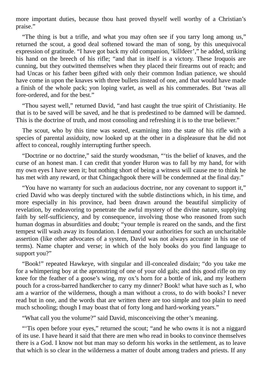more important duties, because thou hast proved thyself well worthy of a Christian's praise."

"The thing is but a trifle, and what you may often see if you tarry long among us," returned the scout, a good deal softened toward the man of song, by this unequivocal expression of gratitude. "I have got back my old companion, 'killdeer'," he added, striking his hand on the breech of his rifle; "and that in itself is a victory. These Iroquois are cunning, but they outwitted themselves when they placed their firearms out of reach; and had Uncas or his father been gifted with only their common Indian patience, we should have come in upon the knaves with three bullets instead of one, and that would have made a finish of the whole pack; yon loping varlet, as well as his commerades. But 'twas all fore-ordered, and for the best."

"Thou sayest well," returned David, "and hast caught the true spirit of Christianity. He that is to be saved will be saved, and he that is predestined to be damned will be damned. This is the doctrine of truth, and most consoling and refreshing it is to the true believer."

The scout, who by this time was seated, examining into the state of his rifle with a species of parental assiduity, now looked up at the other in a displeasure that he did not affect to conceal, roughly interrupting further speech.

"Doctrine or no doctrine," said the sturdy woodsman, "'tis the belief of knaves, and the curse of an honest man. I can credit that yonder Huron was to fall by my hand, for with my own eyes I have seen it; but nothing short of being a witness will cause me to think he has met with any reward, or that Chingachgook there will be condemned at the final day."

"You have no warranty for such an audacious doctrine, nor any covenant to support it," cried David who was deeply tinctured with the subtle distinctions which, in his time, and more especially in his province, had been drawn around the beautiful simplicity of revelation, by endeavoring to penetrate the awful mystery of the divine nature, supplying faith by self-sufficiency, and by consequence, involving those who reasoned from such human dogmas in absurdities and doubt; "your temple is reared on the sands, and the first tempest will wash away its foundation. I demand your authorities for such an uncharitable assertion (like other advocates of a system, David was not always accurate in his use of terms). Name chapter and verse; in which of the holy books do you find language to support you?"

"Book!" repeated Hawkeye, with singular and ill-concealed disdain; "do you take me for a whimpering boy at the apronstring of one of your old gals; and this good rifle on my knee for the feather of a goose's wing, my ox's horn for a bottle of ink, and my leathern pouch for a cross-barred handkercher to carry my dinner? Book! what have such as I, who am a warrior of the wilderness, though a man without a cross, to do with books? I never read but in one, and the words that are written there are too simple and too plain to need much schooling; though I may boast that of forty long and hard-working years."

"What call you the volume?" said David, misconceiving the other's meaning.

"'Tis open before your eyes," returned the scout; "and he who owns it is not a niggard of its use. I have heard it said that there are men who read in books to convince themselves there is a God. I know not but man may so deform his works in the settlement, as to leave that which is so clear in the wilderness a matter of doubt among traders and priests. If any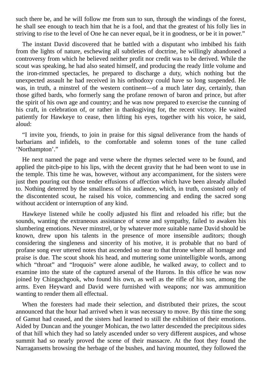such there be, and he will follow me from sun to sun, through the windings of the forest, he shall see enough to teach him that he is a fool, and that the greatest of his folly lies in striving to rise to the level of One he can never equal, be it in goodness, or be it in power."

The instant David discovered that he battled with a disputant who imbibed his faith from the lights of nature, eschewing all subtleties of doctrine, he willingly abandoned a controversy from which he believed neither profit nor credit was to be derived. While the scout was speaking, he had also seated himself, and producing the ready little volume and the iron-rimmed spectacles, he prepared to discharge a duty, which nothing but the unexpected assault he had received in his orthodoxy could have so long suspended. He was, in truth, a minstrel of the western continent—of a much later day, certainly, than those gifted bards, who formerly sang the profane renown of baron and prince, but after the spirit of his own age and country; and he was now prepared to exercise the cunning of his craft, in celebration of, or rather in thanksgiving for, the recent victory. He waited patiently for Hawkeye to cease, then lifting his eyes, together with his voice, he said, aloud:

"I invite you, friends, to join in praise for this signal deliverance from the hands of barbarians and infidels, to the comfortable and solemn tones of the tune called 'Northampton'."

He next named the page and verse where the rhymes selected were to be found, and applied the pitch-pipe to his lips, with the decent gravity that he had been wont to use in the temple. This time he was, however, without any accompaniment, for the sisters were just then pouring out those tender effusions of affection which have been already alluded to. Nothing deterred by the smallness of his audience, which, in truth, consisted only of the discontented scout, he raised his voice, commencing and ending the sacred song without accident or interruption of any kind.

Hawkeye listened while he coolly adjusted his flint and reloaded his rifle; but the sounds, wanting the extraneous assistance of scene and sympathy, failed to awaken his slumbering emotions. Never minstrel, or by whatever more suitable name David should be known, drew upon his talents in the presence of more insensible auditors; though considering the singleness and sincerity of his motive, it is probable that no bard of profane song ever uttered notes that ascended so near to that throne where all homage and praise is due. The scout shook his head, and muttering some unintelligible words, among which "throat" and "Iroquois" were alone audible, he walked away, to collect and to examine into the state of the captured arsenal of the Hurons. In this office he was now joined by Chingachgook, who found his own, as well as the rifle of his son, among the arms. Even Heyward and David were furnished with weapons; nor was ammunition wanting to render them all effectual.

When the foresters had made their selection, and distributed their prizes, the scout announced that the hour had arrived when it was necessary to move. By this time the song of Gamut had ceased, and the sisters had learned to still the exhibition of their emotions. Aided by Duncan and the younger Mohican, the two latter descended the precipitous sides of that hill which they had so lately ascended under so very different auspices, and whose summit had so nearly proved the scene of their massacre. At the foot they found the Narragansetts browsing the herbage of the bushes, and having mounted, they followed the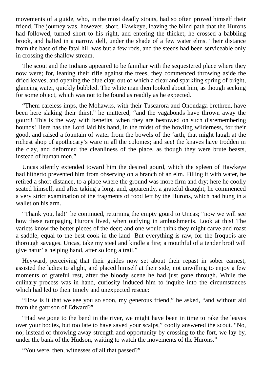movements of a guide, who, in the most deadly straits, had so often proved himself their friend. The journey was, however, short. Hawkeye, leaving the blind path that the Hurons had followed, turned short to his right, and entering the thicket, he crossed a babbling brook, and halted in a narrow dell, under the shade of a few water elms. Their distance from the base of the fatal hill was but a few rods, and the steeds had been serviceable only in crossing the shallow stream.

The scout and the Indians appeared to be familiar with the sequestered place where they now were; for, leaning their rifle against the trees, they commenced throwing aside the dried leaves, and opening the blue clay, out of which a clear and sparkling spring of bright, glancing water, quickly bubbled. The white man then looked about him, as though seeking for some object, which was not to be found as readily as he expected.

"Them careless imps, the Mohawks, with their Tuscarora and Onondaga brethren, have been here slaking their thirst," he muttered, "and the vagabonds have thrown away the gourd! This is the way with benefits, when they are bestowed on such disremembering hounds! Here has the Lord laid his hand, in the midst of the howling wilderness, for their good, and raised a fountain of water from the bowels of the 'arth, that might laugh at the richest shop of apothecary's ware in all the colonies; and see! the knaves have trodden in the clay, and deformed the cleanliness of the place, as though they were brute beasts, instead of human men."

Uncas silently extended toward him the desired gourd, which the spleen of Hawkeye had hitherto prevented him from observing on a branch of an elm. Filling it with water, he retired a short distance, to a place where the ground was more firm and dry; here he coolly seated himself, and after taking a long, and, apparently, a grateful draught, he commenced a very strict examination of the fragments of food left by the Hurons, which had hung in a wallet on his arm.

"Thank you, lad!" he continued, returning the empty gourd to Uncas; "now we will see how these rampaging Hurons lived, when outlying in ambushments. Look at this! The varlets know the better pieces of the deer; and one would think they might carve and roast a saddle, equal to the best cook in the land! But everything is raw, for the Iroquois are thorough savages. Uncas, take my steel and kindle a fire; a mouthful of a tender broil will give natur' a helping hand, after so long a trail."

Heyward, perceiving that their guides now set about their repast in sober earnest, assisted the ladies to alight, and placed himself at their side, not unwilling to enjoy a few moments of grateful rest, after the bloody scene he had just gone through. While the culinary process was in hand, curiosity induced him to inquire into the circumstances which had led to their timely and unexpected rescue:

"How is it that we see you so soon, my generous friend," he asked, "and without aid from the garrison of Edward?"

"Had we gone to the bend in the river, we might have been in time to rake the leaves over your bodies, but too late to have saved your scalps," coolly answered the scout. "No, no; instead of throwing away strength and opportunity by crossing to the fort, we lay by, under the bank of the Hudson, waiting to watch the movements of the Hurons."

"You were, then, witnesses of all that passed?"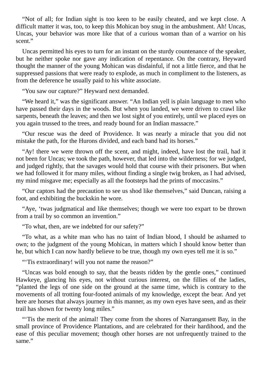"Not of all; for Indian sight is too keen to be easily cheated, and we kept close. A difficult matter it was, too, to keep this Mohican boy snug in the ambushment. Ah! Uncas, Uncas, your behavior was more like that of a curious woman than of a warrior on his scent."

Uncas permitted his eyes to turn for an instant on the sturdy countenance of the speaker, but he neither spoke nor gave any indication of repentance. On the contrary, Heyward thought the manner of the young Mohican was disdainful, if not a little fierce, and that he suppressed passions that were ready to explode, as much in compliment to the listeners, as from the deference he usually paid to his white associate.

"You saw our capture?" Heyward next demanded.

"We heard it," was the significant answer. "An Indian yell is plain language to men who have passed their days in the woods. But when you landed, we were driven to crawl like sarpents, beneath the leaves; and then we lost sight of you entirely, until we placed eyes on you again trussed to the trees, and ready bound for an Indian massacre."

"Our rescue was the deed of Providence. It was nearly a miracle that you did not mistake the path, for the Hurons divided, and each band had its horses."

"Ay! there we were thrown off the scent, and might, indeed, have lost the trail, had it not been for Uncas; we took the path, however, that led into the wilderness; for we judged, and judged rightly, that the savages would hold that course with their prisoners. But when we had followed it for many miles, without finding a single twig broken, as I had advised, my mind misgave me; especially as all the footsteps had the prints of moccasins."

"Our captors had the precaution to see us shod like themselves," said Duncan, raising a foot, and exhibiting the buckskin he wore.

"Aye, 'twas judgmatical and like themselves; though we were too expart to be thrown from a trail by so common an invention."

"To what, then, are we indebted for our safety?"

"To what, as a white man who has no taint of Indian blood, I should be ashamed to own; to the judgment of the young Mohican, in matters which I should know better than he, but which I can now hardly believe to be true, though my own eyes tell me it is so."

"'Tis extraordinary! will you not name the reason?"

"Uncas was bold enough to say, that the beasts ridden by the gentle ones," continued Hawkeye, glancing his eyes, not without curious interest, on the fillies of the ladies, "planted the legs of one side on the ground at the same time, which is contrary to the movements of all trotting four-footed animals of my knowledge, except the bear. And yet here are horses that always journey in this manner, as my own eyes have seen, and as their trail has shown for twenty long miles."

"'Tis the merit of the animal! They come from the shores of Narrangansett Bay, in the small province of Providence Plantations, and are celebrated for their hardihood, and the ease of this peculiar movement; though other horses are not unfrequently trained to the same."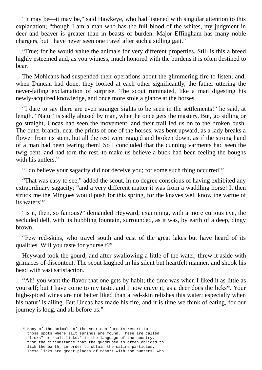"It may be—it may be," said Hawkeye, who had listened with singular attention to this explanation; "though I am a man who has the full blood of the whites, my judgment in deer and beaver is greater than in beasts of burden. Major Effingham has many noble chargers, but I have never seen one travel after such a sidling gait."

"True; for he would value the animals for very different properties. Still is this a breed highly esteemed and, as you witness, much honored with the burdens it is often destined to bear."

The Mohicans had suspended their operations about the glimmering fire to listen; and, when Duncan had done, they looked at each other significantly, the father uttering the never-failing exclamation of surprise. The scout ruminated, like a man digesting his newly-acquired knowledge, and once more stole a glance at the horses.

"I dare to say there are even stranger sights to be seen in the settlements!" he said, at length. "Natur' is sadly abused by man, when he once gets the mastery. But, go sidling or go straight, Uncas had seen the movement, and their trail led us on to the broken bush. The outer branch, near the prints of one of the horses, was bent upward, as a lady breaks a flower from its stem, but all the rest were ragged and broken down, as if the strong hand of a man had been tearing them! So I concluded that the cunning varments had seen the twig bent, and had torn the rest, to make us believe a buck had been feeling the boughs with his antlers."

"I do believe your sagacity did not deceive you; for some such thing occurred!"

"That was easy to see," added the scout, in no degree conscious of having exhibited any extraordinary sagacity; "and a very different matter it was from a waddling horse! It then struck me the Mingoes would push for this spring, for the knaves well know the vartue of its waters!"

"Is it, then, so famous?" demanded Heyward, examining, with a more curious eye, the secluded dell, with its bubbling fountain, surrounded, as it was, by earth of a deep, dingy brown.

"Few red-skins, who travel south and east of the great lakes but have heard of its qualities. Will you taste for yourself?"

Heyward took the gourd, and after swallowing a little of the water, threw it aside with grimaces of discontent. The scout laughed in his silent but heartfelt manner, and shook his head with vast satisfaction.

"Ah! you want the flavor that one gets by habit; the time was when I liked it as little as yourself; but I have come to my taste, and I now crave it, as a deer does the licks\*. Your high-spiced wines are not better liked than a red-skin relishes this water; especially when his natur' is ailing. But Uncas has made his fire, and it is time we think of eating, for our journey is long, and all before us."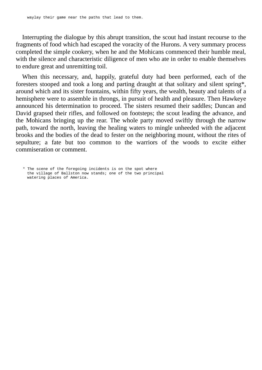Interrupting the dialogue by this abrupt transition, the scout had instant recourse to the fragments of food which had escaped the voracity of the Hurons. A very summary process completed the simple cookery, when he and the Mohicans commenced their humble meal, with the silence and characteristic diligence of men who ate in order to enable themselves to endure great and unremitting toil.

When this necessary, and, happily, grateful duty had been performed, each of the foresters stooped and took a long and parting draught at that solitary and silent spring\*, around which and its sister fountains, within fifty years, the wealth, beauty and talents of a hemisphere were to assemble in throngs, in pursuit of health and pleasure. Then Hawkeye announced his determination to proceed. The sisters resumed their saddles; Duncan and David grapsed their rifles, and followed on footsteps; the scout leading the advance, and the Mohicans bringing up the rear. The whole party moved swiftly through the narrow path, toward the north, leaving the healing waters to mingle unheeded with the adjacent brooks and the bodies of the dead to fester on the neighboring mount, without the rites of sepulture; a fate but too common to the warriors of the woods to excite either commiseration or comment.

\* The scene of the foregoing incidents is on the spot where the village of Ballston now stands; one of the two principal watering places of America.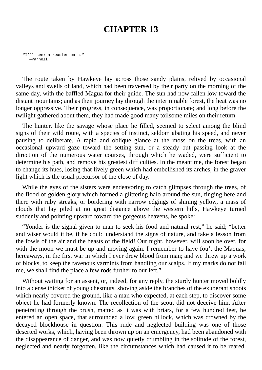## **CHAPTER 13**

"I'll seek a readier path." —Parnell

The route taken by Hawkeye lay across those sandy plains, relived by occasional valleys and swells of land, which had been traversed by their party on the morning of the same day, with the baffled Magua for their guide. The sun had now fallen low toward the distant mountains; and as their journey lay through the interminable forest, the heat was no longer oppressive. Their progress, in consequence, was proportionate; and long before the twilight gathered about them, they had made good many toilsome miles on their return.

The hunter, like the savage whose place he filled, seemed to select among the blind signs of their wild route, with a species of instinct, seldom abating his speed, and never pausing to deliberate. A rapid and oblique glance at the moss on the trees, with an occasional upward gaze toward the setting sun, or a steady but passing look at the direction of the numerous water courses, through which he waded, were sufficient to determine his path, and remove his greatest difficulties. In the meantime, the forest began to change its hues, losing that lively green which had embellished its arches, in the graver light which is the usual precursor of the close of day.

While the eyes of the sisters were endeavoring to catch glimpses through the trees, of the flood of golden glory which formed a glittering halo around the sun, tinging here and there with ruby streaks, or bordering with narrow edgings of shining yellow, a mass of clouds that lay piled at no great distance above the western hills, Hawkeye turned suddenly and pointing upward toward the gorgeous heavens, he spoke:

"Yonder is the signal given to man to seek his food and natural rest," he said; "better and wiser would it be, if he could understand the signs of nature, and take a lesson from the fowls of the air and the beasts of the field! Our night, however, will soon be over, for with the moon we must be up and moving again. I remember to have fou't the Maquas, hereaways, in the first war in which I ever drew blood from man; and we threw up a work of blocks, to keep the ravenous varmints from handling our scalps. If my marks do not fail me, we shall find the place a few rods further to our left."

Without waiting for an assent, or, indeed, for any reply, the sturdy hunter moved boldly into a dense thicket of young chestnuts, shoving aside the branches of the exuberant shoots which nearly covered the ground, like a man who expected, at each step, to discover some object he had formerly known. The recollection of the scout did not deceive him. After penetrating through the brush, matted as it was with briars, for a few hundred feet, he entered an open space, that surrounded a low, green hillock, which was crowned by the decayed blockhouse in question. This rude and neglected building was one of those deserted works, which, having been thrown up on an emergency, had been abandoned with the disappearance of danger, and was now quietly crumbling in the solitude of the forest, neglected and nearly forgotten, like the circumstances which had caused it to be reared.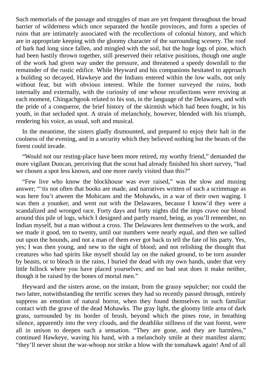Such memorials of the passage and struggles of man are yet frequent throughout the broad barrier of wilderness which once separated the hostile provinces, and form a species of ruins that are intimately associated with the recollections of colonial history, and which are in appropriate keeping with the gloomy character of the surrounding scenery. The roof of bark had long since fallen, and mingled with the soil, but the huge logs of pine, which had been hastily thrown together, still preserved their relative positions, though one angle of the work had given way under the pressure, and threatened a speedy downfall to the remainder of the rustic edifice. While Heyward and his companions hesitated to approach a building so decayed, Hawkeye and the Indians entered within the low walls, not only without fear, but with obvious interest. While the former surveyed the ruins, both internally and externally, with the curiosity of one whose recollections were reviving at each moment, Chingachgook related to his son, in the language of the Delawares, and with the pride of a conqueror, the brief history of the skirmish which had been fought, in his youth, in that secluded spot. A strain of melancholy, however, blended with his triumph, rendering his voice, as usual, soft and musical.

In the meantime, the sisters gladly dismounted, and prepared to enjoy their halt in the coolness of the evening, and in a security which they believed nothing but the beasts of the forest could invade.

"Would not our resting-place have been more retired, my worthy friend," demanded the more vigilant Duncan, perceiving that the scout had already finished his short survey, "had we chosen a spot less known, and one more rarely visited than this?"

"Few live who know the blockhouse was ever raised," was the slow and musing answer; "'tis not often that books are made, and narratives written of such a scrimmage as was here fou't atween the Mohicans and the Mohawks, in a war of their own waging. I was then a younker, and went out with the Delawares, because I know'd they were a scandalized and wronged race. Forty days and forty nights did the imps crave our blood around this pile of logs, which I designed and partly reared, being, as you'll remember, no Indian myself, but a man without a cross. The Delawares lent themselves to the work, and we made it good, ten to twenty, until our numbers were nearly equal, and then we sallied out upon the hounds, and not a man of them ever got back to tell the fate of his party. Yes, yes; I was then young, and new to the sight of blood; and not relishing the thought that creatures who had spirits like myself should lay on the naked ground, to be torn asunder by beasts, or to bleach in the rains, I buried the dead with my own hands, under that very little hillock where you have placed yourselves; and no bad seat does it make neither, though it be raised by the bones of mortal men."

Heyward and the sisters arose, on the instant, from the grassy sepulcher; nor could the two latter, notwithstanding the terrific scenes they had so recently passed through, entirely suppress an emotion of natural horror, when they found themselves in such familiar contact with the grave of the dead Mohawks. The gray light, the gloomy little area of dark grass, surrounded by its border of brush, beyond which the pines rose, in breathing silence, apparently into the very clouds, and the deathlike stillness of the vast forest, were all in unison to deepen such a sensation. "They are gone, and they are harmless," continued Hawkeye, waving his hand, with a melancholy smile at their manifest alarm; "they'll never shout the war-whoop nor strike a blow with the tomahawk again! And of all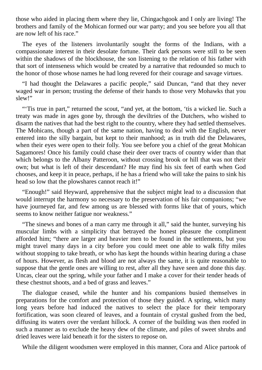those who aided in placing them where they lie, Chingachgook and I only are living! The brothers and family of the Mohican formed our war party; and you see before you all that are now left of his race."

The eyes of the listeners involuntarily sought the forms of the Indians, with a compassionate interest in their desolate fortune. Their dark persons were still to be seen within the shadows of the blockhouse, the son listening to the relation of his father with that sort of intenseness which would be created by a narrative that redounded so much to the honor of those whose names he had long revered for their courage and savage virtues.

"I had thought the Delawares a pacific people," said Duncan, "and that they never waged war in person; trusting the defense of their hands to those very Mohawks that you slew!"

"'Tis true in part," returned the scout, "and yet, at the bottom, 'tis a wicked lie. Such a treaty was made in ages gone by, through the deviltries of the Dutchers, who wished to disarm the natives that had the best right to the country, where they had settled themselves. The Mohicans, though a part of the same nation, having to deal with the English, never entered into the silly bargain, but kept to their manhood; as in truth did the Delawares, when their eyes were open to their folly. You see before you a chief of the great Mohican Sagamores! Once his family could chase their deer over tracts of country wider than that which belongs to the Albany Patteroon, without crossing brook or hill that was not their own; but what is left of their descendant? He may find his six feet of earth when God chooses, and keep it in peace, perhaps, if he has a friend who will take the pains to sink his head so low that the plowshares cannot reach it!"

"Enough!" said Heyward, apprehensive that the subject might lead to a discussion that would interrupt the harmony so necessary to the preservation of his fair companions; "we have journeyed far, and few among us are blessed with forms like that of yours, which seems to know neither fatigue nor weakness."

"The sinews and bones of a man carry me through it all," said the hunter, surveying his muscular limbs with a simplicity that betrayed the honest pleasure the compliment afforded him; "there are larger and heavier men to be found in the settlements, but you might travel many days in a city before you could meet one able to walk fifty miles without stopping to take breath, or who has kept the hounds within hearing during a chase of hours. However, as flesh and blood are not always the same, it is quite reasonable to suppose that the gentle ones are willing to rest, after all they have seen and done this day. Uncas, clear out the spring, while your father and I make a cover for their tender heads of these chestnut shoots, and a bed of grass and leaves."

The dialogue ceased, while the hunter and his companions busied themselves in preparations for the comfort and protection of those they guided. A spring, which many long years before had induced the natives to select the place for their temporary fortification, was soon cleared of leaves, and a fountain of crystal gushed from the bed, diffusing its waters over the verdant hillock. A corner of the building was then roofed in such a manner as to exclude the heavy dew of the climate, and piles of sweet shrubs and dried leaves were laid beneath it for the sisters to repose on.

While the diligent woodsmen were employed in this manner, Cora and Alice partook of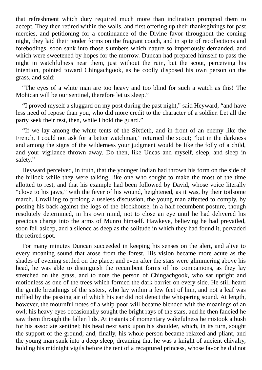that refreshment which duty required much more than inclination prompted them to accept. They then retired within the walls, and first offering up their thanksgivings for past mercies, and petitioning for a continuance of the Divine favor throughout the coming night, they laid their tender forms on the fragrant couch, and in spite of recollections and forebodings, soon sank into those slumbers which nature so imperiously demanded, and which were sweetened by hopes for the morrow. Duncan had prepared himself to pass the night in watchfulness near them, just without the ruin, but the scout, perceiving his intention, pointed toward Chingachgook, as he coolly disposed his own person on the grass, and said:

"The eyes of a white man are too heavy and too blind for such a watch as this! The Mohican will be our sentinel, therefore let us sleep."

"I proved myself a sluggard on my post during the past night," said Heyward, "and have less need of repose than you, who did more credit to the character of a soldier. Let all the party seek their rest, then, while I hold the guard."

"If we lay among the white tents of the Sixtieth, and in front of an enemy like the French, I could not ask for a better watchman," returned the scout; "but in the darkness and among the signs of the wilderness your judgment would be like the folly of a child, and your vigilance thrown away. Do then, like Uncas and myself, sleep, and sleep in safety."

Heyward perceived, in truth, that the younger Indian had thrown his form on the side of the hillock while they were talking, like one who sought to make the most of the time allotted to rest, and that his example had been followed by David, whose voice literally "clove to his jaws," with the fever of his wound, heightened, as it was, by their toilsome march. Unwilling to prolong a useless discussion, the young man affected to comply, by posting his back against the logs of the blockhouse, in a half recumbent posture, though resolutely determined, in his own mind, not to close an eye until he had delivered his precious charge into the arms of Munro himself. Hawkeye, believing he had prevailed, soon fell asleep, and a silence as deep as the solitude in which they had found it, pervaded the retired spot.

For many minutes Duncan succeeded in keeping his senses on the alert, and alive to every moaning sound that arose from the forest. His vision became more acute as the shades of evening settled on the place; and even after the stars were glimmering above his head, he was able to distinguish the recumbent forms of his companions, as they lay stretched on the grass, and to note the person of Chingachgook, who sat upright and motionless as one of the trees which formed the dark barrier on every side. He still heard the gentle breathings of the sisters, who lay within a few feet of him, and not a leaf was ruffled by the passing air of which his ear did not detect the whispering sound. At length, however, the mournful notes of a whip-poor-will became blended with the moanings of an owl; his heavy eyes occasionally sought the bright rays of the stars, and he then fancied he saw them through the fallen lids. At instants of momentary wakefulness he mistook a bush for his associate sentinel; his head next sank upon his shoulder, which, in its turn, sought the support of the ground; and, finally, his whole person became relaxed and pliant, and the young man sank into a deep sleep, dreaming that he was a knight of ancient chivalry, holding his midnight vigils before the tent of a recaptured princess, whose favor he did not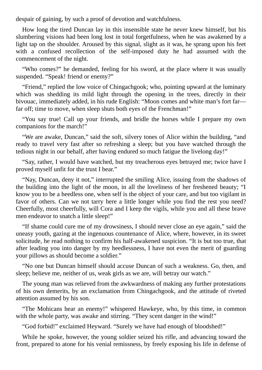despair of gaining, by such a proof of devotion and watchfulness.

How long the tired Duncan lay in this insensible state he never knew himself, but his slumbering visions had been long lost in total forgetfulness, when he was awakened by a light tap on the shoulder. Aroused by this signal, slight as it was, he sprang upon his feet with a confused recollection of the self-imposed duty he had assumed with the commencement of the night.

"Who comes?" he demanded, feeling for his sword, at the place where it was usually suspended. "Speak! friend or enemy?"

"Friend," replied the low voice of Chingachgook; who, pointing upward at the luminary which was shedding its mild light through the opening in the trees, directly in their bivouac, immediately added, in his rude English: "Moon comes and white man's fort far far off; time to move, when sleep shuts both eyes of the Frenchman!"

"You say true! Call up your friends, and bridle the horses while I prepare my own companions for the march!"

"We are awake, Duncan," said the soft, silvery tones of Alice within the building, "and ready to travel very fast after so refreshing a sleep; but you have watched through the tedious night in our behalf, after having endured so much fatigue the livelong day!"

"Say, rather, I would have watched, but my treacherous eyes betrayed me; twice have I proved myself unfit for the trust I bear."

"Nay, Duncan, deny it not," interrupted the smiling Alice, issuing from the shadows of the building into the light of the moon, in all the loveliness of her freshened beauty; "I know you to be a heedless one, when self is the object of your care, and but too vigilant in favor of others. Can we not tarry here a little longer while you find the rest you need? Cheerfully, most cheerfully, will Cora and I keep the vigils, while you and all these brave men endeavor to snatch a little sleep!"

"If shame could cure me of my drowsiness, I should never close an eye again," said the uneasy youth, gazing at the ingenuous countenance of Alice, where, however, in its sweet solicitude, he read nothing to confirm his half-awakened suspicion. "It is but too true, that after leading you into danger by my heedlessness, I have not even the merit of guarding your pillows as should become a soldier."

"No one but Duncan himself should accuse Duncan of such a weakness. Go, then, and sleep; believe me, neither of us, weak girls as we are, will betray our watch."

The young man was relieved from the awkwardness of making any further protestations of his own demerits, by an exclamation from Chingachgook, and the attitude of riveted attention assumed by his son.

"The Mohicans hear an enemy!" whispered Hawkeye, who, by this time, in common with the whole party, was awake and stirring. "They scent danger in the wind!"

"God forbid!" exclaimed Heyward. "Surely we have had enough of bloodshed!"

While he spoke, however, the young soldier seized his rifle, and advancing toward the front, prepared to atone for his venial remissness, by freely exposing his life in defense of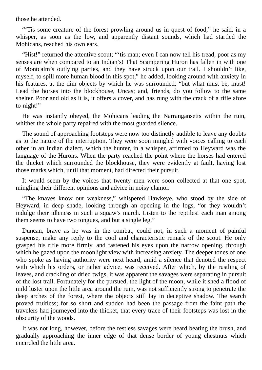those he attended.

"'Tis some creature of the forest prowling around us in quest of food," he said, in a whisper, as soon as the low, and apparently distant sounds, which had startled the Mohicans, reached his own ears.

"Hist!" returned the attentive scout; ""tis man; even I can now tell his tread, poor as my senses are when compared to an Indian's! That Scampering Huron has fallen in with one of Montcalm's outlying parties, and they have struck upon our trail. I shouldn't like, myself, to spill more human blood in this spot," he added, looking around with anxiety in his features, at the dim objects by which he was surrounded; "but what must be, must! Lead the horses into the blockhouse, Uncas; and, friends, do you follow to the same shelter. Poor and old as it is, it offers a cover, and has rung with the crack of a rifle afore to-night!"

He was instantly obeyed, the Mohicans leading the Narrangansetts within the ruin, whither the whole party repaired with the most guarded silence.

The sound of approaching footsteps were now too distinctly audible to leave any doubts as to the nature of the interruption. They were soon mingled with voices calling to each other in an Indian dialect, which the hunter, in a whisper, affirmed to Heyward was the language of the Hurons. When the party reached the point where the horses had entered the thicket which surrounded the blockhouse, they were evidently at fault, having lost those marks which, until that moment, had directed their pursuit.

It would seem by the voices that twenty men were soon collected at that one spot, mingling their different opinions and advice in noisy clamor.

"The knaves know our weakness," whispered Hawkeye, who stood by the side of Heyward, in deep shade, looking through an opening in the logs, "or they wouldn't indulge their idleness in such a squaw's march. Listen to the reptiles! each man among them seems to have two tongues, and but a single leg."

Duncan, brave as he was in the combat, could not, in such a moment of painful suspense, make any reply to the cool and characteristic remark of the scout. He only grasped his rifle more firmly, and fastened his eyes upon the narrow opening, through which he gazed upon the moonlight view with increasing anxiety. The deeper tones of one who spoke as having authority were next heard, amid a silence that denoted the respect with which his orders, or rather advice, was received. After which, by the rustling of leaves, and crackling of dried twigs, it was apparent the savages were separating in pursuit of the lost trail. Fortunately for the pursued, the light of the moon, while it shed a flood of mild luster upon the little area around the ruin, was not sufficiently strong to penetrate the deep arches of the forest, where the objects still lay in deceptive shadow. The search proved fruitless; for so short and sudden had been the passage from the faint path the travelers had journeyed into the thicket, that every trace of their footsteps was lost in the obscurity of the woods.

It was not long, however, before the restless savages were heard beating the brush, and gradually approaching the inner edge of that dense border of young chestnuts which encircled the little area.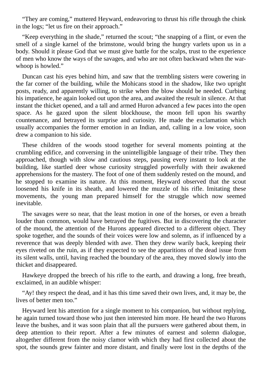"They are coming," muttered Heyward, endeavoring to thrust his rifle through the chink in the logs; "let us fire on their approach."

"Keep everything in the shade," returned the scout; "the snapping of a flint, or even the smell of a single karnel of the brimstone, would bring the hungry varlets upon us in a body. Should it please God that we must give battle for the scalps, trust to the experience of men who know the ways of the savages, and who are not often backward when the warwhoop is howled."

Duncan cast his eyes behind him, and saw that the trembling sisters were cowering in the far corner of the building, while the Mohicans stood in the shadow, like two upright posts, ready, and apparently willing, to strike when the blow should be needed. Curbing his impatience, he again looked out upon the area, and awaited the result in silence. At that instant the thicket opened, and a tall and armed Huron advanced a few paces into the open space. As he gazed upon the silent blockhouse, the moon fell upon his swarthy countenance, and betrayed its surprise and curiosity. He made the exclamation which usually accompanies the former emotion in an Indian, and, calling in a low voice, soon drew a companion to his side.

These children of the woods stood together for several moments pointing at the crumbling edifice, and conversing in the unintelligible language of their tribe. They then approached, though with slow and cautious steps, pausing every instant to look at the building, like startled deer whose curiosity struggled powerfully with their awakened apprehensions for the mastery. The foot of one of them suddenly rested on the mound, and he stopped to examine its nature. At this moment, Heyward observed that the scout loosened his knife in its sheath, and lowered the muzzle of his rifle. Imitating these movements, the young man prepared himself for the struggle which now seemed inevitable.

The savages were so near, that the least motion in one of the horses, or even a breath louder than common, would have betrayed the fugitives. But in discovering the character of the mound, the attention of the Hurons appeared directed to a different object. They spoke together, and the sounds of their voices were low and solemn, as if influenced by a reverence that was deeply blended with awe. Then they drew warily back, keeping their eyes riveted on the ruin, as if they expected to see the apparitions of the dead issue from its silent walls, until, having reached the boundary of the area, they moved slowly into the thicket and disappeared.

Hawkeye dropped the breech of his rifle to the earth, and drawing a long, free breath, exclaimed, in an audible whisper:

"Ay! they respect the dead, and it has this time saved their own lives, and, it may be, the lives of better men too."

Heyward lent his attention for a single moment to his companion, but without replying, he again turned toward those who just then interested him more. He heard the two Hurons leave the bushes, and it was soon plain that all the pursuers were gathered about them, in deep attention to their report. After a few minutes of earnest and solemn dialogue, altogether different from the noisy clamor with which they had first collected about the spot, the sounds grew fainter and more distant, and finally were lost in the depths of the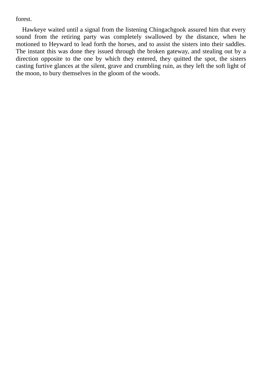forest.

Hawkeye waited until a signal from the listening Chingachgook assured him that every sound from the retiring party was completely swallowed by the distance, when he motioned to Heyward to lead forth the horses, and to assist the sisters into their saddles. The instant this was done they issued through the broken gateway, and stealing out by a direction opposite to the one by which they entered, they quitted the spot, the sisters casting furtive glances at the silent, grave and crumbling ruin, as they left the soft light of the moon, to bury themselves in the gloom of the woods.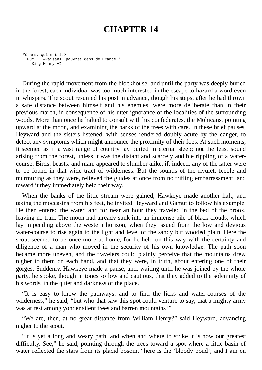## **CHAPTER 14**

"Guard.—Qui est la? Puc. —Paisans, pauvres gens de France." —King Henry VI

During the rapid movement from the blockhouse, and until the party was deeply buried in the forest, each individual was too much interested in the escape to hazard a word even in whispers. The scout resumed his post in advance, though his steps, after he had thrown a safe distance between himself and his enemies, were more deliberate than in their previous march, in consequence of his utter ignorance of the localities of the surrounding woods. More than once he halted to consult with his confederates, the Mohicans, pointing upward at the moon, and examining the barks of the trees with care. In these brief pauses, Heyward and the sisters listened, with senses rendered doubly acute by the danger, to detect any symptoms which might announce the proximity of their foes. At such moments, it seemed as if a vast range of country lay buried in eternal sleep; not the least sound arising from the forest, unless it was the distant and scarcely audible rippling of a watercourse. Birds, beasts, and man, appeared to slumber alike, if, indeed, any of the latter were to be found in that wide tract of wilderness. But the sounds of the rivulet, feeble and murmuring as they were, relieved the guides at once from no trifling embarrassment, and toward it they immediately held their way.

When the banks of the little stream were gained, Hawkeye made another halt; and taking the moccasins from his feet, he invited Heyward and Gamut to follow his example. He then entered the water, and for near an hour they traveled in the bed of the brook, leaving no trail. The moon had already sunk into an immense pile of black clouds, which lay impending above the western horizon, when they issued from the low and devious water-course to rise again to the light and level of the sandy but wooded plain. Here the scout seemed to be once more at home, for he held on this way with the certainty and diligence of a man who moved in the security of his own knowledge. The path soon became more uneven, and the travelers could plainly perceive that the mountains drew nigher to them on each hand, and that they were, in truth, about entering one of their gorges. Suddenly, Hawkeye made a pause, and, waiting until he was joined by the whole party, he spoke, though in tones so low and cautious, that they added to the solemnity of his words, in the quiet and darkness of the place.

"It is easy to know the pathways, and to find the licks and water-courses of the wilderness," he said; "but who that saw this spot could venture to say, that a mighty army was at rest among yonder silent trees and barren mountains?"

"We are, then, at no great distance from William Henry?" said Heyward, advancing nigher to the scout.

"It is yet a long and weary path, and when and where to strike it is now our greatest difficulty. See," he said, pointing through the trees toward a spot where a little basin of water reflected the stars from its placid bosom, "here is the 'bloody pond'; and I am on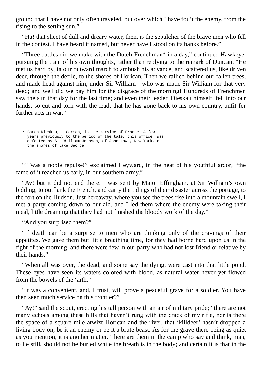ground that I have not only often traveled, but over which I have fou't the enemy, from the rising to the setting sun."

"Ha! that sheet of dull and dreary water, then, is the sepulcher of the brave men who fell in the contest. I have heard it named, but never have I stood on its banks before."

"Three battles did we make with the Dutch-Frenchman\* in a day," continued Hawkeye, pursuing the train of his own thoughts, rather than replying to the remark of Duncan. "He met us hard by, in our outward march to ambush his advance, and scattered us, like driven deer, through the defile, to the shores of Horican. Then we rallied behind our fallen trees, and made head against him, under Sir William—who was made Sir William for that very deed; and well did we pay him for the disgrace of the morning! Hundreds of Frenchmen saw the sun that day for the last time; and even their leader, Dieskau himself, fell into our hands, so cut and torn with the lead, that he has gone back to his own country, unfit for further acts in war."

\* Baron Dieskau, a German, in the service of France. A few years previously to the period of the tale, this officer was defeated by Sir William Johnson, of Johnstown, New York, on the shores of Lake George.

"'Twas a noble repulse!" exclaimed Heyward, in the heat of his youthful ardor; "the fame of it reached us early, in our southern army."

"Ay! but it did not end there. I was sent by Major Effingham, at Sir William's own bidding, to outflank the French, and carry the tidings of their disaster across the portage, to the fort on the Hudson. Just hereaway, where you see the trees rise into a mountain swell, I met a party coming down to our aid, and I led them where the enemy were taking their meal, little dreaming that they had not finished the bloody work of the day."

"And you surprised them?"

"If death can be a surprise to men who are thinking only of the cravings of their appetites. We gave them but little breathing time, for they had borne hard upon us in the fight of the morning, and there were few in our party who had not lost friend or relative by their hands."

"When all was over, the dead, and some say the dying, were cast into that little pond. These eyes have seen its waters colored with blood, as natural water never yet flowed from the bowels of the 'arth."

"It was a convenient, and, I trust, will prove a peaceful grave for a soldier. You have then seen much service on this frontier?"

"Ay!" said the scout, erecting his tall person with an air of military pride; "there are not many echoes among these hills that haven't rung with the crack of my rifle, nor is there the space of a square mile atwixt Horican and the river, that 'killdeer' hasn't dropped a living body on, be it an enemy or be it a brute beast. As for the grave there being as quiet as you mention, it is another matter. There are them in the camp who say and think, man, to lie still, should not be buried while the breath is in the body; and certain it is that in the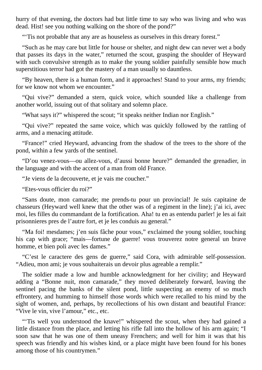hurry of that evening, the doctors had but little time to say who was living and who was dead. Hist! see you nothing walking on the shore of the pond?"

"'Tis not probable that any are as houseless as ourselves in this dreary forest."

"Such as he may care but little for house or shelter, and night dew can never wet a body that passes its days in the water," returned the scout, grasping the shoulder of Heyward with such convulsive strength as to make the young soldier painfully sensible how much superstitious terror had got the mastery of a man usually so dauntless.

"By heaven, there is a human form, and it approaches! Stand to your arms, my friends; for we know not whom we encounter."

"Qui vive?" demanded a stern, quick voice, which sounded like a challenge from another world, issuing out of that solitary and solemn place.

"What says it?" whispered the scout; "it speaks neither Indian nor English."

"Qui vive?" repeated the same voice, which was quickly followed by the rattling of arms, and a menacing attitude.

"France!" cried Heyward, advancing from the shadow of the trees to the shore of the pond, within a few yards of the sentinel.

"D'ou venez-vous—ou allez-vous, d'aussi bonne heure?" demanded the grenadier, in the language and with the accent of a man from old France.

"Je viens de la decouverte, et je vais me coucher."

"Etes-vous officier du roi?"

"Sans doute, mon camarade; me prends-tu pour un provincial! Je suis capitaine de chasseurs (Heyward well knew that the other was of a regiment in the line); j'ai ici, avec moi, les filles du commandant de la fortification. Aha! tu en as entendu parler! je les ai fait prisonnieres pres de l'autre fort, et je les conduis au general."

"Ma foi! mesdames; j'en suis fâche pour vous," exclaimed the young soldier, touching his cap with grace; "mais—fortune de guerre! vous trouverez notre general un brave homme, et bien poli avec les dames."

"C'est le caractere des gens de guerre," said Cora, with admirable self-possession. "Adieu, mon ami; je vous souhaiterais un devoir plus agreable a remplir."

The soldier made a low and humble acknowledgment for her civility; and Heyward adding a "Bonne nuit, mon camarade," they moved deliberately forward, leaving the sentinel pacing the banks of the silent pond, little suspecting an enemy of so much effrontery, and humming to himself those words which were recalled to his mind by the sight of women, and, perhaps, by recollections of his own distant and beautiful France: "Vive le vin, vive l'amour," etc., etc.

"'Tis well you understood the knave!" whispered the scout, when they had gained a little distance from the place, and letting his rifle fall into the hollow of his arm again; "I soon saw that he was one of them uneasy Frenchers; and well for him it was that his speech was friendly and his wishes kind, or a place might have been found for his bones among those of his countrymen."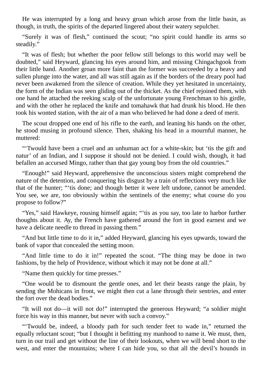He was interrupted by a long and heavy groan which arose from the little basin, as though, in truth, the spirits of the departed lingered about their watery sepulcher.

"Surely it was of flesh," continued the scout; "no spirit could handle its arms so steadily."

"It was of flesh; but whether the poor fellow still belongs to this world may well be doubted," said Heyward, glancing his eyes around him, and missing Chingachgook from their little band. Another groan more faint than the former was succeeded by a heavy and sullen plunge into the water, and all was still again as if the borders of the dreary pool had never been awakened from the silence of creation. While they yet hesitated in uncertainty, the form of the Indian was seen gliding out of the thicket. As the chief rejoined them, with one hand he attached the reeking scalp of the unfortunate young Frenchman to his girdle, and with the other he replaced the knife and tomahawk that had drunk his blood. He then took his wonted station, with the air of a man who believed he had done a deed of merit.

The scout dropped one end of his rifle to the earth, and leaning his hands on the other, he stood musing in profound silence. Then, shaking his head in a mournful manner, he muttered:

"'Twould have been a cruel and an unhuman act for a white-skin; but 'tis the gift and natur' of an Indian, and I suppose it should not be denied. I could wish, though, it had befallen an accursed Mingo, rather than that gay young boy from the old countries."

"Enough!" said Heyward, apprehensive the unconscious sisters might comprehend the nature of the detention, and conquering his disgust by a train of reflections very much like that of the hunter; "'tis done; and though better it were left undone, cannot be amended. You see, we are, too obviously within the sentinels of the enemy; what course do you propose to follow?"

"Yes," said Hawkeye, rousing himself again; "'tis as you say, too late to harbor further thoughts about it. Ay, the French have gathered around the fort in good earnest and we have a delicate needle to thread in passing them."

"And but little time to do it in," added Heyward, glancing his eyes upwards, toward the bank of vapor that concealed the setting moon.

"And little time to do it in!" repeated the scout. "The thing may be done in two fashions, by the help of Providence, without which it may not be done at all."

"Name them quickly for time presses."

"One would be to dismount the gentle ones, and let their beasts range the plain, by sending the Mohicans in front, we might then cut a lane through their sentries, and enter the fort over the dead bodies."

"It will not do—it will not do!" interrupted the generous Heyward; "a soldier might force his way in this manner, but never with such a convoy."

"'Twould be, indeed, a bloody path for such tender feet to wade in," returned the equally reluctant scout; "but I thought it befitting my manhood to name it. We must, then, turn in our trail and get without the line of their lookouts, when we will bend short to the west, and enter the mountains; where I can hide you, so that all the devil's hounds in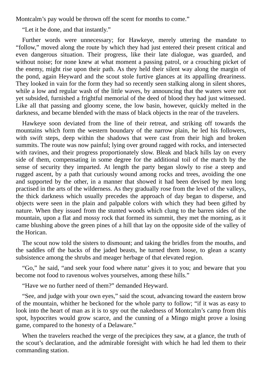Montcalm's pay would be thrown off the scent for months to come."

"Let it be done, and that instantly."

Further words were unnecessary; for Hawkeye, merely uttering the mandate to "follow," moved along the route by which they had just entered their present critical and even dangerous situation. Their progress, like their late dialogue, was guarded, and without noise; for none knew at what moment a passing patrol, or a crouching picket of the enemy, might rise upon their path. As they held their silent way along the margin of the pond, again Heyward and the scout stole furtive glances at its appalling dreariness. They looked in vain for the form they had so recently seen stalking along in silent shores, while a low and regular wash of the little waves, by announcing that the waters were not yet subsided, furnished a frightful memorial of the deed of blood they had just witnessed. Like all that passing and gloomy scene, the low basin, however, quickly melted in the darkness, and became blended with the mass of black objects in the rear of the travelers.

Hawkeye soon deviated from the line of their retreat, and striking off towards the mountains which form the western boundary of the narrow plain, he led his followers, with swift steps, deep within the shadows that were cast from their high and broken summits. The route was now painful; lying over ground ragged with rocks, and intersected with ravines, and their progress proportionately slow. Bleak and black hills lay on every side of them, compensating in some degree for the additional toil of the march by the sense of security they imparted. At length the party began slowly to rise a steep and rugged ascent, by a path that curiously wound among rocks and trees, avoiding the one and supported by the other, in a manner that showed it had been devised by men long practised in the arts of the wilderness. As they gradually rose from the level of the valleys, the thick darkness which usually precedes the approach of day began to disperse, and objects were seen in the plain and palpable colors with which they had been gifted by nature. When they issued from the stunted woods which clung to the barren sides of the mountain, upon a flat and mossy rock that formed its summit, they met the morning, as it came blushing above the green pines of a hill that lay on the opposite side of the valley of the Horican.

The scout now told the sisters to dismount; and taking the bridles from the mouths, and the saddles off the backs of the jaded beasts, he turned them loose, to glean a scanty subsistence among the shrubs and meager herbage of that elevated region.

"Go," he said, "and seek your food where natur' gives it to you; and beware that you become not food to ravenous wolves yourselves, among these hills."

"Have we no further need of them?" demanded Heyward.

"See, and judge with your own eyes," said the scout, advancing toward the eastern brow of the mountain, whither he beckoned for the whole party to follow; "if it was as easy to look into the heart of man as it is to spy out the nakedness of Montcalm's camp from this spot, hypocrites would grow scarce, and the cunning of a Mingo might prove a losing game, compared to the honesty of a Delaware."

When the travelers reached the verge of the precipices they saw, at a glance, the truth of the scout's declaration, and the admirable foresight with which he had led them to their commanding station.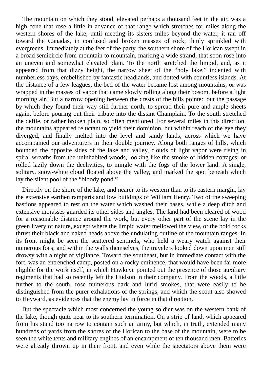The mountain on which they stood, elevated perhaps a thousand feet in the air, was a high cone that rose a little in advance of that range which stretches for miles along the western shores of the lake, until meeting its sisters miles beyond the water, it ran off toward the Canadas, in confused and broken masses of rock, thinly sprinkled with evergreens. Immediately at the feet of the party, the southern shore of the Horican swept in a broad semicircle from mountain to mountain, marking a wide strand, that soon rose into an uneven and somewhat elevated plain. To the north stretched the limpid, and, as it appeared from that dizzy height, the narrow sheet of the "holy lake," indented with numberless bays, embellished by fantastic headlands, and dotted with countless islands. At the distance of a few leagues, the bed of the water became lost among mountains, or was wrapped in the masses of vapor that came slowly rolling along their bosom, before a light morning air. But a narrow opening between the crests of the hills pointed out the passage by which they found their way still further north, to spread their pure and ample sheets again, before pouring out their tribute into the distant Champlain. To the south stretched the defile, or rather broken plain, so often mentioned. For several miles in this direction, the mountains appeared reluctant to yield their dominion, but within reach of the eye they diverged, and finally melted into the level and sandy lands, across which we have accompanied our adventurers in their double journey. Along both ranges of hills, which bounded the opposite sides of the lake and valley, clouds of light vapor were rising in spiral wreaths from the uninhabited woods, looking like the smoke of hidden cottages; or rolled lazily down the declivities, to mingle with the fogs of the lower land. A single, solitary, snow-white cloud floated above the valley, and marked the spot beneath which lay the silent pool of the "bloody pond."

Directly on the shore of the lake, and nearer to its western than to its eastern margin, lay the extensive earthen ramparts and low buildings of William Henry. Two of the sweeping bastions appeared to rest on the water which washed their bases, while a deep ditch and extensive morasses guarded its other sides and angles. The land had been cleared of wood for a reasonable distance around the work, but every other part of the scene lay in the green livery of nature, except where the limpid water mellowed the view, or the bold rocks thrust their black and naked heads above the undulating outline of the mountain ranges. In its front might be seen the scattered sentinels, who held a weary watch against their numerous foes; and within the walls themselves, the travelers looked down upon men still drowsy with a night of vigilance. Toward the southeast, but in immediate contact with the fort, was an entrenched camp, posted on a rocky eminence, that would have been far more eligible for the work itself, in which Hawkeye pointed out the presence of those auxiliary regiments that had so recently left the Hudson in their company. From the woods, a little further to the south, rose numerous dark and lurid smokes, that were easily to be distinguished from the purer exhalations of the springs, and which the scout also showed to Heyward, as evidences that the enemy lay in force in that direction.

But the spectacle which most concerned the young soldier was on the western bank of the lake, though quite near to its southern termination. On a strip of land, which appeared from his stand too narrow to contain such an army, but which, in truth, extended many hundreds of yards from the shores of the Horican to the base of the mountain, were to be seen the white tents and military engines of an encampment of ten thousand men. Batteries were already thrown up in their front, and even while the spectators above them were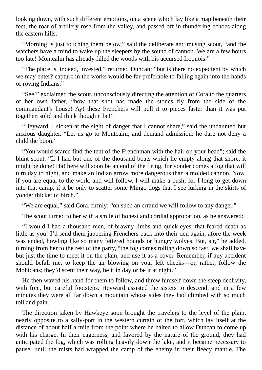looking down, with such different emotions, on a scene which lay like a map beneath their feet, the roar of artillery rose from the valley, and passed off in thundering echoes along the eastern hills.

"Morning is just touching them below," said the deliberate and musing scout, "and the watchers have a mind to wake up the sleepers by the sound of cannon. We are a few hours too late! Montcalm has already filled the woods with his accursed Iroquois."

"The place is, indeed, invested," returned Duncan; "but is there no expedient by which we may enter? capture in the works would be far preferable to falling again into the hands of roving Indians."

"See!" exclaimed the scout, unconsciously directing the attention of Cora to the quarters of her own father, "how that shot has made the stones fly from the side of the commandant's house! Ay! these Frenchers will pull it to pieces faster than it was put together, solid and thick though it be!"

"Heyward, I sicken at the sight of danger that I cannot share," said the undaunted but anxious daughter. "Let us go to Montcalm, and demand admission: he dare not deny a child the boon."

"You would scarce find the tent of the Frenchman with the hair on your head"; said the blunt scout. "If I had but one of the thousand boats which lie empty along that shore, it might be done! Ha! here will soon be an end of the firing, for yonder comes a fog that will turn day to night, and make an Indian arrow more dangerous than a molded cannon. Now, if you are equal to the work, and will follow, I will make a push; for I long to get down into that camp, if it be only to scatter some Mingo dogs that I see lurking in the skirts of yonder thicket of birch."

"We are equal," said Cora, firmly; "on such an errand we will follow to any danger."

The scout turned to her with a smile of honest and cordial approbation, as he answered:

"I would I had a thousand men, of brawny limbs and quick eyes, that feared death as little as you! I'd send them jabbering Frenchers back into their den again, afore the week was ended, howling like so many fettered hounds or hungry wolves. But, sir," he added, turning from her to the rest of the party, "the fog comes rolling down so fast, we shall have but just the time to meet it on the plain, and use it as a cover. Remember, if any accident should befall me, to keep the air blowing on your left cheeks—or, rather, follow the Mohicans; they'd scent their way, be it in day or be it at night."

He then waved his hand for them to follow, and threw himself down the steep declivity, with free, but careful footsteps. Heyward assisted the sisters to descend, and in a few minutes they were all far down a mountain whose sides they had climbed with so much toil and pain.

The direction taken by Hawkeye soon brought the travelers to the level of the plain, nearly opposite to a sally-port in the western curtain of the fort, which lay itself at the distance of about half a mile from the point where he halted to allow Duncan to come up with his charge. In their eagerness, and favored by the nature of the ground, they had anticipated the fog, which was rolling heavily down the lake, and it became necessary to pause, until the mists had wrapped the camp of the enemy in their fleecy mantle. The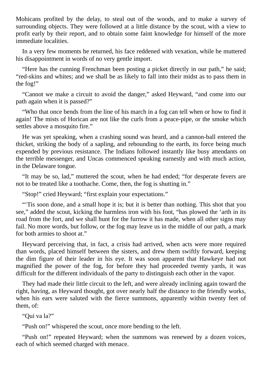Mohicans profited by the delay, to steal out of the woods, and to make a survey of surrounding objects. They were followed at a little distance by the scout, with a view to profit early by their report, and to obtain some faint knowledge for himself of the more immediate localities.

In a very few moments he returned, his face reddened with vexation, while he muttered his disappointment in words of no very gentle import.

"Here has the cunning Frenchman been posting a picket directly in our path," he said; "red-skins and whites; and we shall be as likely to fall into their midst as to pass them in the fog!"

"Cannot we make a circuit to avoid the danger," asked Heyward, "and come into our path again when it is passed?"

"Who that once bends from the line of his march in a fog can tell when or how to find it again! The mists of Horican are not like the curls from a peace-pipe, or the smoke which settles above a mosquito fire."

He was yet speaking, when a crashing sound was heard, and a cannon-ball entered the thicket, striking the body of a sapling, and rebounding to the earth, its force being much expended by previous resistance. The Indians followed instantly like busy attendants on the terrible messenger, and Uncas commenced speaking earnestly and with much action, in the Delaware tongue.

"It may be so, lad," muttered the scout, when he had ended; "for desperate fevers are not to be treated like a toothache. Come, then, the fog is shutting in."

"Stop!" cried Heyward; "first explain your expectations."

"'Tis soon done, and a small hope it is; but it is better than nothing. This shot that you see," added the scout, kicking the harmless iron with his foot, "has plowed the 'arth in its road from the fort, and we shall hunt for the furrow it has made, when all other signs may fail. No more words, but follow, or the fog may leave us in the middle of our path, a mark for both armies to shoot at."

Heyward perceiving that, in fact, a crisis had arrived, when acts were more required than words, placed himself between the sisters, and drew them swiftly forward, keeping the dim figure of their leader in his eye. It was soon apparent that Hawkeye had not magnified the power of the fog, for before they had proceeded twenty yards, it was difficult for the different individuals of the party to distinguish each other in the vapor.

They had made their little circuit to the left, and were already inclining again toward the right, having, as Heyward thought, got over nearly half the distance to the friendly works, when his ears were saluted with the fierce summons, apparently within twenty feet of them, of:

"Qui va la?"

"Push on!" whispered the scout, once more bending to the left.

"Push on!" repeated Heyward; when the summons was renewed by a dozen voices, each of which seemed charged with menace.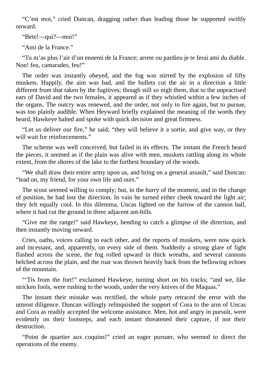"C'est moi," cried Duncan, dragging rather than leading those he supported swiftly onward.

"Bete!—qui?—moi!"

"Ami de la France."

"Tu m'as plus l'air d'un ennemi de la France; arrete ou pardieu je te ferai ami du diable. Non! feu, camarades, feu!"

The order was instantly obeyed, and the fog was stirred by the explosion of fifty muskets. Happily, the aim was bad, and the bullets cut the air in a direction a little different from that taken by the fugitives; though still so nigh them, that to the unpractised ears of David and the two females, it appeared as if they whistled within a few inches of the organs. The outcry was renewed, and the order, not only to fire again, but to pursue, was too plainly audible. When Heyward briefly explained the meaning of the words they heard, Hawkeye halted and spoke with quick decision and great firmness.

"Let us deliver our fire," he said; "they will believe it a sortie, and give way, or they will wait for reinforcements."

The scheme was well conceived, but failed in its effects. The instant the French heard the pieces, it seemed as if the plain was alive with men, muskets rattling along its whole extent, from the shores of the lake to the furthest boundary of the woods.

"We shall draw their entire army upon us, and bring on a general assault," said Duncan: "lead on, my friend, for your own life and ours."

The scout seemed willing to comply; but, in the hurry of the moment, and in the change of position, he had lost the direction. In vain he turned either cheek toward the light air; they felt equally cool. In this dilemma, Uncas lighted on the furrow of the cannon ball, where it had cut the ground in three adiacent ant-hills.

"Give me the range!" said Hawkeye, bending to catch a glimpse of the direction, and then instantly moving onward.

Cries, oaths, voices calling to each other, and the reports of muskets, were now quick and incessant, and, apparently, on every side of them. Suddenly a strong glare of light flashed across the scene, the fog rolled upward in thick wreaths, and several cannons belched across the plain, and the roar was thrown heavily back from the bellowing echoes of the mountain.

"'Tis from the fort!" exclaimed Hawkeye, turning short on his tracks; "and we, like stricken fools, were rushing to the woods, under the very knives of the Maquas."

The instant their mistake was rectified, the whole party retraced the error with the utmost diligence. Duncan willingly relinquished the support of Cora to the arm of Uncas and Cora as readily accepted the welcome assistance. Men, hot and angry in pursuit, were evidently on their footsteps, and each instant threatened their capture, if not their destruction.

"Point de quartier aux coquins!" cried an eager pursuer, who seemed to direct the operations of the enemy.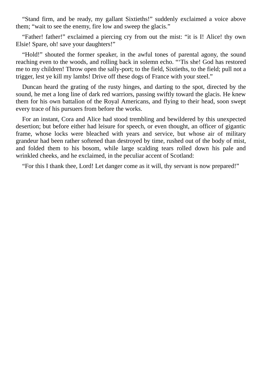"Stand firm, and be ready, my gallant Sixtieths!" suddenly exclaimed a voice above them; "wait to see the enemy, fire low and sweep the glacis."

"Father! father!" exclaimed a piercing cry from out the mist: "it is I! Alice! thy own Elsie! Spare, oh! save your daughters!"

"Hold!" shouted the former speaker, in the awful tones of parental agony, the sound reaching even to the woods, and rolling back in solemn echo. "'Tis she! God has restored me to my children! Throw open the sally-port; to the field, Sixtieths, to the field; pull not a trigger, lest ye kill my lambs! Drive off these dogs of France with your steel."

Duncan heard the grating of the rusty hinges, and darting to the spot, directed by the sound, he met a long line of dark red warriors, passing swiftly toward the glacis. He knew them for his own battalion of the Royal Americans, and flying to their head, soon swept every trace of his pursuers from before the works.

For an instant, Cora and Alice had stood trembling and bewildered by this unexpected desertion; but before either had leisure for speech, or even thought, an officer of gigantic frame, whose locks were bleached with years and service, but whose air of military grandeur had been rather softened than destroyed by time, rushed out of the body of mist, and folded them to his bosom, while large scalding tears rolled down his pale and wrinkled cheeks, and he exclaimed, in the peculiar accent of Scotland:

"For this I thank thee, Lord! Let danger come as it will, thy servant is now prepared!"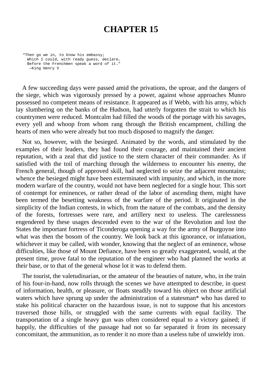## **CHAPTER 15**

"Then go we in, to know his embassy; Which I could, with ready guess, declare, Before the Frenchmen speak a word of it." —King Henry V

A few succeeding days were passed amid the privations, the uproar, and the dangers of the siege, which was vigorously pressed by a power, against whose approaches Munro possessed no competent means of resistance. It appeared as if Webb, with his army, which lay slumbering on the banks of the Hudson, had utterly forgotten the strait to which his countrymen were reduced. Montcalm had filled the woods of the portage with his savages, every yell and whoop from whom rang through the British encampment, chilling the hearts of men who were already but too much disposed to magnify the danger.

Not so, however, with the besieged. Animated by the words, and stimulated by the examples of their leaders, they had found their courage, and maintained their ancient reputation, with a zeal that did justice to the stern character of their commander. As if satisfied with the toil of marching through the wilderness to encounter his enemy, the French general, though of approved skill, had neglected to seize the adjacent mountains; whence the besieged might have been exterminated with impunity, and which, in the more modern warfare of the country, would not have been neglected for a single hour. This sort of contempt for eminences, or rather dread of the labor of ascending them, might have been termed the besetting weakness of the warfare of the period. It originated in the simplicity of the Indian contests, in which, from the nature of the combats, and the density of the forests, fortresses were rare, and artillery next to useless. The carelessness engendered by these usages descended even to the war of the Revolution and lost the States the important fortress of Ticonderoga opening a way for the army of Burgoyne into what was then the bosom of the country. We look back at this ignorance, or infatuation, whichever it may be called, with wonder, knowing that the neglect of an eminence, whose difficulties, like those of Mount Defiance, have been so greatly exaggerated, would, at the present time, prove fatal to the reputation of the engineer who had planned the works at their base, or to that of the general whose lot it was to defend them.

The tourist, the valetudinarian, or the amateur of the beauties of nature, who, in the train of his four-in-hand, now rolls through the scenes we have attempted to describe, in quest of information, health, or pleasure, or floats steadily toward his object on those artificial waters which have sprung up under the administration of a statesman\* who has dared to stake his political character on the hazardous issue, is not to suppose that his ancestors traversed those hills, or struggled with the same currents with equal facility. The transportation of a single heavy gun was often considered equal to a victory gained; if happily, the difficulties of the passage had not so far separated it from its necessary concomitant, the ammunition, as to render it no more than a useless tube of unwieldy iron.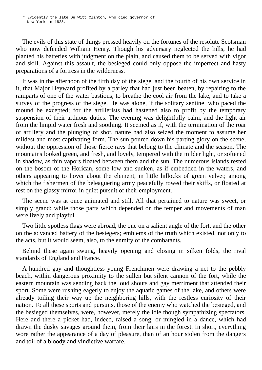\* Evidently the late De Witt Clinton, who died governor of New York in 1828.

The evils of this state of things pressed heavily on the fortunes of the resolute Scotsman who now defended William Henry. Though his adversary neglected the hills, he had planted his batteries with judgment on the plain, and caused them to be served with vigor and skill. Against this assault, the besieged could only oppose the imperfect and hasty preparations of a fortress in the wilderness.

It was in the afternoon of the fifth day of the siege, and the fourth of his own service in it, that Major Heyward profited by a parley that had just been beaten, by repairing to the ramparts of one of the water bastions, to breathe the cool air from the lake, and to take a survey of the progress of the siege. He was alone, if the solitary sentinel who paced the mound be excepted; for the artillerists had hastened also to profit by the temporary suspension of their arduous duties. The evening was delightfully calm, and the light air from the limpid water fresh and soothing. It seemed as if, with the termination of the roar of artillery and the plunging of shot, nature had also seized the moment to assume her mildest and most captivating form. The sun poured down his parting glory on the scene, without the oppression of those fierce rays that belong to the climate and the season. The mountains looked green, and fresh, and lovely, tempered with the milder light, or softened in shadow, as thin vapors floated between them and the sun. The numerous islands rested on the bosom of the Horican, some low and sunken, as if embedded in the waters, and others appearing to hover about the element, in little hillocks of green velvet; among which the fishermen of the beleaguering army peacefully rowed their skiffs, or floated at rest on the glassy mirror in quiet pursuit of their employment.

The scene was at once animated and still. All that pertained to nature was sweet, or simply grand; while those parts which depended on the temper and movements of man were lively and playful.

Two little spotless flags were abroad, the one on a salient angle of the fort, and the other on the advanced battery of the besiegers; emblems of the truth which existed, not only to the acts, but it would seem, also, to the enmity of the combatants.

Behind these again swung, heavily opening and closing in silken folds, the rival standards of England and France.

A hundred gay and thoughtless young Frenchmen were drawing a net to the pebbly beach, within dangerous proximity to the sullen but silent cannon of the fort, while the eastern mountain was sending back the loud shouts and gay merriment that attended their sport. Some were rushing eagerly to enjoy the aquatic games of the lake, and others were already toiling their way up the neighboring hills, with the restless curiosity of their nation. To all these sports and pursuits, those of the enemy who watched the besieged, and the besieged themselves, were, however, merely the idle though sympathizing spectators. Here and there a picket had, indeed, raised a song, or mingled in a dance, which had drawn the dusky savages around them, from their lairs in the forest. In short, everything wore rather the appearance of a day of pleasure, than of an hour stolen from the dangers and toil of a bloody and vindictive warfare.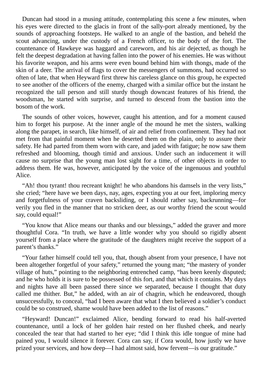Duncan had stood in a musing attitude, contemplating this scene a few minutes, when his eyes were directed to the glacis in front of the sally-port already mentioned, by the sounds of approaching footsteps. He walked to an angle of the bastion, and beheld the scout advancing, under the custody of a French officer, to the body of the fort. The countenance of Hawkeye was haggard and careworn, and his air dejected, as though he felt the deepest degradation at having fallen into the power of his enemies. He was without his favorite weapon, and his arms were even bound behind him with thongs, made of the skin of a deer. The arrival of flags to cover the messengers of summons, had occurred so often of late, that when Heyward first threw his careless glance on this group, he expected to see another of the officers of the enemy, charged with a similar office but the instant he recognized the tall person and still sturdy though downcast features of his friend, the woodsman, he started with surprise, and turned to descend from the bastion into the bosom of the work.

The sounds of other voices, however, caught his attention, and for a moment caused him to forget his purpose. At the inner angle of the mound he met the sisters, walking along the parapet, in search, like himself, of air and relief from confinement. They had not met from that painful moment when he deserted them on the plain, only to assure their safety. He had parted from them worn with care, and jaded with fatigue; he now saw them refreshed and blooming, though timid and anxious. Under such an inducement it will cause no surprise that the young man lost sight for a time, of other objects in order to address them. He was, however, anticipated by the voice of the ingenuous and youthful Alice.

"Ah! thou tyrant! thou recreant knight! he who abandons his damsels in the very lists," she cried; "here have we been days, nay, ages, expecting you at our feet, imploring mercy and forgetfulness of your craven backsliding, or I should rather say, backrunning—for verily you fled in the manner that no stricken deer, as our worthy friend the scout would say, could equal!"

"You know that Alice means our thanks and our blessings," added the graver and more thoughtful Cora. "In truth, we have a little wonder why you should so rigidly absent yourself from a place where the gratitude of the daughters might receive the support of a parent's thanks."

"Your father himself could tell you, that, though absent from your presence, I have not been altogether forgetful of your safety," returned the young man; "the mastery of yonder village of huts," pointing to the neighboring entrenched camp, "has been keenly disputed; and he who holds it is sure to be possessed of this fort, and that which it contains. My days and nights have all been passed there since we separated, because I thought that duty called me thither. But," he added, with an air of chagrin, which he endeavored, though unsuccessfully, to conceal, "had I been aware that what I then believed a soldier's conduct could be so construed, shame would have been added to the list of reasons."

"Heyward! Duncan!" exclaimed Alice, bending forward to read his half-averted countenance, until a lock of her golden hair rested on her flushed cheek, and nearly concealed the tear that had started to her eye; "did I think this idle tongue of mine had pained you, I would silence it forever. Cora can say, if Cora would, how justly we have prized your services, and how deep—I had almost said, how fervent—is our gratitude."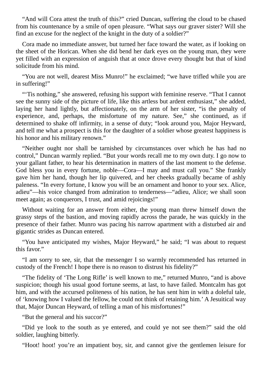"And will Cora attest the truth of this?" cried Duncan, suffering the cloud to be chased from his countenance by a smile of open pleasure. "What says our graver sister? Will she find an excuse for the neglect of the knight in the duty of a soldier?"

Cora made no immediate answer, but turned her face toward the water, as if looking on the sheet of the Horican. When she did bend her dark eyes on the young man, they were yet filled with an expression of anguish that at once drove every thought but that of kind solicitude from his mind.

"You are not well, dearest Miss Munro!" he exclaimed; "we have trifled while you are in suffering!"

"'Tis nothing," she answered, refusing his support with feminine reserve. "That I cannot see the sunny side of the picture of life, like this artless but ardent enthusiast," she added, laying her hand lightly, but affectionately, on the arm of her sister, "is the penalty of experience, and, perhaps, the misfortune of my nature. See," she continued, as if determined to shake off infirmity, in a sense of duty; "look around you, Major Heyward, and tell me what a prospect is this for the daughter of a soldier whose greatest happiness is his honor and his military renown."

"Neither ought nor shall be tarnished by circumstances over which he has had no control," Duncan warmly replied. "But your words recall me to my own duty. I go now to your gallant father, to hear his determination in matters of the last moment to the defense. God bless you in every fortune, noble—Cora—I may and must call you." She frankly gave him her hand, though her lip quivered, and her cheeks gradually became of ashly paleness. "In every fortune, I know you will be an ornament and honor to your sex. Alice, adieu"—his voice changed from admiration to tenderness—"adieu, Alice; we shall soon meet again; as conquerors, I trust, and amid rejoicings!"

Without waiting for an answer from either, the young man threw himself down the grassy steps of the bastion, and moving rapidly across the parade, he was quickly in the presence of their father. Munro was pacing his narrow apartment with a disturbed air and gigantic strides as Duncan entered.

"You have anticipated my wishes, Major Heyward," he said; "I was about to request this favor."

"I am sorry to see, sir, that the messenger I so warmly recommended has returned in custody of the French! I hope there is no reason to distrust his fidelity?"

"The fidelity of 'The Long Rifle' is well known to me," returned Munro, "and is above suspicion; though his usual good fortune seems, at last, to have failed. Montcalm has got him, and with the accursed politeness of his nation, he has sent him in with a doleful tale, of 'knowing how I valued the fellow, he could not think of retaining him.' A Jesuitical way that, Major Duncan Heyward, of telling a man of his misfortunes!"

"But the general and his succor?"

"Did ye look to the south as ye entered, and could ye not see them?" said the old soldier, laughing bitterly.

"Hoot! hoot! you're an impatient boy, sir, and cannot give the gentlemen leisure for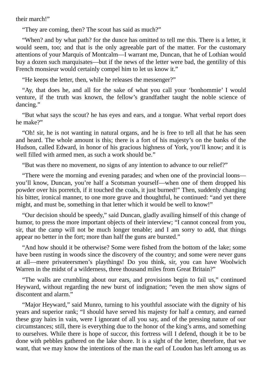their march!"

"They are coming, then? The scout has said as much?"

"When? and by what path? for the dunce has omitted to tell me this. There is a letter, it would seem, too; and that is the only agreeable part of the matter. For the customary attentions of your Marquis of Montcalm—I warrant me, Duncan, that he of Lothian would buy a dozen such marquisates—but if the news of the letter were bad, the gentility of this French monsieur would certainly compel him to let us know it."

"He keeps the letter, then, while he releases the messenger?"

"Ay, that does he, and all for the sake of what you call your 'bonhommie' I would venture, if the truth was known, the fellow's grandfather taught the noble science of dancing."

"But what says the scout? he has eyes and ears, and a tongue. What verbal report does he make?"

"Oh! sir, he is not wanting in natural organs, and he is free to tell all that he has seen and heard. The whole amount is this; there is a fort of his majesty's on the banks of the Hudson, called Edward, in honor of his gracious highness of York, you'll know; and it is well filled with armed men, as such a work should be."

"But was there no movement, no signs of any intention to advance to our relief?"

"There were the morning and evening parades; and when one of the provincial loons you'll know, Duncan, you're half a Scotsman yourself—when one of them dropped his powder over his porretch, if it touched the coals, it just burned!" Then, suddenly changing his bitter, ironical manner, to one more grave and thoughtful, he continued: "and yet there might, and must be, something in that letter which it would be well to know!"

"Our decision should be speedy," said Duncan, gladly availing himself of this change of humor, to press the more important objects of their interview; "I cannot conceal from you, sir, that the camp will not be much longer tenable; and I am sorry to add, that things appear no better in the fort; more than half the guns are bursted."

"And how should it be otherwise? Some were fished from the bottom of the lake; some have been rusting in woods since the discovery of the country; and some were never guns at all—mere privateersmen's playthings! Do you think, sir, you can have Woolwich Warren in the midst of a wilderness, three thousand miles from Great Britain?"

"The walls are crumbling about our ears, and provisions begin to fail us," continued Heyward, without regarding the new burst of indignation; "even the men show signs of discontent and alarm."

"Major Heyward," said Munro, turning to his youthful associate with the dignity of his years and superior rank; "I should have served his majesty for half a century, and earned these gray hairs in vain, were I ignorant of all you say, and of the pressing nature of our circumstances; still, there is everything due to the honor of the king's arms, and something to ourselves. While there is hope of succor, this fortress will I defend, though it be to be done with pebbles gathered on the lake shore. It is a sight of the letter, therefore, that we want, that we may know the intentions of the man the earl of Loudon has left among us as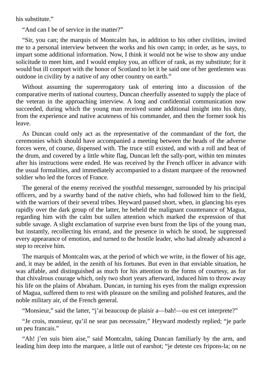his substitute."

"And can I be of service in the matter?"

"Sir, you can; the marquis of Montcalm has, in addition to his other civilities, invited me to a personal interview between the works and his own camp; in order, as he says, to impart some additional information. Now, I think it would not be wise to show any undue solicitude to meet him, and I would employ you, an officer of rank, as my substitute; for it would but ill comport with the honor of Scotland to let it be said one of her gentlemen was outdone in civility by a native of any other country on earth."

Without assuming the supererogatory task of entering into a discussion of the comparative merits of national courtesy, Duncan cheerfully assented to supply the place of the veteran in the approaching interview. A long and confidential communication now succeeded, during which the young man received some additional insight into his duty, from the experience and native acuteness of his commander, and then the former took his leave.

As Duncan could only act as the representative of the commandant of the fort, the ceremonies which should have accompanied a meeting between the heads of the adverse forces were, of course, dispensed with. The truce still existed, and with a roll and beat of the drum, and covered by a little white flag, Duncan left the sally-port, within ten minutes after his instructions were ended. He was received by the French officer in advance with the usual formalities, and immediately accompanied to a distant marquee of the renowned soldier who led the forces of France.

The general of the enemy received the youthful messenger, surrounded by his principal officers, and by a swarthy band of the native chiefs, who had followed him to the field, with the warriors of their several tribes. Heyward paused short, when, in glancing his eyes rapidly over the dark group of the latter, he beheld the malignant countenance of Magua, regarding him with the calm but sullen attention which marked the expression of that subtle savage. A slight exclamation of surprise even burst from the lips of the young man, but instantly, recollecting his errand, and the presence in which he stood, he suppressed every appearance of emotion, and turned to the hostile leader, who had already advanced a step to receive him.

The marquis of Montcalm was, at the period of which we write, in the flower of his age, and, it may be added, in the zenith of his fortunes. But even in that enviable situation, he was affable, and distinguished as much for his attention to the forms of courtesy, as for that chivalrous courage which, only two short years afterward, induced him to throw away his life on the plains of Abraham. Duncan, in turning his eyes from the malign expression of Magua, suffered them to rest with pleasure on the smiling and polished features, and the noble military air, of the French general.

"Monsieur," said the latter, "j'ai beaucoup de plaisir a—bah!—ou est cet interprete?"

"Je crois, monsieur, qu'il ne sear pas necessaire," Heyward modestly replied; "je parle un peu francais."

"Ah! j'en suis bien aise," said Montcalm, taking Duncan familiarly by the arm, and leading him deep into the marquee, a little out of earshot; "je deteste ces fripons-la; on ne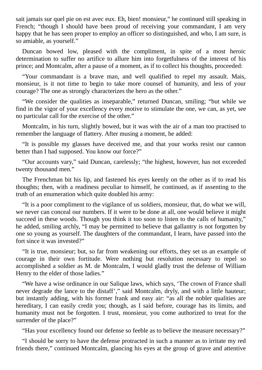sait jamais sur quel pie on est avec eux. Eh, bien! monsieur," he continued still speaking in French; "though I should have been proud of receiving your commandant, I am very happy that he has seen proper to employ an officer so distinguished, and who, I am sure, is so amiable, as yourself."

Duncan bowed low, pleased with the compliment, in spite of a most heroic determination to suffer no artifice to allure him into forgetfulness of the interest of his prince; and Montcalm, after a pause of a moment, as if to collect his thoughts, proceeded:

"Your commandant is a brave man, and well qualified to repel my assault. Mais, monsieur, is it not time to begin to take more counsel of humanity, and less of your courage? The one as strongly characterizes the hero as the other."

"We consider the qualities as inseparable," returned Duncan, smiling; "but while we find in the vigor of your excellency every motive to stimulate the one, we can, as yet, see no particular call for the exercise of the other."

Montcalm, in his turn, slightly bowed, but it was with the air of a man too practised to remember the language of flattery. After musing a moment, he added:

"It is possible my glasses have deceived me, and that your works resist our cannon better than I had supposed. You know our force?"

"Our accounts vary," said Duncan, carelessly; "the highest, however, has not exceeded twenty thousand men."

The Frenchman bit his lip, and fastened his eyes keenly on the other as if to read his thoughts; then, with a readiness peculiar to himself, he continued, as if assenting to the truth of an enumeration which quite doubled his army:

"It is a poor compliment to the vigilance of us soldiers, monsieur, that, do what we will, we never can conceal our numbers. If it were to be done at all, one would believe it might succeed in these woods. Though you think it too soon to listen to the calls of humanity," he added, smiling archly, "I may be permitted to believe that gallantry is not forgotten by one so young as yourself. The daughters of the commandant, I learn, have passed into the fort since it was invested?"

"It is true, monsieur; but, so far from weakening our efforts, they set us an example of courage in their own fortitude. Were nothing but resolution necessary to repel so accomplished a soldier as M. de Montcalm, I would gladly trust the defense of William Henry to the elder of those ladies."

"We have a wise ordinance in our Salique laws, which says, 'The crown of France shall never degrade the lance to the distaff'," said Montcalm, dryly, and with a little hauteur; but instantly adding, with his former frank and easy air: "as all the nobler qualities are hereditary, I can easily credit you; though, as I said before, courage has its limits, and humanity must not be forgotten. I trust, monsieur, you come authorized to treat for the surrender of the place?"

"Has your excellency found our defense so feeble as to believe the measure necessary?"

"I should be sorry to have the defense protracted in such a manner as to irritate my red friends there," continued Montcalm, glancing his eyes at the group of grave and attentive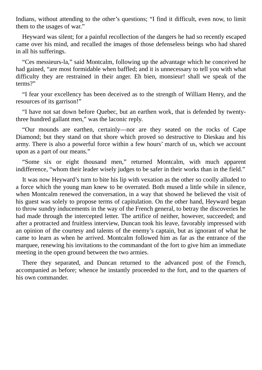Indians, without attending to the other's questions; "I find it difficult, even now, to limit them to the usages of war."

Heyward was silent; for a painful recollection of the dangers he had so recently escaped came over his mind, and recalled the images of those defenseless beings who had shared in all his sufferings.

"Ces messieurs-la," said Montcalm, following up the advantage which he conceived he had gained, "are most formidable when baffled; and it is unnecessary to tell you with what difficulty they are restrained in their anger. Eh bien, monsieur! shall we speak of the terms?"

"I fear your excellency has been deceived as to the strength of William Henry, and the resources of its garrison!"

"I have not sat down before Quebec, but an earthen work, that is defended by twentythree hundred gallant men," was the laconic reply.

"Our mounds are earthen, certainly—nor are they seated on the rocks of Cape Diamond; but they stand on that shore which proved so destructive to Dieskau and his army. There is also a powerful force within a few hours' march of us, which we account upon as a part of our means."

"Some six or eight thousand men," returned Montcalm, with much apparent indifference, "whom their leader wisely judges to be safer in their works than in the field."

It was now Heyward's turn to bite his lip with vexation as the other so coolly alluded to a force which the young man knew to be overrated. Both mused a little while in silence, when Montcalm renewed the conversation, in a way that showed he believed the visit of his guest was solely to propose terms of capitulation. On the other hand, Heyward began to throw sundry inducements in the way of the French general, to betray the discoveries he had made through the intercepted letter. The artifice of neither, however, succeeded; and after a protracted and fruitless interview, Duncan took his leave, favorably impressed with an opinion of the courtesy and talents of the enemy's captain, but as ignorant of what he came to learn as when he arrived. Montcalm followed him as far as the entrance of the marquee, renewing his invitations to the commandant of the fort to give him an immediate meeting in the open ground between the two armies.

There they separated, and Duncan returned to the advanced post of the French, accompanied as before; whence he instantly proceeded to the fort, and to the quarters of his own commander.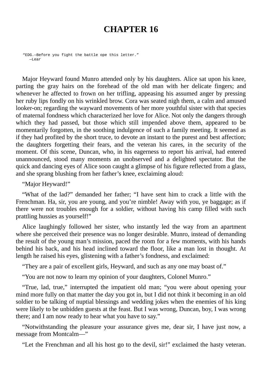## **CHAPTER 16**

"EDG.—Before you fight the battle ope this letter."  $-I$  ear

Major Heyward found Munro attended only by his daughters. Alice sat upon his knee, parting the gray hairs on the forehead of the old man with her delicate fingers; and whenever he affected to frown on her trifling, appeasing his assumed anger by pressing her ruby lips fondly on his wrinkled brow. Cora was seated nigh them, a calm and amused looker-on; regarding the wayward movements of her more youthful sister with that species of maternal fondness which characterized her love for Alice. Not only the dangers through which they had passed, but those which still impended above them, appeared to be momentarily forgotten, in the soothing indulgence of such a family meeting. It seemed as if they had profited by the short truce, to devote an instant to the purest and best affection; the daughters forgetting their fears, and the veteran his cares, in the security of the moment. Of this scene, Duncan, who, in his eagerness to report his arrival, had entered unannounced, stood many moments an unobserved and a delighted spectator. But the quick and dancing eyes of Alice soon caught a glimpse of his figure reflected from a glass, and she sprang blushing from her father's knee, exclaiming aloud:

"Major Heyward!"

"What of the lad?" demanded her father; "I have sent him to crack a little with the Frenchman. Ha, sir, you are young, and you're nimble! Away with you, ye baggage; as if there were not troubles enough for a soldier, without having his camp filled with such prattling hussies as yourself!"

Alice laughingly followed her sister, who instantly led the way from an apartment where she perceived their presence was no longer desirable. Munro, instead of demanding the result of the young man's mission, paced the room for a few moments, with his hands behind his back, and his head inclined toward the floor, like a man lost in thought. At length he raised his eyes, glistening with a father's fondness, and exclaimed:

"They are a pair of excellent girls, Heyward, and such as any one may boast of."

"You are not now to learn my opinion of your daughters, Colonel Munro."

"True, lad, true," interrupted the impatient old man; "you were about opening your mind more fully on that matter the day you got in, but I did not think it becoming in an old soldier to be talking of nuptial blessings and wedding jokes when the enemies of his king were likely to be unbidden guests at the feast. But I was wrong, Duncan, boy, I was wrong there; and I am now ready to hear what you have to say."

"Notwithstanding the pleasure your assurance gives me, dear sir, I have just now, a message from Montcalm—"

"Let the Frenchman and all his host go to the devil, sir!" exclaimed the hasty veteran.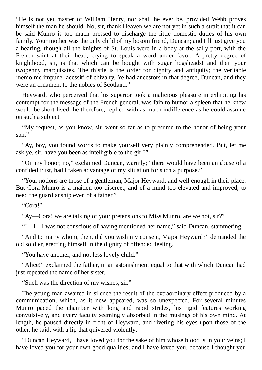"He is not yet master of William Henry, nor shall he ever be, provided Webb proves himself the man he should. No, sir, thank Heaven we are not yet in such a strait that it can be said Munro is too much pressed to discharge the little domestic duties of his own family. Your mother was the only child of my bosom friend, Duncan; and I'll just give you a hearing, though all the knights of St. Louis were in a body at the sally-port, with the French saint at their head, crying to speak a word under favor. A pretty degree of knighthood, sir, is that which can be bought with sugar hogsheads! and then your twopenny marquisates. The thistle is the order for dignity and antiquity; the veritable 'nemo me impune lacessit' of chivalry. Ye had ancestors in that degree, Duncan, and they were an ornament to the nobles of Scotland."

Heyward, who perceived that his superior took a malicious pleasure in exhibiting his contempt for the message of the French general, was fain to humor a spleen that he knew would be short-lived; he therefore, replied with as much indifference as he could assume on such a subject:

"My request, as you know, sir, went so far as to presume to the honor of being your son."

"Ay, boy, you found words to make yourself very plainly comprehended. But, let me ask ye, sir, have you been as intelligible to the girl?"

"On my honor, no," exclaimed Duncan, warmly; "there would have been an abuse of a confided trust, had I taken advantage of my situation for such a purpose."

"Your notions are those of a gentleman, Major Heyward, and well enough in their place. But Cora Munro is a maiden too discreet, and of a mind too elevated and improved, to need the guardianship even of a father."

"Cora!"

"Ay—Cora! we are talking of your pretensions to Miss Munro, are we not, sir?"

"I—I—I was not conscious of having mentioned her name," said Duncan, stammering.

"And to marry whom, then, did you wish my consent, Major Heyward?" demanded the old soldier, erecting himself in the dignity of offended feeling.

"You have another, and not less lovely child."

"Alice!" exclaimed the father, in an astonishment equal to that with which Duncan had just repeated the name of her sister.

"Such was the direction of my wishes, sir."

The young man awaited in silence the result of the extraordinary effect produced by a communication, which, as it now appeared, was so unexpected. For several minutes Munro paced the chamber with long and rapid strides, his rigid features working convulsively, and every faculty seemingly absorbed in the musings of his own mind. At length, he paused directly in front of Heyward, and riveting his eyes upon those of the other, he said, with a lip that quivered violently:

"Duncan Heyward, I have loved you for the sake of him whose blood is in your veins; I have loved you for your own good qualities; and I have loved you, because I thought you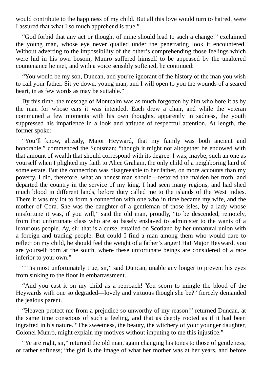would contribute to the happiness of my child. But all this love would turn to hatred, were I assured that what I so much apprehend is true."

"God forbid that any act or thought of mine should lead to such a change!" exclaimed the young man, whose eye never quailed under the penetrating look it encountered. Without adverting to the impossibility of the other's comprehending those feelings which were hid in his own bosom, Munro suffered himself to be appeased by the unaltered countenance he met, and with a voice sensibly softened, he continued:

"You would be my son, Duncan, and you're ignorant of the history of the man you wish to call your father. Sit ye down, young man, and I will open to you the wounds of a seared heart, in as few words as may be suitable."

By this time, the message of Montcalm was as much forgotten by him who bore it as by the man for whose ears it was intended. Each drew a chair, and while the veteran communed a few moments with his own thoughts, apparently in sadness, the youth suppressed his impatience in a look and attitude of respectful attention. At length, the former spoke:

"You'll know, already, Major Heyward, that my family was both ancient and honorable," commenced the Scotsman; "though it might not altogether be endowed with that amount of wealth that should correspond with its degree. I was, maybe, such an one as yourself when I plighted my faith to Alice Graham, the only child of a neighboring laird of some estate. But the connection was disagreeable to her father, on more accounts than my poverty. I did, therefore, what an honest man should—restored the maiden her troth, and departed the country in the service of my king. I had seen many regions, and had shed much blood in different lands, before duty called me to the islands of the West Indies. There it was my lot to form a connection with one who in time became my wife, and the mother of Cora. She was the daughter of a gentleman of those isles, by a lady whose misfortune it was, if you will," said the old man, proudly, "to be descended, remotely, from that unfortunate class who are so basely enslaved to administer to the wants of a luxurious people. Ay, sir, that is a curse, entailed on Scotland by her unnatural union with a foreign and trading people. But could I find a man among them who would dare to reflect on my child, he should feel the weight of a father's anger! Ha! Major Heyward, you are yourself born at the south, where these unfortunate beings are considered of a race inferior to your own."

"'Tis most unfortunately true, sir," said Duncan, unable any longer to prevent his eyes from sinking to the floor in embarrassment.

"And you cast it on my child as a reproach! You scorn to mingle the blood of the Heywards with one so degraded—lovely and virtuous though she be?" fiercely demanded the jealous parent.

"Heaven protect me from a prejudice so unworthy of my reason!" returned Duncan, at the same time conscious of such a feeling, and that as deeply rooted as if it had been ingrafted in his nature. "The sweetness, the beauty, the witchery of your younger daughter, Colonel Munro, might explain my motives without imputing to me this injustice."

"Ye are right, sir," returned the old man, again changing his tones to those of gentleness, or rather softness; "the girl is the image of what her mother was at her years, and before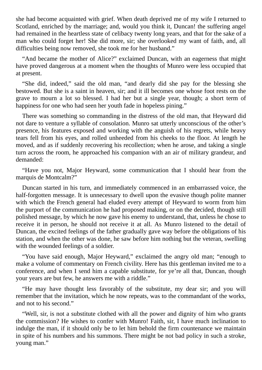she had become acquainted with grief. When death deprived me of my wife I returned to Scotland, enriched by the marriage; and, would you think it, Duncan! the suffering angel had remained in the heartless state of celibacy twenty long years, and that for the sake of a man who could forget her! She did more, sir; she overlooked my want of faith, and, all difficulties being now removed, she took me for her husband."

"And became the mother of Alice?" exclaimed Duncan, with an eagerness that might have proved dangerous at a moment when the thoughts of Munro were less occupied that at present.

"She did, indeed," said the old man, "and dearly did she pay for the blessing she bestowed. But she is a saint in heaven, sir; and it ill becomes one whose foot rests on the grave to mourn a lot so blessed. I had her but a single year, though; a short term of happiness for one who had seen her youth fade in hopeless pining."

There was something so commanding in the distress of the old man, that Heyward did not dare to venture a syllable of consolation. Munro sat utterly unconscious of the other's presence, his features exposed and working with the anguish of his regrets, while heavy tears fell from his eyes, and rolled unheeded from his cheeks to the floor. At length he moved, and as if suddenly recovering his recollection; when he arose, and taking a single turn across the room, he approached his companion with an air of military grandeur, and demanded:

"Have you not, Major Heyward, some communication that I should hear from the marquis de Montcalm?"

Duncan started in his turn, and immediately commenced in an embarrassed voice, the half-forgotten message. It is unnecessary to dwell upon the evasive though polite manner with which the French general had eluded every attempt of Heyward to worm from him the purport of the communication he had proposed making, or on the decided, though still polished message, by which he now gave his enemy to understand, that, unless he chose to receive it in person, he should not receive it at all. As Munro listened to the detail of Duncan, the excited feelings of the father gradually gave way before the obligations of his station, and when the other was done, he saw before him nothing but the veteran, swelling with the wounded feelings of a soldier.

"You have said enough, Major Heyward," exclaimed the angry old man; "enough to make a volume of commentary on French civility. Here has this gentleman invited me to a conference, and when I send him a capable substitute, for ye're all that, Duncan, though your years are but few, he answers me with a riddle."

"He may have thought less favorably of the substitute, my dear sir; and you will remember that the invitation, which he now repeats, was to the commandant of the works, and not to his second."

"Well, sir, is not a substitute clothed with all the power and dignity of him who grants the commission? He wishes to confer with Munro! Faith, sir, I have much inclination to indulge the man, if it should only be to let him behold the firm countenance we maintain in spite of his numbers and his summons. There might be not bad policy in such a stroke, young man."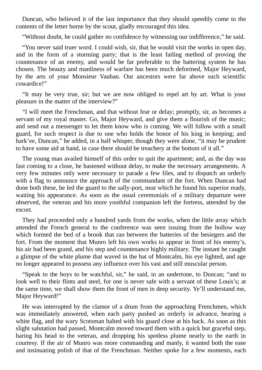Duncan, who believed it of the last importance that they should speedily come to the contents of the letter borne by the scout, gladly encouraged this idea.

"Without doubt, he could gather no confidence by witnessing our indifference," he said.

"You never said truer word. I could wish, sir, that he would visit the works in open day, and in the form of a storming party; that is the least failing method of proving the countenance of an enemy, and would be far preferable to the battering system he has chosen. The beauty and manliness of warfare has been much deformed, Major Heyward, by the arts of your Monsieur Vauban. Our ancestors were far above such scientific cowardice!"

"It may be very true, sir; but we are now obliged to repel art by art. What is your pleasure in the matter of the interview?"

"I will meet the Frenchman, and that without fear or delay; promptly, sir, as becomes a servant of my royal master. Go, Major Heyward, and give them a flourish of the music; and send out a messenger to let them know who is coming. We will follow with a small guard, for such respect is due to one who holds the honor of his king in keeping; and hark'ee, Duncan," he added, in a half whisper, though they were alone, "it may be prudent to have some aid at hand, in case there should be treachery at the bottom of it all."

The young man availed himself of this order to quit the apartment; and, as the day was fast coming to a close, he hastened without delay, to make the necessary arrangements. A very few minutes only were necessary to parade a few files, and to dispatch an orderly with a flag to announce the approach of the commandant of the fort. When Duncan had done both these, he led the guard to the sally-port, near which he found his superior ready, waiting his appearance. As soon as the usual ceremonials of a military departure were observed, the veteran and his more youthful companion left the fortress, attended by the escort.

They had proceeded only a hundred yards from the works, when the little array which attended the French general to the conference was seen issuing from the hollow way which formed the bed of a brook that ran between the batteries of the besiegers and the fort. From the moment that Munro left his own works to appear in front of his enemy's, his air had been grand, and his step and countenance highly military. The instant he caught a glimpse of the white plume that waved in the hat of Montcalm, his eye lighted, and age no longer appeared to possess any influence over his vast and still muscular person.

"Speak to the boys to be watchful, sir," he said, in an undertone, to Duncan; "and to look well to their flints and steel, for one is never safe with a servant of these Louis's; at the same time, we shall show them the front of men in deep security. Ye'll understand me, Major Heyward!"

He was interrupted by the clamor of a drum from the approaching Frenchmen, which was immediately answered, when each party pushed an orderly in advance, bearing a white flag, and the wary Scotsman halted with his guard close at his back. As soon as this slight salutation had passed, Montcalm moved toward them with a quick but graceful step, baring his head to the veteran, and dropping his spotless plume nearly to the earth in courtesy. If the air of Munro was more commanding and manly, it wanted both the ease and insinuating polish of that of the Frenchman. Neither spoke for a few moments, each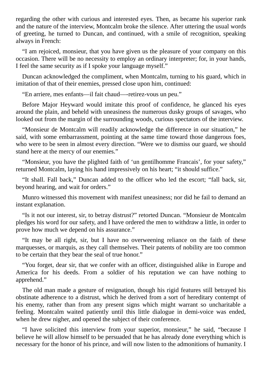regarding the other with curious and interested eyes. Then, as became his superior rank and the nature of the interview, Montcalm broke the silence. After uttering the usual words of greeting, he turned to Duncan, and continued, with a smile of recognition, speaking always in French:

"I am rejoiced, monsieur, that you have given us the pleasure of your company on this occasion. There will be no necessity to employ an ordinary interpreter; for, in your hands, I feel the same security as if I spoke your language myself."

Duncan acknowledged the compliment, when Montcalm, turning to his guard, which in imitation of that of their enemies, pressed close upon him, continued:

"En arriere, mes enfants—il fait chaud—-retirez-vous un peu."

Before Major Heyward would imitate this proof of confidence, he glanced his eyes around the plain, and beheld with uneasiness the numerous dusky groups of savages, who looked out from the margin of the surrounding woods, curious spectators of the interview.

"Monsieur de Montcalm will readily acknowledge the difference in our situation," he said, with some embarrassment, pointing at the same time toward those dangerous foes, who were to be seen in almost every direction. "Were we to dismiss our guard, we should stand here at the mercy of our enemies."

"Monsieur, you have the plighted faith of 'un gentilhomme Francais', for your safety," returned Montcalm, laying his hand impressively on his heart; "it should suffice."

"It shall. Fall back," Duncan added to the officer who led the escort; "fall back, sir, beyond hearing, and wait for orders."

Munro witnessed this movement with manifest uneasiness; nor did he fail to demand an instant explanation.

"Is it not our interest, sir, to betray distrust?" retorted Duncan. "Monsieur de Montcalm pledges his word for our safety, and I have ordered the men to withdraw a little, in order to prove how much we depend on his assurance."

"It may be all right, sir, but I have no overweening reliance on the faith of these marquesses, or marquis, as they call themselves. Their patents of nobility are too common to be certain that they bear the seal of true honor."

"You forget, dear sir, that we confer with an officer, distinguished alike in Europe and America for his deeds. From a soldier of his reputation we can have nothing to apprehend."

The old man made a gesture of resignation, though his rigid features still betrayed his obstinate adherence to a distrust, which he derived from a sort of hereditary contempt of his enemy, rather than from any present signs which might warrant so uncharitable a feeling. Montcalm waited patiently until this little dialogue in demi-voice was ended, when he drew nigher, and opened the subject of their conference.

"I have solicited this interview from your superior, monsieur," he said, "because I believe he will allow himself to be persuaded that he has already done everything which is necessary for the honor of his prince, and will now listen to the admonitions of humanity. I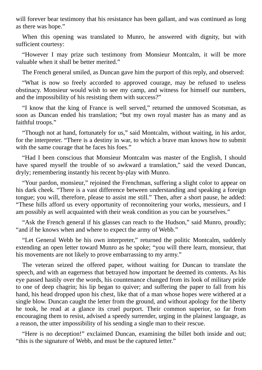will forever bear testimony that his resistance has been gallant, and was continued as long as there was hope."

When this opening was translated to Munro, he answered with dignity, but with sufficient courtesy:

"However I may prize such testimony from Monsieur Montcalm, it will be more valuable when it shall be better merited."

The French general smiled, as Duncan gave him the purport of this reply, and observed:

"What is now so freely accorded to approved courage, may be refused to useless obstinacy. Monsieur would wish to see my camp, and witness for himself our numbers, and the impossibility of his resisting them with success?"

"I know that the king of France is well served," returned the unmoved Scotsman, as soon as Duncan ended his translation; "but my own royal master has as many and as faithful troops."

"Though not at hand, fortunately for us," said Montcalm, without waiting, in his ardor, for the interpreter. "There is a destiny in war, to which a brave man knows how to submit with the same courage that he faces his foes."

"Had I been conscious that Monsieur Montcalm was master of the English, I should have spared myself the trouble of so awkward a translation," said the vexed Duncan, dryly; remembering instantly his recent by-play with Munro.

"Your pardon, monsieur," rejoined the Frenchman, suffering a slight color to appear on his dark cheek. "There is a vast difference between understanding and speaking a foreign tongue; you will, therefore, please to assist me still." Then, after a short pause, he added: "These hills afford us every opportunity of reconnoitering your works, messieurs, and I am possibly as well acquainted with their weak condition as you can be yourselves."

"Ask the French general if his glasses can reach to the Hudson," said Munro, proudly; "and if he knows when and where to expect the army of Webb."

"Let General Webb be his own interpreter," returned the politic Montcalm, suddenly extending an open letter toward Munro as he spoke; "you will there learn, monsieur, that his movements are not likely to prove embarrassing to my army."

The veteran seized the offered paper, without waiting for Duncan to translate the speech, and with an eagerness that betrayed how important he deemed its contents. As his eye passed hastily over the words, his countenance changed from its look of military pride to one of deep chagrin; his lip began to quiver; and suffering the paper to fall from his hand, his head dropped upon his chest, like that of a man whose hopes were withered at a single blow. Duncan caught the letter from the ground, and without apology for the liberty he took, he read at a glance its cruel purport. Their common superior, so far from encouraging them to resist, advised a speedy surrender, urging in the plainest language, as a reason, the utter impossibility of his sending a single man to their rescue.

"Here is no deception!" exclaimed Duncan, examining the billet both inside and out; "this is the signature of Webb, and must be the captured letter."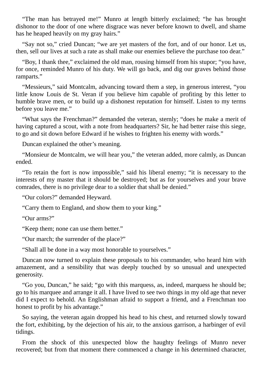"The man has betrayed me!" Munro at length bitterly exclaimed; "he has brought dishonor to the door of one where disgrace was never before known to dwell, and shame has he heaped heavily on my gray hairs."

"Say not so," cried Duncan; "we are yet masters of the fort, and of our honor. Let us, then, sell our lives at such a rate as shall make our enemies believe the purchase too dear."

"Boy, I thank thee," exclaimed the old man, rousing himself from his stupor; "you have, for once, reminded Munro of his duty. We will go back, and dig our graves behind those ramparts."

"Messieurs," said Montcalm, advancing toward them a step, in generous interest, "you little know Louis de St. Veran if you believe him capable of profiting by this letter to humble brave men, or to build up a dishonest reputation for himself. Listen to my terms before you leave me."

"What says the Frenchman?" demanded the veteran, sternly; "does he make a merit of having captured a scout, with a note from headquarters? Sir, he had better raise this siege, to go and sit down before Edward if he wishes to frighten his enemy with words."

Duncan explained the other's meaning.

"Monsieur de Montcalm, we will hear you," the veteran added, more calmly, as Duncan ended.

"To retain the fort is now impossible," said his liberal enemy; "it is necessary to the interests of my master that it should be destroyed; but as for yourselves and your brave comrades, there is no privilege dear to a soldier that shall be denied."

"Our colors?" demanded Heyward.

"Carry them to England, and show them to your king."

"Our arms?"

"Keep them; none can use them better."

"Our march; the surrender of the place?"

"Shall all be done in a way most honorable to yourselves."

Duncan now turned to explain these proposals to his commander, who heard him with amazement, and a sensibility that was deeply touched by so unusual and unexpected generosity.

"Go you, Duncan," he said; "go with this marquess, as, indeed, marquess he should be; go to his marquee and arrange it all. I have lived to see two things in my old age that never did I expect to behold. An Englishman afraid to support a friend, and a Frenchman too honest to profit by his advantage."

So saying, the veteran again dropped his head to his chest, and returned slowly toward the fort, exhibiting, by the dejection of his air, to the anxious garrison, a harbinger of evil tidings.

From the shock of this unexpected blow the haughty feelings of Munro never recovered; but from that moment there commenced a change in his determined character,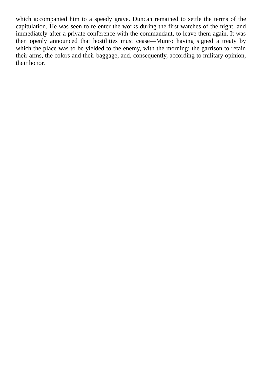which accompanied him to a speedy grave. Duncan remained to settle the terms of the capitulation. He was seen to re-enter the works during the first watches of the night, and immediately after a private conference with the commandant, to leave them again. It was then openly announced that hostilities must cease—Munro having signed a treaty by which the place was to be yielded to the enemy, with the morning; the garrison to retain their arms, the colors and their baggage, and, consequently, according to military opinion, their honor.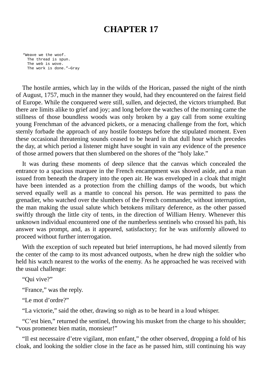## **CHAPTER 17**

"Weave we the woof. The thread is spun. The web is wove. The work is done."—Gray

The hostile armies, which lay in the wilds of the Horican, passed the night of the ninth of August, 1757, much in the manner they would, had they encountered on the fairest field of Europe. While the conquered were still, sullen, and dejected, the victors triumphed. But there are limits alike to grief and joy; and long before the watches of the morning came the stillness of those boundless woods was only broken by a gay call from some exulting young Frenchman of the advanced pickets, or a menacing challenge from the fort, which sternly forbade the approach of any hostile footsteps before the stipulated moment. Even these occasional threatening sounds ceased to be heard in that dull hour which precedes the day, at which period a listener might have sought in vain any evidence of the presence of those armed powers that then slumbered on the shores of the "holy lake."

It was during these moments of deep silence that the canvas which concealed the entrance to a spacious marquee in the French encampment was shoved aside, and a man issued from beneath the drapery into the open air. He was enveloped in a cloak that might have been intended as a protection from the chilling damps of the woods, but which served equally well as a mantle to conceal his person. He was permitted to pass the grenadier, who watched over the slumbers of the French commander, without interruption, the man making the usual salute which betokens military deference, as the other passed swiftly through the little city of tents, in the direction of William Henry. Whenever this unknown individual encountered one of the numberless sentinels who crossed his path, his answer was prompt, and, as it appeared, satisfactory; for he was uniformly allowed to proceed without further interrogation.

With the exception of such repeated but brief interruptions, he had moved silently from the center of the camp to its most advanced outposts, when he drew nigh the soldier who held his watch nearest to the works of the enemy. As he approached he was received with the usual challenge:

"Qui vive?"

"France," was the reply.

"Le mot d'ordre?"

"La victorie," said the other, drawing so nigh as to be heard in a loud whisper.

"C'est bien," returned the sentinel, throwing his musket from the charge to his shoulder; "vous promenez bien matin, monsieur!"

"Il est necessaire d'etre vigilant, mon enfant," the other observed, dropping a fold of his cloak, and looking the soldier close in the face as he passed him, still continuing his way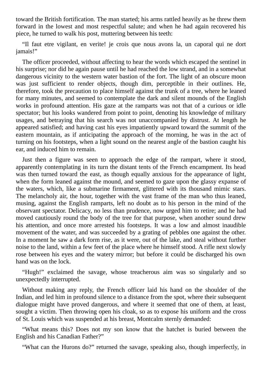toward the British fortification. The man started; his arms rattled heavily as he threw them forward in the lowest and most respectful salute; and when he had again recovered his piece, he turned to walk his post, muttering between his teeth:

"Il faut etre vigilant, en verite! je crois que nous avons la, un caporal qui ne dort iamais!"

The officer proceeded, without affecting to hear the words which escaped the sentinel in his surprise; nor did he again pause until he had reached the low strand, and in a somewhat dangerous vicinity to the western water bastion of the fort. The light of an obscure moon was just sufficient to render objects, though dim, perceptible in their outlines. He, therefore, took the precaution to place himself against the trunk of a tree, where he leaned for many minutes, and seemed to contemplate the dark and silent mounds of the English works in profound attention. His gaze at the ramparts was not that of a curious or idle spectator; but his looks wandered from point to point, denoting his knowledge of military usages, and betraying that his search was not unaccompanied by distrust. At length he appeared satisfied; and having cast his eyes impatiently upward toward the summit of the eastern mountain, as if anticipating the approach of the morning, he was in the act of turning on his footsteps, when a light sound on the nearest angle of the bastion caught his ear, and induced him to remain.

Just then a figure was seen to approach the edge of the rampart, where it stood, apparently contemplating in its turn the distant tents of the French encampment. Its head was then turned toward the east, as though equally anxious for the appearance of light, when the form leaned against the mound, and seemed to gaze upon the glassy expanse of the waters, which, like a submarine firmament, glittered with its thousand mimic stars. The melancholy air, the hour, together with the vast frame of the man who thus leaned, musing, against the English ramparts, left no doubt as to his person in the mind of the observant spectator. Delicacy, no less than prudence, now urged him to retire; and he had moved cautiously round the body of the tree for that purpose, when another sound drew his attention, and once more arrested his footsteps. It was a low and almost inaudible movement of the water, and was succeeded by a grating of pebbles one against the other. In a moment he saw a dark form rise, as it were, out of the lake, and steal without further noise to the land, within a few feet of the place where he himself stood. A rifle next slowly rose between his eyes and the watery mirror; but before it could be discharged his own hand was on the lock.

"Hugh!" exclaimed the savage, whose treacherous aim was so singularly and so unexpectedly interrupted.

Without making any reply, the French officer laid his hand on the shoulder of the Indian, and led him in profound silence to a distance from the spot, where their subsequent dialogue might have proved dangerous, and where it seemed that one of them, at least, sought a victim. Then throwing open his cloak, so as to expose his uniform and the cross of St. Louis which was suspended at his breast, Montcalm sternly demanded:

"What means this? Does not my son know that the hatchet is buried between the English and his Canadian Father?"

"What can the Hurons do?" returned the savage, speaking also, though imperfectly, in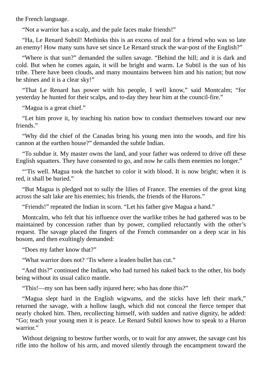the French language.

"Not a warrior has a scalp, and the pale faces make friends!"

"Ha, Le Renard Subtil! Methinks this is an excess of zeal for a friend who was so late an enemy! How many suns have set since Le Renard struck the war-post of the English?"

"Where is that sun?" demanded the sullen savage. "Behind the hill; and it is dark and cold. But when he comes again, it will be bright and warm. Le Subtil is the sun of his tribe. There have been clouds, and many mountains between him and his nation; but now he shines and it is a clear sky!"

"That Le Renard has power with his people, I well know," said Montcalm; "for yesterday he hunted for their scalps, and to-day they hear him at the council-fire."

"Magua is a great chief."

"Let him prove it, by teaching his nation how to conduct themselves toward our new friends."

"Why did the chief of the Canadas bring his young men into the woods, and fire his cannon at the earthen house?" demanded the subtle Indian.

"To subdue it. My master owns the land, and your father was ordered to drive off these English squatters. They have consented to go, and now he calls them enemies no longer."

"'Tis well. Magua took the hatchet to color it with blood. It is now bright; when it is red, it shall be buried."

"But Magua is pledged not to sully the lilies of France. The enemies of the great king across the salt lake are his enemies; his friends, the friends of the Hurons."

"Friends!" repeated the Indian in scorn. "Let his father give Magua a hand."

Montcalm, who felt that his influence over the warlike tribes he had gathered was to be maintained by concession rather than by power, complied reluctantly with the other's request. The savage placed the fingers of the French commander on a deep scar in his bosom, and then exultingly demanded:

"Does my father know that?"

"What warrior does not? 'Tis where a leaden bullet has cut."

"And this?" continued the Indian, who had turned his naked back to the other, his body being without its usual calico mantle.

"This!—my son has been sadly injured here; who has done this?"

"Magua slept hard in the English wigwams, and the sticks have left their mark," returned the savage, with a hollow laugh, which did not conceal the fierce temper that nearly choked him. Then, recollecting himself, with sudden and native dignity, he added: "Go; teach your young men it is peace. Le Renard Subtil knows how to speak to a Huron warrior."

Without deigning to bestow further words, or to wait for any answer, the savage cast his rifle into the hollow of his arm, and moved silently through the encampment toward the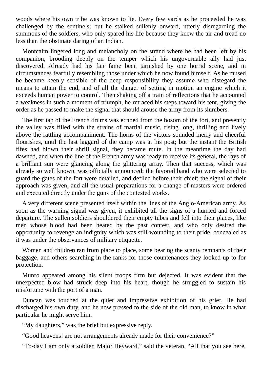woods where his own tribe was known to lie. Every few yards as he proceeded he was challenged by the sentinels; but he stalked sullenly onward, utterly disregarding the summons of the soldiers, who only spared his life because they knew the air and tread no less than the obstinate daring of an Indian.

Montcalm lingered long and melancholy on the strand where he had been left by his companion, brooding deeply on the temper which his ungovernable ally had just discovered. Already had his fair fame been tarnished by one horrid scene, and in circumstances fearfully resembling those under which he now found himself. As he mused he became keenly sensible of the deep responsibility they assume who disregard the means to attain the end, and of all the danger of setting in motion an engine which it exceeds human power to control. Then shaking off a train of reflections that he accounted a weakness in such a moment of triumph, he retraced his steps toward his tent, giving the order as he passed to make the signal that should arouse the army from its slumbers.

The first tap of the French drums was echoed from the bosom of the fort, and presently the valley was filled with the strains of martial music, rising long, thrilling and lively above the rattling accompaniment. The horns of the victors sounded merry and cheerful flourishes, until the last laggard of the camp was at his post; but the instant the British fifes had blown their shrill signal, they became mute. In the meantime the day had dawned, and when the line of the French army was ready to receive its general, the rays of a brilliant sun were glancing along the glittering array. Then that success, which was already so well known, was officially announced; the favored band who were selected to guard the gates of the fort were detailed, and defiled before their chief; the signal of their approach was given, and all the usual preparations for a change of masters were ordered and executed directly under the guns of the contested works.

A very different scene presented itself within the lines of the Anglo-American army. As soon as the warning signal was given, it exhibited all the signs of a hurried and forced departure. The sullen soldiers shouldered their empty tubes and fell into their places, like men whose blood had been heated by the past contest, and who only desired the opportunity to revenge an indignity which was still wounding to their pride, concealed as it was under the observances of military etiquette.

Women and children ran from place to place, some bearing the scanty remnants of their baggage, and others searching in the ranks for those countenances they looked up to for protection.

Munro appeared among his silent troops firm but dejected. It was evident that the unexpected blow had struck deep into his heart, though he struggled to sustain his misfortune with the port of a man.

Duncan was touched at the quiet and impressive exhibition of his grief. He had discharged his own duty, and he now pressed to the side of the old man, to know in what particular he might serve him.

"My daughters," was the brief but expressive reply.

"Good heavens! are not arrangements already made for their convenience?"

"To-day I am only a soldier, Major Heyward," said the veteran. "All that you see here,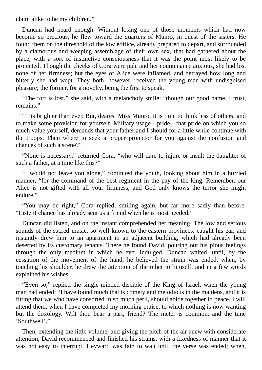claim alike to be my children."

Duncan had heard enough. Without losing one of those moments which had now become so precious, he flew toward the quarters of Munro, in quest of the sisters. He found them on the threshold of the low edifice, already prepared to depart, and surrounded by a clamorous and weeping assemblage of their own sex, that had gathered about the place, with a sort of instinctive consciousness that it was the point most likely to be protected. Though the cheeks of Cora were pale and her countenance anxious, she had lost none of her firmness; but the eyes of Alice were inflamed, and betrayed how long and bitterly she had wept. They both, however, received the young man with undisguised pleasure; the former, for a novelty, being the first to speak.

"The fort is lost," she said, with a melancholy smile; "though our good name, I trust, remains."

"'Tis brighter than ever. But, dearest Miss Munro, it is time to think less of others, and to make some provision for yourself. Military usage—pride—that pride on which you so much value yourself, demands that your father and I should for a little while continue with the troops. Then where to seek a proper protector for you against the confusion and chances of such a scene?"

"None is necessary," returned Cora; "who will dare to injure or insult the daughter of such a father, at a time like this?"

"I would not leave you alone," continued the youth, looking about him in a hurried manner, "for the command of the best regiment in the pay of the king. Remember, our Alice is not gifted with all your firmness, and God only knows the terror she might endure."

"You may be right," Cora replied, smiling again, but far more sadly than before. "Listen! chance has already sent us a friend when he is most needed."

Duncan did listen, and on the instant comprehended her meaning. The low and serious sounds of the sacred music, so well known to the eastern provinces, caught his ear, and instantly drew him to an apartment in an adjacent building, which had already been deserted by its customary tenants. There he found David, pouring out his pious feelings through the only medium in which he ever indulged. Duncan waited, until, by the cessation of the movement of the hand, he believed the strain was ended, when, by touching his shoulder, he drew the attention of the other to himself, and in a few words explained his wishes.

"Even so," replied the single-minded disciple of the King of Israel, when the young man had ended; "I have found much that is comely and melodious in the maidens, and it is fitting that we who have consorted in so much peril, should abide together in peace. I will attend them, when I have completed my morning praise, to which nothing is now wanting but the doxology. Wilt thou bear a part, friend? The meter is common, and the tune 'Southwell'."

Then, extending the little volume, and giving the pitch of the air anew with considerate attention, David recommenced and finished his strains, with a fixedness of manner that it was not easy to interrupt. Heyward was fain to wait until the verse was ended; when,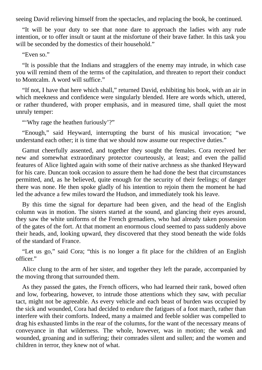seeing David relieving himself from the spectacles, and replacing the book, he continued.

"It will be your duty to see that none dare to approach the ladies with any rude intention, or to offer insult or taunt at the misfortune of their brave father. In this task you will be seconded by the domestics of their household."

"Even so."

"It is possible that the Indians and stragglers of the enemy may intrude, in which case you will remind them of the terms of the capitulation, and threaten to report their conduct to Montcalm. A word will suffice."

"If not, I have that here which shall," returned David, exhibiting his book, with an air in which meekness and confidence were singularly blended. Here are words which, uttered, or rather thundered, with proper emphasis, and in measured time, shall quiet the most unruly temper:

"'Why rage the heathen furiously'?"

"Enough," said Heyward, interrupting the burst of his musical invocation; "we understand each other; it is time that we should now assume our respective duties."

Gamut cheerfully assented, and together they sought the females. Cora received her new and somewhat extraordinary protector courteously, at least; and even the pallid features of Alice lighted again with some of their native archness as she thanked Heyward for his care. Duncan took occasion to assure them he had done the best that circumstances permitted, and, as he believed, quite enough for the security of their feelings; of danger there was none. He then spoke gladly of his intention to rejoin them the moment he had led the advance a few miles toward the Hudson, and immediately took his leave.

By this time the signal for departure had been given, and the head of the English column was in motion. The sisters started at the sound, and glancing their eyes around, they saw the white uniforms of the French grenadiers, who had already taken possession of the gates of the fort. At that moment an enormous cloud seemed to pass suddenly above their heads, and, looking upward, they discovered that they stood beneath the wide folds of the standard of France.

"Let us go," said Cora; "this is no longer a fit place for the children of an English officer."

Alice clung to the arm of her sister, and together they left the parade, accompanied by the moving throng that surrounded them.

As they passed the gates, the French officers, who had learned their rank, bowed often and low, forbearing, however, to intrude those attentions which they saw, with peculiar tact, might not be agreeable. As every vehicle and each beast of burden was occupied by the sick and wounded, Cora had decided to endure the fatigues of a foot march, rather than interfere with their comforts. Indeed, many a maimed and feeble soldier was compelled to drag his exhausted limbs in the rear of the columns, for the want of the necessary means of conveyance in that wilderness. The whole, however, was in motion; the weak and wounded, groaning and in suffering; their comrades silent and sullen; and the women and children in terror, they knew not of what.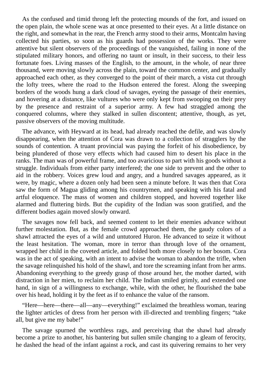As the confused and timid throng left the protecting mounds of the fort, and issued on the open plain, the whole scene was at once presented to their eyes. At a little distance on the right, and somewhat in the rear, the French army stood to their arms, Montcalm having collected his parties, so soon as his guards had possession of the works. They were attentive but silent observers of the proceedings of the vanquished, failing in none of the stipulated military honors, and offering no taunt or insult, in their success, to their less fortunate foes. Living masses of the English, to the amount, in the whole, of near three thousand, were moving slowly across the plain, toward the common center, and gradually approached each other, as they converged to the point of their march, a vista cut through the lofty trees, where the road to the Hudson entered the forest. Along the sweeping borders of the woods hung a dark cloud of savages, eyeing the passage of their enemies, and hovering at a distance, like vultures who were only kept from swooping on their prey by the presence and restraint of a superior army. A few had straggled among the conquered columns, where they stalked in sullen discontent; attentive, though, as yet, passive observers of the moving multitude.

The advance, with Heyward at its head, had already reached the defile, and was slowly disappearing, when the attention of Cora was drawn to a collection of stragglers by the sounds of contention. A truant provincial was paying the forfeit of his disobedience, by being plundered of those very effects which had caused him to desert his place in the ranks. The man was of powerful frame, and too avaricious to part with his goods without a struggle. Individuals from either party interfered; the one side to prevent and the other to aid in the robbery. Voices grew loud and angry, and a hundred savages appeared, as it were, by magic, where a dozen only had been seen a minute before. It was then that Cora saw the form of Magua gliding among his countrymen, and speaking with his fatal and artful eloquence. The mass of women and children stopped, and hovered together like alarmed and fluttering birds. But the cupidity of the Indian was soon gratified, and the different bodies again moved slowly onward.

The savages now fell back, and seemed content to let their enemies advance without further molestation. But, as the female crowd approached them, the gaudy colors of a shawl attracted the eyes of a wild and untutored Huron. He advanced to seize it without the least hesitation. The woman, more in terror than through love of the ornament, wrapped her child in the coveted article, and folded both more closely to her bosom. Cora was in the act of speaking, with an intent to advise the woman to abandon the trifle, when the savage relinquished his hold of the shawl, and tore the screaming infant from her arms. Abandoning everything to the greedy grasp of those around her, the mother darted, with distraction in her mien, to reclaim her child. The Indian smiled grimly, and extended one hand, in sign of a willingness to exchange, while, with the other, he flourished the babe over his head, holding it by the feet as if to enhance the value of the ransom.

"Here—here—there—all—any—everything!" exclaimed the breathless woman, tearing the lighter articles of dress from her person with ill-directed and trembling fingers; "take all, but give me my babe!"

The savage spurned the worthless rags, and perceiving that the shawl had already become a prize to another, his bantering but sullen smile changing to a gleam of ferocity, he dashed the head of the infant against a rock, and cast its quivering remains to her very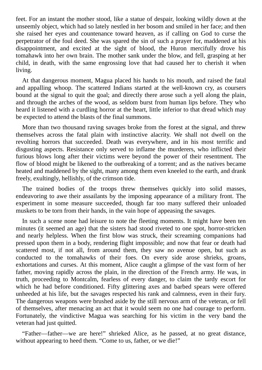feet. For an instant the mother stood, like a statue of despair, looking wildly down at the unseemly object, which had so lately nestled in her bosom and smiled in her face; and then she raised her eyes and countenance toward heaven, as if calling on God to curse the perpetrator of the foul deed. She was spared the sin of such a prayer for, maddened at his disappointment, and excited at the sight of blood, the Huron mercifully drove his tomahawk into her own brain. The mother sank under the blow, and fell, grasping at her child, in death, with the same engrossing love that had caused her to cherish it when living.

At that dangerous moment, Magua placed his hands to his mouth, and raised the fatal and appalling whoop. The scattered Indians started at the well-known cry, as coursers bound at the signal to quit the goal; and directly there arose such a yell along the plain, and through the arches of the wood, as seldom burst from human lips before. They who heard it listened with a curdling horror at the heart, little inferior to that dread which may be expected to attend the blasts of the final summons.

More than two thousand raving savages broke from the forest at the signal, and threw themselves across the fatal plain with instinctive alacrity. We shall not dwell on the revolting horrors that succeeded. Death was everywhere, and in his most terrific and disgusting aspects. Resistance only served to inflame the murderers, who inflicted their furious blows long after their victims were beyond the power of their resentment. The flow of blood might be likened to the outbreaking of a torrent; and as the natives became heated and maddened by the sight, many among them even kneeled to the earth, and drank freely, exultingly, hellishly, of the crimson tide.

The trained bodies of the troops threw themselves quickly into solid masses, endeavoring to awe their assailants by the imposing appearance of a military front. The experiment in some measure succeeded, though far too many suffered their unloaded muskets to be torn from their hands, in the vain hope of appeasing the savages.

In such a scene none had leisure to note the fleeting moments. It might have been ten minutes (it seemed an age) that the sisters had stood riveted to one spot, horror-stricken and nearly helpless. When the first blow was struck, their screaming companions had pressed upon them in a body, rendering flight impossible; and now that fear or death had scattered most, if not all, from around them, they saw no avenue open, but such as conducted to the tomahawks of their foes. On every side arose shrieks, groans, exhortations and curses. At this moment, Alice caught a glimpse of the vast form of her father, moving rapidly across the plain, in the direction of the French army. He was, in truth, proceeding to Montcalm, fearless of every danger, to claim the tardy escort for which he had before conditioned. Fifty glittering axes and barbed spears were offered unheeded at his life, but the savages respected his rank and calmness, even in their fury. The dangerous weapons were brushed aside by the still nervous arm of the veteran, or fell of themselves, after menacing an act that it would seem no one had courage to perform. Fortunately, the vindictive Magua was searching for his victim in the very band the veteran had just quitted.

"Father—father—we are here!" shrieked Alice, as he passed, at no great distance, without appearing to heed them. "Come to us, father, or we die!"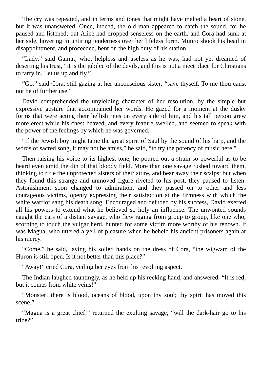The cry was repeated, and in terms and tones that might have melted a heart of stone, but it was unanswered. Once, indeed, the old man appeared to catch the sound, for he paused and listened; but Alice had dropped senseless on the earth, and Cora had sunk at her side, hovering in untiring tenderness over her lifeless form. Munro shook his head in disappointment, and proceeded, bent on the high duty of his station.

"Lady," said Gamut, who, helpless and useless as he was, had not yet dreamed of deserting his trust, "it is the jubilee of the devils, and this is not a meet place for Christians to tarry in. Let us up and fly."

"Go," said Cora, still gazing at her unconscious sister; "save thyself. To me thou canst not be of further use."

David comprehended the unyielding character of her resolution, by the simple but expressive gesture that accompanied her words. He gazed for a moment at the dusky forms that were acting their hellish rites on every side of him, and his tall person grew more erect while his chest heaved, and every feature swelled, and seemed to speak with the power of the feelings by which he was governed.

"If the Jewish boy might tame the great spirit of Saul by the sound of his harp, and the words of sacred song, it may not be amiss," he said, "to try the potency of music here."

Then raising his voice to its highest tone, he poured out a strain so powerful as to be heard even amid the din of that bloody field. More than one savage rushed toward them, thinking to rifle the unprotected sisters of their attire, and bear away their scalps; but when they found this strange and unmoved figure riveted to his post, they paused to listen. Astonishment soon changed to admiration, and they passed on to other and less courageous victims, openly expressing their satisfaction at the firmness with which the white warrior sang his death song. Encouraged and deluded by his success, David exerted all his powers to extend what he believed so holy an influence. The unwonted sounds caught the ears of a distant savage, who flew raging from group to group, like one who, scorning to touch the vulgar herd, hunted for some victim more worthy of his renown. It was Magua, who uttered a yell of pleasure when he beheld his ancient prisoners again at his mercy.

"Come," he said, laying his soiled hands on the dress of Cora, "the wigwam of the Huron is still open. Is it not better than this place?"

"Away!" cried Cora, veiling her eyes from his revolting aspect.

The Indian laughed tauntingly, as he held up his reeking hand, and answered: "It is red, but it comes from white veins!"

"Monster! there is blood, oceans of blood, upon thy soul; thy spirit has moved this scene."

"Magua is a great chief!" returned the exulting savage, "will the dark-hair go to his tribe?"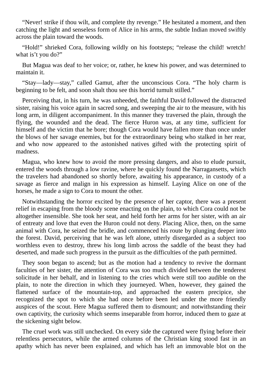"Never! strike if thou wilt, and complete thy revenge." He hesitated a moment, and then catching the light and senseless form of Alice in his arms, the subtle Indian moved swiftly across the plain toward the woods.

"Hold!" shrieked Cora, following wildly on his footsteps; "release the child! wretch! what is't you do?"

But Magua was deaf to her voice; or, rather, he knew his power, and was determined to maintain it.

"Stay—lady—stay," called Gamut, after the unconscious Cora. "The holy charm is beginning to be felt, and soon shalt thou see this horrid tumult stilled."

Perceiving that, in his turn, he was unheeded, the faithful David followed the distracted sister, raising his voice again in sacred song, and sweeping the air to the measure, with his long arm, in diligent accompaniment. In this manner they traversed the plain, through the flying, the wounded and the dead. The fierce Huron was, at any time, sufficient for himself and the victim that he bore; though Cora would have fallen more than once under the blows of her savage enemies, but for the extraordinary being who stalked in her rear, and who now appeared to the astonished natives gifted with the protecting spirit of madness.

Magua, who knew how to avoid the more pressing dangers, and also to elude pursuit, entered the woods through a low ravine, where he quickly found the Narragansetts, which the travelers had abandoned so shortly before, awaiting his appearance, in custody of a savage as fierce and malign in his expression as himself. Laying Alice on one of the horses, he made a sign to Cora to mount the other.

Notwithstanding the horror excited by the presence of her captor, there was a present relief in escaping from the bloody scene enacting on the plain, to which Cora could not be altogether insensible. She took her seat, and held forth her arms for her sister, with an air of entreaty and love that even the Huron could not deny. Placing Alice, then, on the same animal with Cora, he seized the bridle, and commenced his route by plunging deeper into the forest. David, perceiving that he was left alone, utterly disregarded as a subject too worthless even to destroy, threw his long limb across the saddle of the beast they had deserted, and made such progress in the pursuit as the difficulties of the path permitted.

They soon began to ascend; but as the motion had a tendency to revive the dormant faculties of her sister, the attention of Cora was too much divided between the tenderest solicitude in her behalf, and in listening to the cries which were still too audible on the plain, to note the direction in which they journeyed. When, however, they gained the flattened surface of the mountain-top, and approached the eastern precipice, she recognized the spot to which she had once before been led under the more friendly auspices of the scout. Here Magua suffered them to dismount; and notwithstanding their own captivity, the curiosity which seems inseparable from horror, induced them to gaze at the sickening sight below.

The cruel work was still unchecked. On every side the captured were flying before their relentless persecutors, while the armed columns of the Christian king stood fast in an apathy which has never been explained, and which has left an immovable blot on the